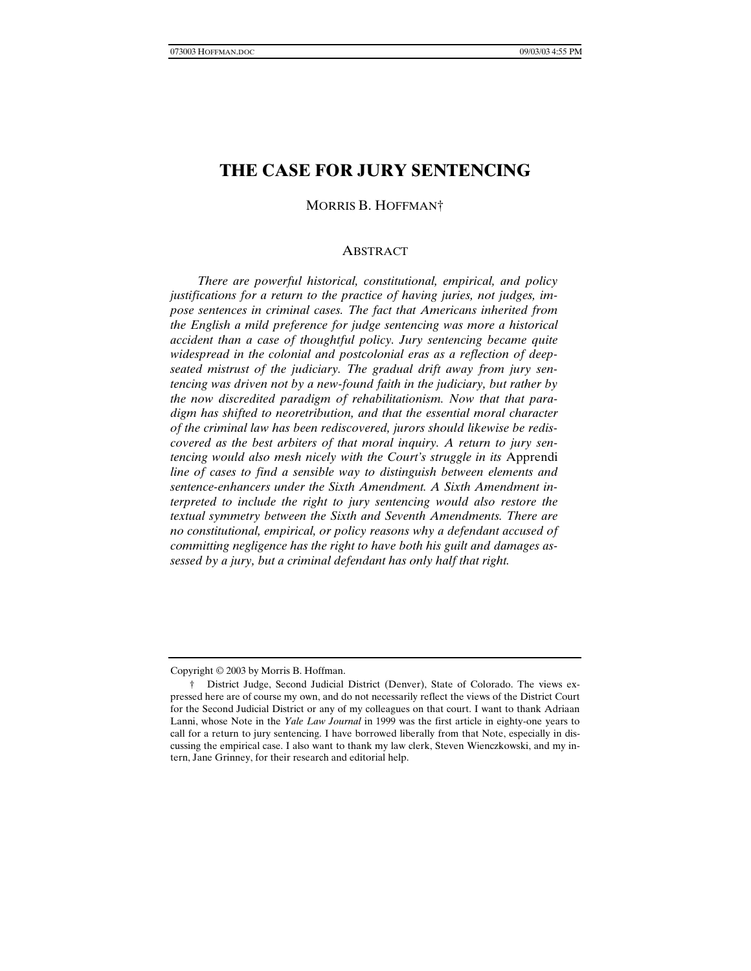# **THE CASE FOR JURY SENTENCING**

MORRIS B. HOFFMAN†

### ABSTRACT

*There are powerful historical, constitutional, empirical, and policy justifications for a return to the practice of having juries, not judges, impose sentences in criminal cases. The fact that Americans inherited from the English a mild preference for judge sentencing was more a historical accident than a case of thoughtful policy. Jury sentencing became quite widespread in the colonial and postcolonial eras as a reflection of deepseated mistrust of the judiciary. The gradual drift away from jury sentencing was driven not by a new-found faith in the judiciary, but rather by the now discredited paradigm of rehabilitationism. Now that that paradigm has shifted to neoretribution, and that the essential moral character of the criminal law has been rediscovered, jurors should likewise be rediscovered as the best arbiters of that moral inquiry. A return to jury sentencing would also mesh nicely with the Court's struggle in its* Apprendi *line of cases to find a sensible way to distinguish between elements and sentence-enhancers under the Sixth Amendment. A Sixth Amendment interpreted to include the right to jury sentencing would also restore the textual symmetry between the Sixth and Seventh Amendments. There are no constitutional, empirical, or policy reasons why a defendant accused of committing negligence has the right to have both his guilt and damages assessed by a jury, but a criminal defendant has only half that right.*

Copyright © 2003 by Morris B. Hoffman.

<sup>†</sup> District Judge, Second Judicial District (Denver), State of Colorado. The views expressed here are of course my own, and do not necessarily reflect the views of the District Court for the Second Judicial District or any of my colleagues on that court. I want to thank Adriaan Lanni, whose Note in the *Yale Law Journal* in 1999 was the first article in eighty-one years to call for a return to jury sentencing. I have borrowed liberally from that Note, especially in discussing the empirical case. I also want to thank my law clerk, Steven Wienczkowski, and my intern, Jane Grinney, for their research and editorial help.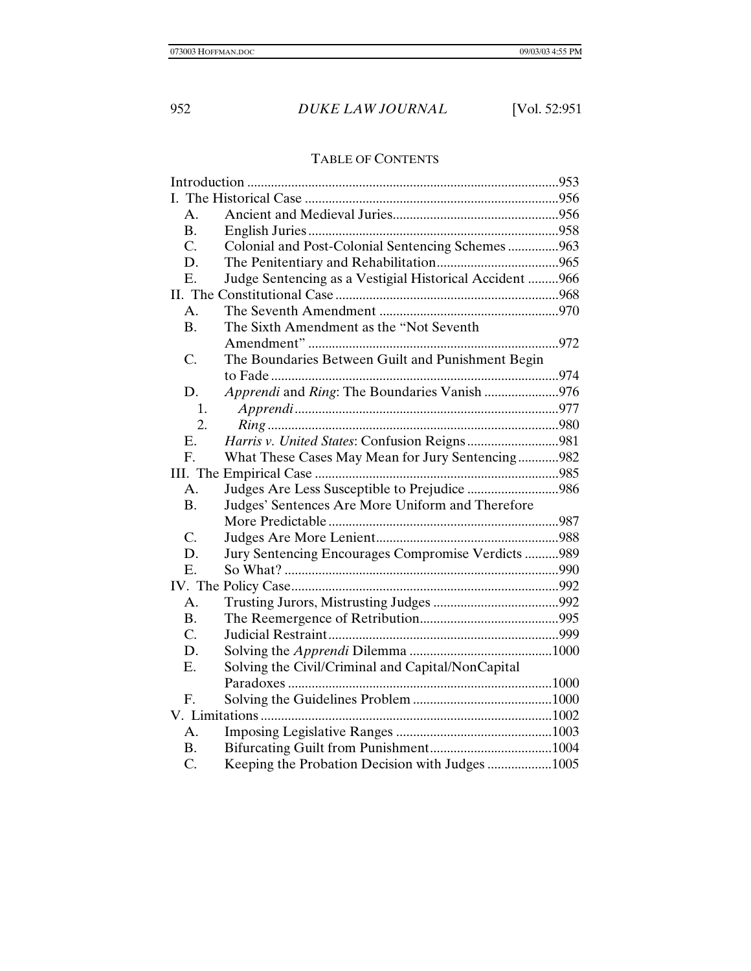# TABLE OF CONTENTS

| Colonial and Post-Colonial Sentencing Schemes 963       |
|---------------------------------------------------------|
|                                                         |
|                                                         |
|                                                         |
|                                                         |
|                                                         |
| Judge Sentencing as a Vestigial Historical Accident 966 |
|                                                         |
|                                                         |
|                                                         |
|                                                         |
|                                                         |
|                                                         |
|                                                         |
|                                                         |
|                                                         |
|                                                         |
| What These Cases May Mean for Jury Sentencing982        |
|                                                         |
| Judges Are Less Susceptible to Prejudice 986            |
|                                                         |
|                                                         |
|                                                         |
| Jury Sentencing Encourages Compromise Verdicts 989      |
|                                                         |
|                                                         |
|                                                         |
|                                                         |
|                                                         |
|                                                         |
|                                                         |
|                                                         |
|                                                         |
|                                                         |
|                                                         |
|                                                         |
|                                                         |
|                                                         |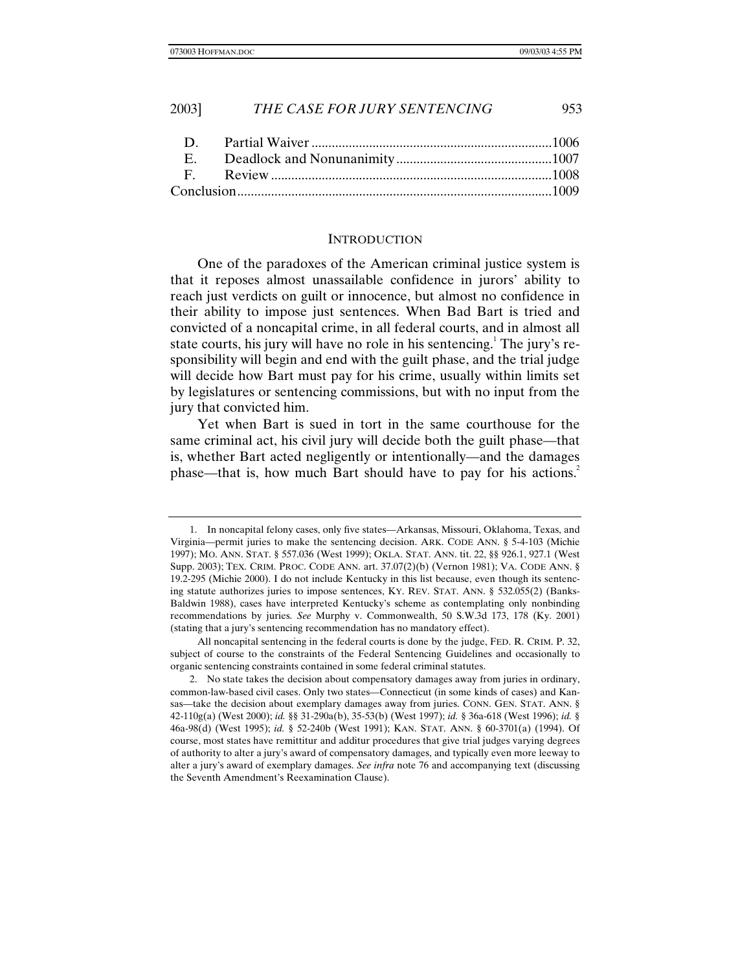### **INTRODUCTION**

One of the paradoxes of the American criminal justice system is that it reposes almost unassailable confidence in jurors' ability to reach just verdicts on guilt or innocence, but almost no confidence in their ability to impose just sentences. When Bad Bart is tried and convicted of a noncapital crime, in all federal courts, and in almost all state courts, his jury will have no role in his sentencing.<sup>1</sup> The jury's responsibility will begin and end with the guilt phase, and the trial judge will decide how Bart must pay for his crime, usually within limits set by legislatures or sentencing commissions, but with no input from the jury that convicted him.

Yet when Bart is sued in tort in the same courthouse for the same criminal act, his civil jury will decide both the guilt phase—that is, whether Bart acted negligently or intentionally—and the damages phase—that is, how much Bart should have to pay for his actions.2

<sup>1.</sup> In noncapital felony cases, only five states—Arkansas, Missouri, Oklahoma, Texas, and Virginia—permit juries to make the sentencing decision. ARK. CODE ANN. § 5-4-103 (Michie 1997); MO. ANN. STAT. § 557.036 (West 1999); OKLA. STAT. ANN. tit. 22, §§ 926.1, 927.1 (West Supp. 2003); TEX. CRIM. PROC. CODE ANN. art. 37.07(2)(b) (Vernon 1981); VA. CODE ANN. § 19.2-295 (Michie 2000). I do not include Kentucky in this list because, even though its sentencing statute authorizes juries to impose sentences, KY. REV. STAT. ANN. § 532.055(2) (Banks-Baldwin 1988), cases have interpreted Kentucky's scheme as contemplating only nonbinding recommendations by juries. *See* Murphy v. Commonwealth, 50 S.W.3d 173, 178 (Ky. 2001) (stating that a jury's sentencing recommendation has no mandatory effect).

All noncapital sentencing in the federal courts is done by the judge, FED. R. CRIM. P. 32, subject of course to the constraints of the Federal Sentencing Guidelines and occasionally to organic sentencing constraints contained in some federal criminal statutes.

<sup>2.</sup> No state takes the decision about compensatory damages away from juries in ordinary, common-law-based civil cases. Only two states—Connecticut (in some kinds of cases) and Kansas—take the decision about exemplary damages away from juries. CONN. GEN. STAT. ANN. § 42-110g(a) (West 2000); *id.* §§ 31-290a(b), 35-53(b) (West 1997); *id.* § 36a-618 (West 1996); *id.* § 46a-98(d) (West 1995); *id.* § 52-240b (West 1991); KAN. STAT. ANN. § 60-3701(a) (1994). Of course, most states have remittitur and additur procedures that give trial judges varying degrees of authority to alter a jury's award of compensatory damages, and typically even more leeway to alter a jury's award of exemplary damages. *See infra* note 76 and accompanying text (discussing the Seventh Amendment's Reexamination Clause).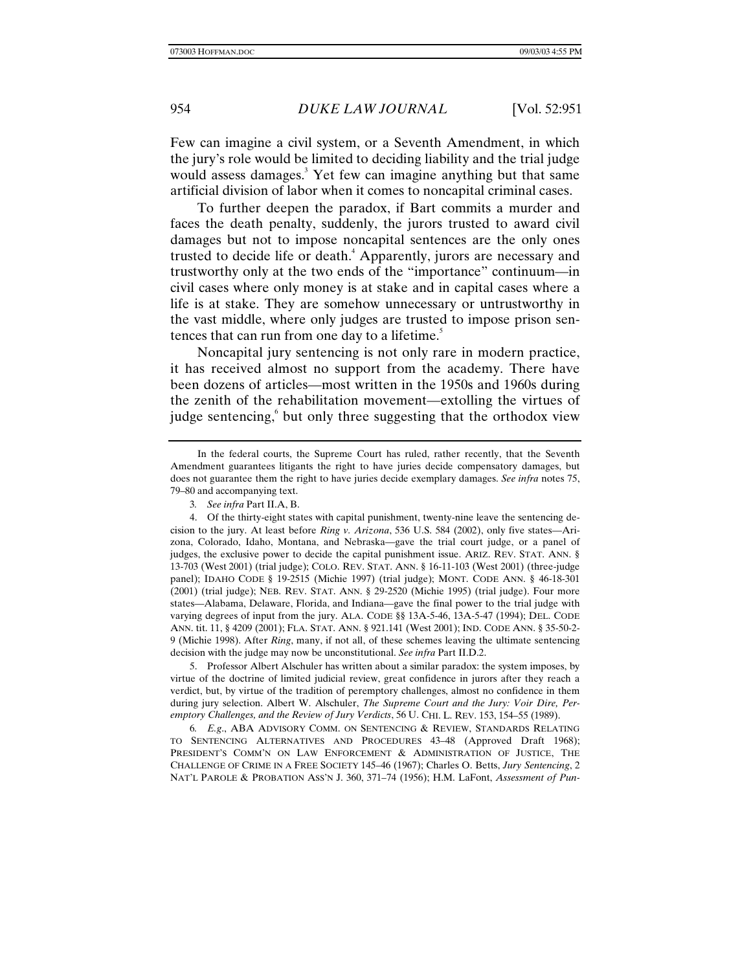Few can imagine a civil system, or a Seventh Amendment, in which the jury's role would be limited to deciding liability and the trial judge would assess damages.<sup>3</sup> Yet few can imagine anything but that same artificial division of labor when it comes to noncapital criminal cases.

To further deepen the paradox, if Bart commits a murder and faces the death penalty, suddenly, the jurors trusted to award civil damages but not to impose noncapital sentences are the only ones trusted to decide life or death.<sup>4</sup> Apparently, jurors are necessary and trustworthy only at the two ends of the "importance" continuum—in civil cases where only money is at stake and in capital cases where a life is at stake. They are somehow unnecessary or untrustworthy in the vast middle, where only judges are trusted to impose prison sentences that can run from one day to a lifetime.<sup>5</sup>

Noncapital jury sentencing is not only rare in modern practice, it has received almost no support from the academy. There have been dozens of articles—most written in the 1950s and 1960s during the zenith of the rehabilitation movement—extolling the virtues of judge sentencing, but only three suggesting that the orthodox view

5. Professor Albert Alschuler has written about a similar paradox: the system imposes, by virtue of the doctrine of limited judicial review, great confidence in jurors after they reach a verdict, but, by virtue of the tradition of peremptory challenges, almost no confidence in them during jury selection. Albert W. Alschuler, *The Supreme Court and the Jury: Voir Dire, Peremptory Challenges, and the Review of Jury Verdicts*, 56 U. CHI. L. REV. 153, 154–55 (1989).

6*. E.g*., ABA ADVISORY COMM. ON SENTENCING & REVIEW, STANDARDS RELATING TO SENTENCING ALTERNATIVES AND PROCEDURES 43–48 (Approved Draft 1968); PRESIDENT'S COMM'N ON LAW ENFORCEMENT & ADMINISTRATION OF JUSTICE, THE CHALLENGE OF CRIME IN A FREE SOCIETY 145–46 (1967); Charles O. Betts, *Jury Sentencing*, 2 NAT'L PAROLE & PROBATION ASS'N J. 360, 371–74 (1956); H.M. LaFont, *Assessment of Pun-*

In the federal courts, the Supreme Court has ruled, rather recently, that the Seventh Amendment guarantees litigants the right to have juries decide compensatory damages, but does not guarantee them the right to have juries decide exemplary damages. *See infra* notes 75, 79–80 and accompanying text.

<sup>3</sup>*. See infra* Part II.A, B.

<sup>4.</sup> Of the thirty-eight states with capital punishment, twenty-nine leave the sentencing decision to the jury. At least before *Ring v. Arizona*, 536 U.S. 584 (2002), only five states—Arizona, Colorado, Idaho, Montana, and Nebraska—gave the trial court judge, or a panel of judges, the exclusive power to decide the capital punishment issue. ARIZ. REV. STAT. ANN. § 13-703 (West 2001) (trial judge); COLO. REV. STAT. ANN. § 16-11-103 (West 2001) (three-judge panel); IDAHO CODE § 19-2515 (Michie 1997) (trial judge); MONT. CODE ANN. § 46-18-301 (2001) (trial judge); NEB. REV. STAT. ANN. § 29-2520 (Michie 1995) (trial judge). Four more states—Alabama, Delaware, Florida, and Indiana—gave the final power to the trial judge with varying degrees of input from the jury. ALA. CODE §§ 13A-5-46, 13A-5-47 (1994); DEL. CODE ANN. tit. 11, § 4209 (2001); FLA. STAT. ANN. § 921.141 (West 2001); IND. CODE ANN. § 35-50-2- 9 (Michie 1998). After *Ring*, many, if not all, of these schemes leaving the ultimate sentencing decision with the judge may now be unconstitutional. *See infra* Part II.D.2.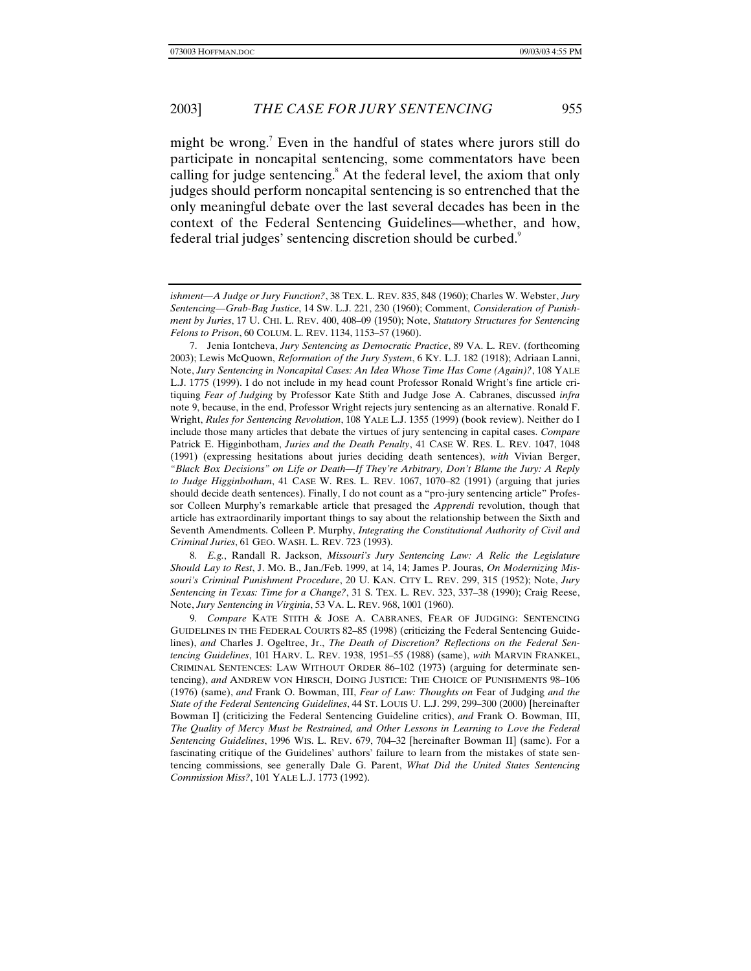might be wrong.<sup>7</sup> Even in the handful of states where jurors still do participate in noncapital sentencing, some commentators have been calling for judge sentencing.<sup>8</sup> At the federal level, the axiom that only judges should perform noncapital sentencing is so entrenched that the only meaningful debate over the last several decades has been in the context of the Federal Sentencing Guidelines—whether, and how, federal trial judges' sentencing discretion should be curbed.<sup>9</sup>

7. Jenia Iontcheva, *Jury Sentencing as Democratic Practice*, 89 VA. L. REV. (forthcoming 2003); Lewis McQuown, *Reformation of the Jury System*, 6 KY. L.J. 182 (1918); Adriaan Lanni, Note, *Jury Sentencing in Noncapital Cases: An Idea Whose Time Has Come (Again)?*, 108 YALE L.J. 1775 (1999). I do not include in my head count Professor Ronald Wright's fine article critiquing *Fear of Judging* by Professor Kate Stith and Judge Jose A. Cabranes, discussed *infra* note 9, because, in the end, Professor Wright rejects jury sentencing as an alternative. Ronald F. Wright, *Rules for Sentencing Revolution*, 108 YALE L.J. 1355 (1999) (book review). Neither do I include those many articles that debate the virtues of jury sentencing in capital cases. *Compare* Patrick E. Higginbotham, *Juries and the Death Penalty*, 41 CASE W. RES. L. REV. 1047, 1048 (1991) (expressing hesitations about juries deciding death sentences), *with* Vivian Berger, *"Black Box Decisions" on Life or Death—If They're Arbitrary, Don't Blame the Jury: A Reply to Judge Higginbotham*, 41 CASE W. RES. L. REV. 1067, 1070–82 (1991) (arguing that juries should decide death sentences). Finally, I do not count as a "pro-jury sentencing article" Professor Colleen Murphy's remarkable article that presaged the *Apprendi* revolution, though that article has extraordinarily important things to say about the relationship between the Sixth and Seventh Amendments. Colleen P. Murphy, *Integrating the Constitutional Authority of Civil and Criminal Juries*, 61 GEO. WASH. L. REV. 723 (1993).

8*. E.g.*, Randall R. Jackson, *Missouri's Jury Sentencing Law: A Relic the Legislature Should Lay to Rest*, J. MO. B., Jan./Feb. 1999, at 14, 14; James P. Jouras, *On Modernizing Missouri's Criminal Punishment Procedure*, 20 U. KAN. CITY L. REV. 299, 315 (1952); Note, *Jury Sentencing in Texas: Time for a Change?*, 31 S. TEX. L. REV. 323, 337–38 (1990); Craig Reese, Note, *Jury Sentencing in Virginia*, 53 VA. L. REV. 968, 1001 (1960).

9*. Compare* KATE STITH & JOSE A. CABRANES, FEAR OF JUDGING: SENTENCING GUIDELINES IN THE FEDERAL COURTS 82–85 (1998) (criticizing the Federal Sentencing Guidelines), *and* Charles J. Ogeltree, Jr., *The Death of Discretion? Reflections on the Federal Sentencing Guidelines*, 101 HARV. L. REV. 1938, 1951–55 (1988) (same), *with* MARVIN FRANKEL, CRIMINAL SENTENCES: LAW WITHOUT ORDER 86–102 (1973) (arguing for determinate sentencing), *and* ANDREW VON HIRSCH, DOING JUSTICE: THE CHOICE OF PUNISHMENTS 98–106 (1976) (same), *and* Frank O. Bowman, III, *Fear of Law: Thoughts on* Fear of Judging *and the State of the Federal Sentencing Guidelines*, 44 ST. LOUIS U. L.J. 299, 299–300 (2000) [hereinafter Bowman I] (criticizing the Federal Sentencing Guideline critics), *and* Frank O. Bowman, III, *The Quality of Mercy Must be Restrained, and Other Lessons in Learning to Love the Federal Sentencing Guidelines*, 1996 WIS. L. REV. 679, 704–32 [hereinafter Bowman II] (same). For a fascinating critique of the Guidelines' authors' failure to learn from the mistakes of state sentencing commissions, see generally Dale G. Parent, *What Did the United States Sentencing Commission Miss?*, 101 YALE L.J. 1773 (1992).

*ishment—A Judge or Jury Function?*, 38 TEX. L. REV. 835, 848 (1960); Charles W. Webster, *Jury Sentencing—Grab-Bag Justice*, 14 SW. L.J. 221, 230 (1960); Comment, *Consideration of Punishment by Juries*, 17 U. CHI. L. REV. 400, 408–09 (1950); Note, *Statutory Structures for Sentencing Felons to Prison*, 60 COLUM. L. REV. 1134, 1153–57 (1960).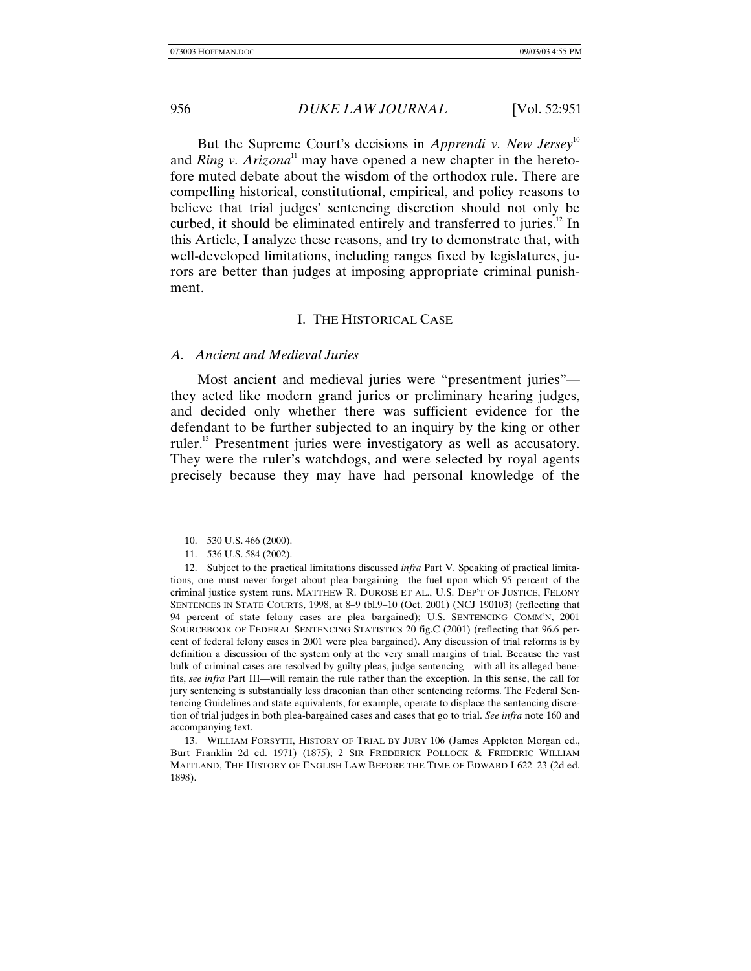But the Supreme Court's decisions in *Apprendi v. New Jersey*<sup>10</sup> and *Ring v. Arizona*<sup>11</sup> may have opened a new chapter in the heretofore muted debate about the wisdom of the orthodox rule. There are compelling historical, constitutional, empirical, and policy reasons to believe that trial judges' sentencing discretion should not only be curbed, it should be eliminated entirely and transferred to juries.<sup>12</sup> In this Article, I analyze these reasons, and try to demonstrate that, with well-developed limitations, including ranges fixed by legislatures, jurors are better than judges at imposing appropriate criminal punishment.

# I. THE HISTORICAL CASE

### *A. Ancient and Medieval Juries*

Most ancient and medieval juries were "presentment juries" they acted like modern grand juries or preliminary hearing judges, and decided only whether there was sufficient evidence for the defendant to be further subjected to an inquiry by the king or other ruler.<sup>13</sup> Presentment juries were investigatory as well as accusatory. They were the ruler's watchdogs, and were selected by royal agents precisely because they may have had personal knowledge of the

13. WILLIAM FORSYTH, HISTORY OF TRIAL BY JURY 106 (James Appleton Morgan ed., Burt Franklin 2d ed. 1971) (1875); 2 SIR FREDERICK POLLOCK & FREDERIC WILLIAM MAITLAND, THE HISTORY OF ENGLISH LAW BEFORE THE TIME OF EDWARD I 622–23 (2d ed. 1898).

<sup>10. 530</sup> U.S. 466 (2000).

<sup>11. 536</sup> U.S. 584 (2002).

<sup>12.</sup> Subject to the practical limitations discussed *infra* Part V. Speaking of practical limitations, one must never forget about plea bargaining—the fuel upon which 95 percent of the criminal justice system runs. MATTHEW R. DUROSE ET AL., U.S. DEP'T OF JUSTICE, FELONY SENTENCES IN STATE COURTS, 1998, at 8–9 tbl.9–10 (Oct. 2001) (NCJ 190103) (reflecting that 94 percent of state felony cases are plea bargained); U.S. SENTENCING COMM'N, 2001 SOURCEBOOK OF FEDERAL SENTENCING STATISTICS 20 fig.C (2001) (reflecting that 96.6 percent of federal felony cases in 2001 were plea bargained). Any discussion of trial reforms is by definition a discussion of the system only at the very small margins of trial. Because the vast bulk of criminal cases are resolved by guilty pleas, judge sentencing—with all its alleged benefits, *see infra* Part III—will remain the rule rather than the exception. In this sense, the call for jury sentencing is substantially less draconian than other sentencing reforms. The Federal Sentencing Guidelines and state equivalents, for example, operate to displace the sentencing discretion of trial judges in both plea-bargained cases and cases that go to trial. *See infra* note 160 and accompanying text.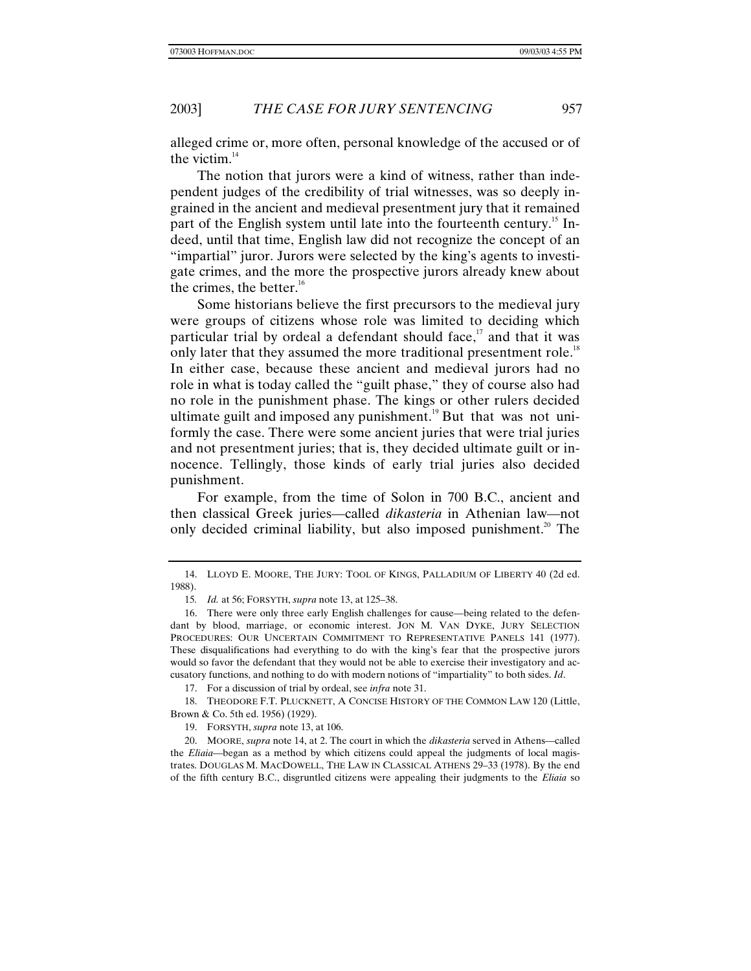alleged crime or, more often, personal knowledge of the accused or of the victim. $14$ 

The notion that jurors were a kind of witness, rather than independent judges of the credibility of trial witnesses, was so deeply ingrained in the ancient and medieval presentment jury that it remained part of the English system until late into the fourteenth century.<sup>15</sup> Indeed, until that time, English law did not recognize the concept of an "impartial" juror. Jurors were selected by the king's agents to investigate crimes, and the more the prospective jurors already knew about the crimes, the better. $16$ 

Some historians believe the first precursors to the medieval jury were groups of citizens whose role was limited to deciding which particular trial by ordeal a defendant should face, $17$  and that it was only later that they assumed the more traditional presentment role.<sup>18</sup> In either case, because these ancient and medieval jurors had no role in what is today called the "guilt phase," they of course also had no role in the punishment phase. The kings or other rulers decided ultimate guilt and imposed any punishment.<sup>19</sup> But that was not uniformly the case. There were some ancient juries that were trial juries and not presentment juries; that is, they decided ultimate guilt or innocence. Tellingly, those kinds of early trial juries also decided punishment.

For example, from the time of Solon in 700 B.C., ancient and then classical Greek juries—called *dikasteria* in Athenian law—not only decided criminal liability, but also imposed punishment.<sup>20</sup> The

17. For a discussion of trial by ordeal, see *infra* note 31.

18. THEODORE F.T. PLUCKNETT, A CONCISE HISTORY OF THE COMMON LAW 120 (Little, Brown & Co. 5th ed. 1956) (1929).

19. FORSYTH, *supra* note 13, at 106.

20. MOORE, *supra* note 14, at 2. The court in which the *dikasteria* served in Athens—called the *Eliaia*—began as a method by which citizens could appeal the judgments of local magistrates. DOUGLAS M. MACDOWELL, THE LAW IN CLASSICAL ATHENS 29–33 (1978). By the end of the fifth century B.C., disgruntled citizens were appealing their judgments to the *Eliaia* so

<sup>14.</sup> LLOYD E. MOORE, THE JURY: TOOL OF KINGS, PALLADIUM OF LIBERTY 40 (2d ed. 1988).

<sup>15</sup>*. Id.* at 56; FORSYTH, *supra* note 13, at 125–38.

<sup>16.</sup> There were only three early English challenges for cause—being related to the defendant by blood, marriage, or economic interest. JON M. VAN DYKE, JURY SELECTION PROCEDURES: OUR UNCERTAIN COMMITMENT TO REPRESENTATIVE PANELS 141 (1977). These disqualifications had everything to do with the king's fear that the prospective jurors would so favor the defendant that they would not be able to exercise their investigatory and accusatory functions, and nothing to do with modern notions of "impartiality" to both sides. *Id*.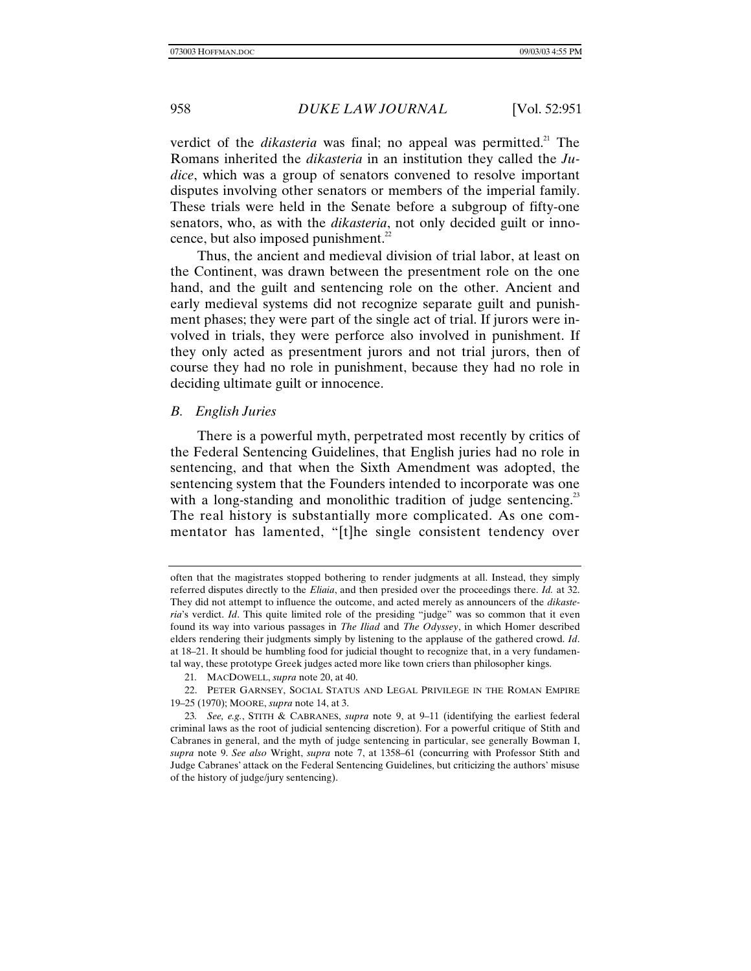verdict of the *dikasteria* was final; no appeal was permitted.<sup>21</sup> The Romans inherited the *dikasteria* in an institution they called the *Judice*, which was a group of senators convened to resolve important disputes involving other senators or members of the imperial family. These trials were held in the Senate before a subgroup of fifty-one senators, who, as with the *dikasteria*, not only decided guilt or innocence, but also imposed punishment. $^{22}$ 

Thus, the ancient and medieval division of trial labor, at least on the Continent, was drawn between the presentment role on the one hand, and the guilt and sentencing role on the other. Ancient and early medieval systems did not recognize separate guilt and punishment phases; they were part of the single act of trial. If jurors were involved in trials, they were perforce also involved in punishment. If they only acted as presentment jurors and not trial jurors, then of course they had no role in punishment, because they had no role in deciding ultimate guilt or innocence.

# *B. English Juries*

There is a powerful myth, perpetrated most recently by critics of the Federal Sentencing Guidelines, that English juries had no role in sentencing, and that when the Sixth Amendment was adopted, the sentencing system that the Founders intended to incorporate was one with a long-standing and monolithic tradition of judge sentencing.<sup>23</sup> The real history is substantially more complicated. As one commentator has lamented, "[t]he single consistent tendency over

often that the magistrates stopped bothering to render judgments at all. Instead, they simply referred disputes directly to the *Eliaia*, and then presided over the proceedings there. *Id.* at 32. They did not attempt to influence the outcome, and acted merely as announcers of the *dikasteria*'s verdict. *Id*. This quite limited role of the presiding "judge" was so common that it even found its way into various passages in *The Iliad* and *The Odyssey*, in which Homer described elders rendering their judgments simply by listening to the applause of the gathered crowd. *Id*. at 18–21. It should be humbling food for judicial thought to recognize that, in a very fundamental way, these prototype Greek judges acted more like town criers than philosopher kings.

<sup>21</sup>*.* MACDOWELL, *supra* note 20, at 40.

<sup>22.</sup> PETER GARNSEY, SOCIAL STATUS AND LEGAL PRIVILEGE IN THE ROMAN EMPIRE 19–25 (1970); MOORE, *supra* note 14, at 3.

<sup>23</sup>*. See, e.g.*, STITH & CABRANES, *supra* note 9, at 9–11 (identifying the earliest federal criminal laws as the root of judicial sentencing discretion). For a powerful critique of Stith and Cabranes in general, and the myth of judge sentencing in particular, see generally Bowman I, *supra* note 9. *See also* Wright, *supra* note 7, at 1358–61 (concurring with Professor Stith and Judge Cabranes' attack on the Federal Sentencing Guidelines, but criticizing the authors' misuse of the history of judge/jury sentencing).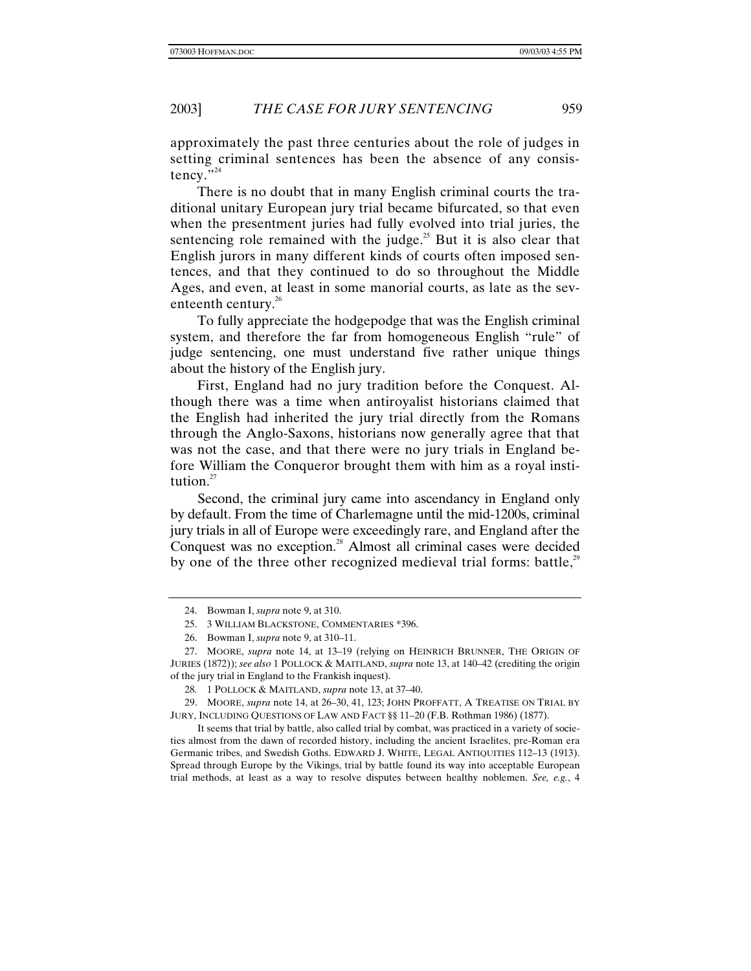approximately the past three centuries about the role of judges in setting criminal sentences has been the absence of any consistency."<sup>24</sup>

There is no doubt that in many English criminal courts the traditional unitary European jury trial became bifurcated, so that even when the presentment juries had fully evolved into trial juries, the sentencing role remained with the judge.<sup>25</sup> But it is also clear that English jurors in many different kinds of courts often imposed sentences, and that they continued to do so throughout the Middle Ages, and even, at least in some manorial courts, as late as the seventeenth century.<sup>26</sup>

To fully appreciate the hodgepodge that was the English criminal system, and therefore the far from homogeneous English "rule" of judge sentencing, one must understand five rather unique things about the history of the English jury.

First, England had no jury tradition before the Conquest. Although there was a time when antiroyalist historians claimed that the English had inherited the jury trial directly from the Romans through the Anglo-Saxons, historians now generally agree that that was not the case, and that there were no jury trials in England before William the Conqueror brought them with him as a royal institution. $27$ 

Second, the criminal jury came into ascendancy in England only by default. From the time of Charlemagne until the mid-1200s, criminal jury trials in all of Europe were exceedingly rare, and England after the Conquest was no exception.<sup>28</sup> Almost all criminal cases were decided by one of the three other recognized medieval trial forms: battle, $^{29}$ 

<sup>24.</sup> Bowman I, *supra* note 9, at 310.

<sup>25. 3</sup> WILLIAM BLACKSTONE, COMMENTARIES \*396.

<sup>26.</sup> Bowman I, *supra* note 9, at 310–11.

<sup>27.</sup> MOORE, *supra* note 14, at 13–19 (relying on HEINRICH BRUNNER, THE ORIGIN OF JURIES (1872)); *see also* 1 POLLOCK & MAITLAND, *supra* note 13, at 140–42 (crediting the origin of the jury trial in England to the Frankish inquest).

<sup>28</sup>*.* 1 POLLOCK & MAITLAND, *supra* note 13, at 37–40.

<sup>29.</sup> MOORE, *supra* note 14, at 26–30, 41, 123; JOHN PROFFATT, A TREATISE ON TRIAL BY JURY, INCLUDING QUESTIONS OF LAW AND FACT §§ 11–20 (F.B. Rothman 1986) (1877).

It seems that trial by battle, also called trial by combat, was practiced in a variety of societies almost from the dawn of recorded history, including the ancient Israelites, pre-Roman era Germanic tribes, and Swedish Goths. EDWARD J. WHITE, LEGAL ANTIQUITIES 112–13 (1913). Spread through Europe by the Vikings, trial by battle found its way into acceptable European trial methods, at least as a way to resolve disputes between healthy noblemen. *See, e.g.*, 4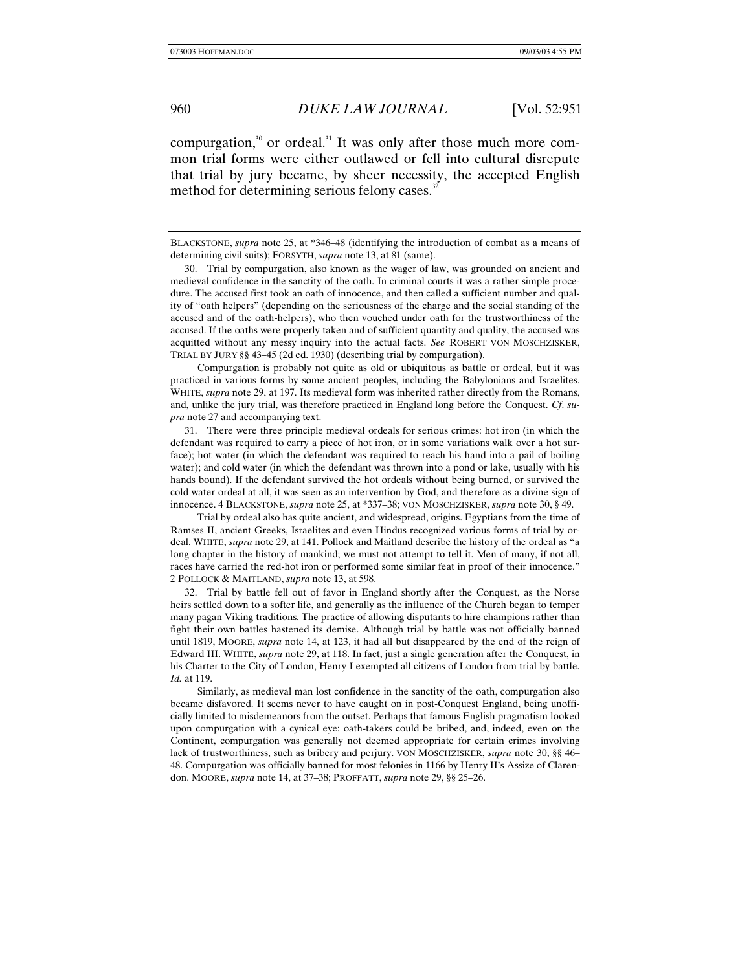compurgation, $30$  or ordeal.<sup>31</sup> It was only after those much more common trial forms were either outlawed or fell into cultural disrepute that trial by jury became, by sheer necessity, the accepted English method for determining serious felony cases.<sup>32</sup>

Compurgation is probably not quite as old or ubiquitous as battle or ordeal, but it was practiced in various forms by some ancient peoples, including the Babylonians and Israelites. WHITE, *supra* note 29, at 197. Its medieval form was inherited rather directly from the Romans, and, unlike the jury trial, was therefore practiced in England long before the Conquest. *Cf*. *supra* note 27 and accompanying text.

31. There were three principle medieval ordeals for serious crimes: hot iron (in which the defendant was required to carry a piece of hot iron, or in some variations walk over a hot surface); hot water (in which the defendant was required to reach his hand into a pail of boiling water); and cold water (in which the defendant was thrown into a pond or lake, usually with his hands bound). If the defendant survived the hot ordeals without being burned, or survived the cold water ordeal at all, it was seen as an intervention by God, and therefore as a divine sign of innocence. 4 BLACKSTONE, *supra* note 25, at \*337–38; VON MOSCHZISKER, *supra* note 30, § 49.

Trial by ordeal also has quite ancient, and widespread, origins. Egyptians from the time of Ramses II, ancient Greeks, Israelites and even Hindus recognized various forms of trial by ordeal. WHITE, *supra* note 29, at 141. Pollock and Maitland describe the history of the ordeal as "a long chapter in the history of mankind; we must not attempt to tell it. Men of many, if not all, races have carried the red-hot iron or performed some similar feat in proof of their innocence." 2 POLLOCK & MAITLAND, *supra* note 13, at 598.

32. Trial by battle fell out of favor in England shortly after the Conquest, as the Norse heirs settled down to a softer life, and generally as the influence of the Church began to temper many pagan Viking traditions. The practice of allowing disputants to hire champions rather than fight their own battles hastened its demise. Although trial by battle was not officially banned until 1819, MOORE, *supra* note 14, at 123, it had all but disappeared by the end of the reign of Edward III. WHITE, *supra* note 29, at 118. In fact, just a single generation after the Conquest, in his Charter to the City of London, Henry I exempted all citizens of London from trial by battle. *Id.* at 119.

Similarly, as medieval man lost confidence in the sanctity of the oath, compurgation also became disfavored. It seems never to have caught on in post-Conquest England, being unofficially limited to misdemeanors from the outset. Perhaps that famous English pragmatism looked upon compurgation with a cynical eye: oath-takers could be bribed, and, indeed, even on the Continent, compurgation was generally not deemed appropriate for certain crimes involving lack of trustworthiness, such as bribery and perjury. VON MOSCHZISKER, *supra* note 30, §§ 46– 48. Compurgation was officially banned for most felonies in 1166 by Henry II's Assize of Clarendon. MOORE, *supra* note 14, at 37–38; PROFFATT, *supra* note 29, §§ 25–26.

BLACKSTONE, *supra* note 25, at \*346–48 (identifying the introduction of combat as a means of determining civil suits); FORSYTH, *supra* note 13, at 81 (same).

<sup>30.</sup> Trial by compurgation, also known as the wager of law, was grounded on ancient and medieval confidence in the sanctity of the oath. In criminal courts it was a rather simple procedure. The accused first took an oath of innocence, and then called a sufficient number and quality of "oath helpers" (depending on the seriousness of the charge and the social standing of the accused and of the oath-helpers), who then vouched under oath for the trustworthiness of the accused. If the oaths were properly taken and of sufficient quantity and quality, the accused was acquitted without any messy inquiry into the actual facts. *See* ROBERT VON MOSCHZISKER, TRIAL BY JURY §§ 43–45 (2d ed. 1930) (describing trial by compurgation).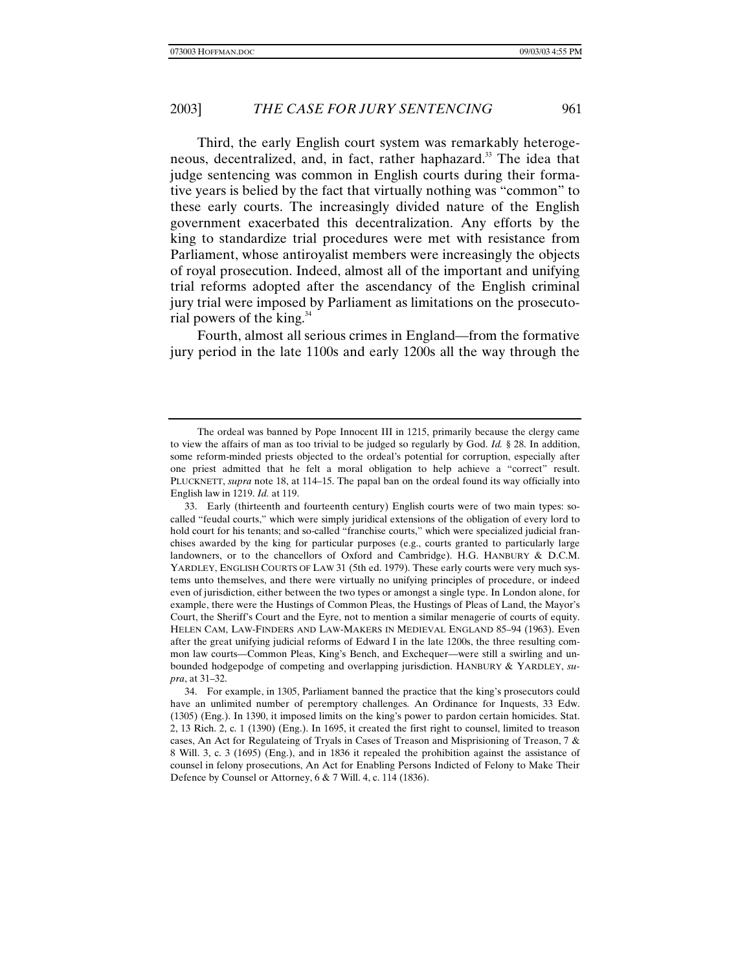Third, the early English court system was remarkably heterogeneous, decentralized, and, in fact, rather haphazard.<sup>33</sup> The idea that judge sentencing was common in English courts during their formative years is belied by the fact that virtually nothing was "common" to these early courts. The increasingly divided nature of the English government exacerbated this decentralization. Any efforts by the king to standardize trial procedures were met with resistance from Parliament, whose antiroyalist members were increasingly the objects of royal prosecution. Indeed, almost all of the important and unifying trial reforms adopted after the ascendancy of the English criminal jury trial were imposed by Parliament as limitations on the prosecutorial powers of the king.<sup>34</sup>

Fourth, almost all serious crimes in England—from the formative jury period in the late 1100s and early 1200s all the way through the

The ordeal was banned by Pope Innocent III in 1215, primarily because the clergy came to view the affairs of man as too trivial to be judged so regularly by God. *Id.* § 28. In addition, some reform-minded priests objected to the ordeal's potential for corruption, especially after one priest admitted that he felt a moral obligation to help achieve a "correct" result. PLUCKNETT, *supra* note 18, at 114–15. The papal ban on the ordeal found its way officially into English law in 1219. *Id.* at 119.

<sup>33.</sup> Early (thirteenth and fourteenth century) English courts were of two main types: socalled "feudal courts," which were simply juridical extensions of the obligation of every lord to hold court for his tenants; and so-called "franchise courts," which were specialized judicial franchises awarded by the king for particular purposes (e.g., courts granted to particularly large landowners, or to the chancellors of Oxford and Cambridge). H.G. HANBURY & D.C.M. YARDLEY, ENGLISH COURTS OF LAW 31 (5th ed. 1979). These early courts were very much systems unto themselves, and there were virtually no unifying principles of procedure, or indeed even of jurisdiction, either between the two types or amongst a single type. In London alone, for example, there were the Hustings of Common Pleas, the Hustings of Pleas of Land, the Mayor's Court, the Sheriff's Court and the Eyre, not to mention a similar menagerie of courts of equity. HELEN CAM, LAW-FINDERS AND LAW-MAKERS IN MEDIEVAL ENGLAND 85–94 (1963). Even after the great unifying judicial reforms of Edward I in the late 1200s, the three resulting common law courts—Common Pleas, King's Bench, and Exchequer—were still a swirling and unbounded hodgepodge of competing and overlapping jurisdiction. HANBURY & YARDLEY, *supra*, at 31–32.

<sup>34.</sup> For example, in 1305, Parliament banned the practice that the king's prosecutors could have an unlimited number of peremptory challenges. An Ordinance for Inquests, 33 Edw. (1305) (Eng.). In 1390, it imposed limits on the king's power to pardon certain homicides. Stat. 2, 13 Rich. 2, c. 1 (1390) (Eng.). In 1695, it created the first right to counsel, limited to treason cases, An Act for Regulateing of Tryals in Cases of Treason and Misprisioning of Treason, 7 & 8 Will. 3, c. 3 (1695) (Eng.), and in 1836 it repealed the prohibition against the assistance of counsel in felony prosecutions, An Act for Enabling Persons Indicted of Felony to Make Their Defence by Counsel or Attorney, 6 & 7 Will. 4, c. 114 (1836).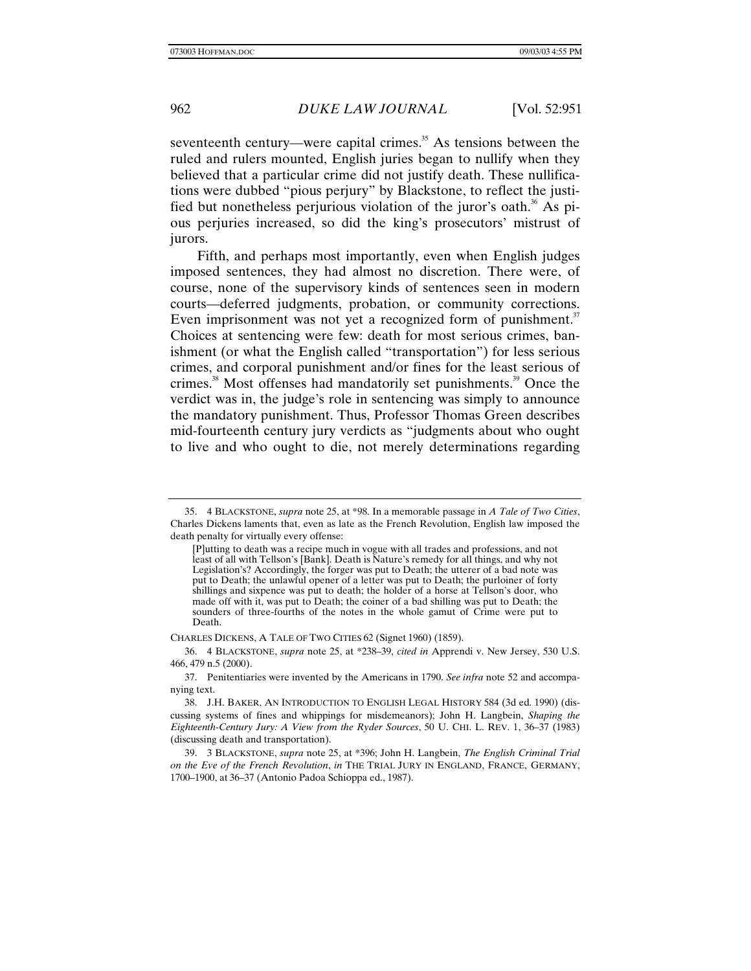seventeenth century—were capital crimes. $35$  As tensions between the ruled and rulers mounted, English juries began to nullify when they believed that a particular crime did not justify death. These nullifications were dubbed "pious perjury" by Blackstone, to reflect the justified but nonetheless perjurious violation of the juror's oath.<sup>36</sup> As pious perjuries increased, so did the king's prosecutors' mistrust of jurors.

Fifth, and perhaps most importantly, even when English judges imposed sentences, they had almost no discretion. There were, of course, none of the supervisory kinds of sentences seen in modern courts—deferred judgments, probation, or community corrections. Even imprisonment was not yet a recognized form of punishment. $37$ Choices at sentencing were few: death for most serious crimes, banishment (or what the English called "transportation") for less serious crimes, and corporal punishment and/or fines for the least serious of crimes.<sup>38</sup> Most offenses had mandatorily set punishments.<sup>39</sup> Once the verdict was in, the judge's role in sentencing was simply to announce the mandatory punishment. Thus, Professor Thomas Green describes mid-fourteenth century jury verdicts as "judgments about who ought to live and who ought to die, not merely determinations regarding

#### CHARLES DICKENS, A TALE OF TWO CITIES 62 (Signet 1960) (1859).

36. 4 BLACKSTONE, *supra* note 25, at \*238–39, *cited in* Apprendi v. New Jersey, 530 U.S. 466, 479 n.5 (2000).

<sup>35. 4</sup> BLACKSTONE, *supra* note 25, at \*98. In a memorable passage in *A Tale of Two Cities*, Charles Dickens laments that, even as late as the French Revolution, English law imposed the death penalty for virtually every offense:

<sup>[</sup>P]utting to death was a recipe much in vogue with all trades and professions, and not least of all with Tellson's [Bank]. Death is Nature's remedy for all things, and why not Legislation's? Accordingly, the forger was put to Death; the utterer of a bad note was put to Death; the unlawful opener of a letter was put to Death; the purloiner of forty shillings and sixpence was put to death; the holder of a horse at Tellson's door, who made off with it, was put to Death; the coiner of a bad shilling was put to Death; the sounders of three-fourths of the notes in the whole gamut of Crime were put to Death.

<sup>37.</sup> Penitentiaries were invented by the Americans in 1790. *See infra* note 52 and accompanying text.

<sup>38.</sup> J.H. BAKER, AN INTRODUCTION TO ENGLISH LEGAL HISTORY 584 (3d ed. 1990) (discussing systems of fines and whippings for misdemeanors); John H. Langbein, *Shaping the Eighteenth-Century Jury: A View from the Ryder Sources*, 50 U. CHI. L. REV. 1, 36–37 (1983) (discussing death and transportation).

<sup>39. 3</sup> BLACKSTONE, *supra* note 25, at \*396; John H. Langbein, *The English Criminal Trial on the Eve of the French Revolution*, *in* THE TRIAL JURY IN ENGLAND, FRANCE, GERMANY, 1700–1900, at 36–37 (Antonio Padoa Schioppa ed., 1987).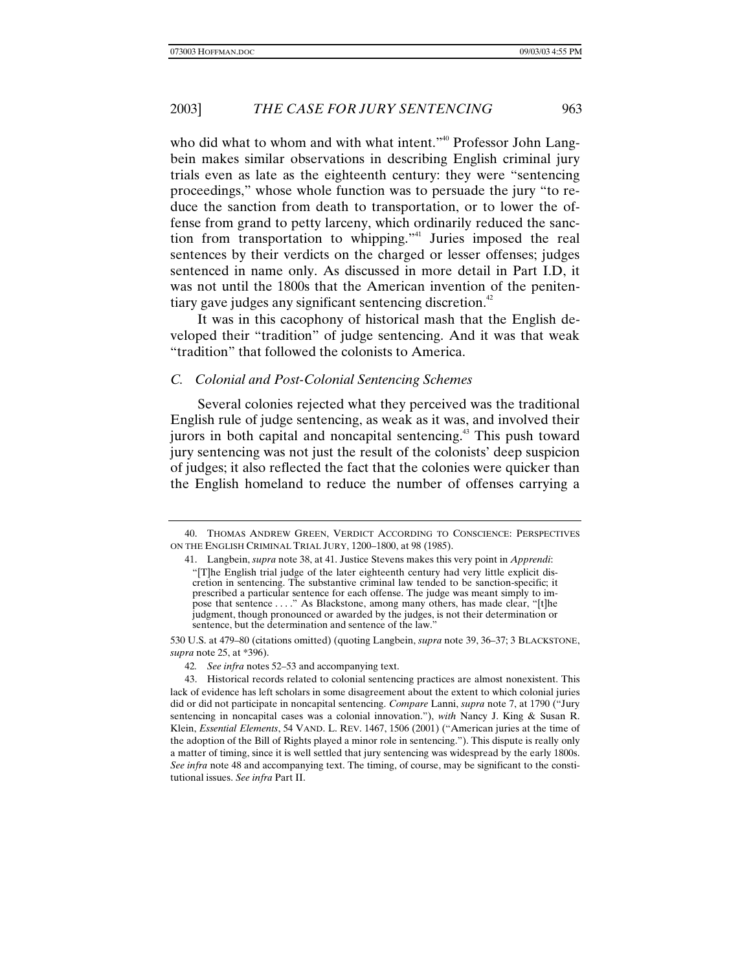who did what to whom and with what intent."<sup>40</sup> Professor John Langbein makes similar observations in describing English criminal jury trials even as late as the eighteenth century: they were "sentencing proceedings," whose whole function was to persuade the jury "to reduce the sanction from death to transportation, or to lower the offense from grand to petty larceny, which ordinarily reduced the sanction from transportation to whipping."41 Juries imposed the real sentences by their verdicts on the charged or lesser offenses; judges sentenced in name only. As discussed in more detail in Part I.D, it was not until the 1800s that the American invention of the penitentiary gave judges any significant sentencing discretion.<sup>42</sup>

It was in this cacophony of historical mash that the English developed their "tradition" of judge sentencing. And it was that weak "tradition" that followed the colonists to America.

### *C. Colonial and Post-Colonial Sentencing Schemes*

Several colonies rejected what they perceived was the traditional English rule of judge sentencing, as weak as it was, and involved their jurors in both capital and noncapital sentencing.<sup>43</sup> This push toward jury sentencing was not just the result of the colonists' deep suspicion of judges; it also reflected the fact that the colonies were quicker than the English homeland to reduce the number of offenses carrying a

<sup>40.</sup> THOMAS ANDREW GREEN, VERDICT ACCORDING TO CONSCIENCE: PERSPECTIVES ON THE ENGLISH CRIMINAL TRIAL JURY, 1200–1800, at 98 (1985).

<sup>41.</sup> Langbein, *supra* note 38, at 41. Justice Stevens makes this very point in *Apprendi*: "[T]he English trial judge of the later eighteenth century had very little explicit discretion in sentencing. The substantive criminal law tended to be sanction-specific; it prescribed a particular sentence for each offense. The judge was meant simply to impose that sentence . . . ." As Blackstone, among many others, has made clear, "[t]he judgment, though pronounced or awarded by the judges, is not their determination or sentence, but the determination and sentence of the law.'

<sup>530</sup> U.S. at 479–80 (citations omitted) (quoting Langbein, *supra* note 39, 36–37; 3 BLACKSTONE, *supra* note 25, at \*396).

<sup>42</sup>*. See infra* notes 52–53 and accompanying text.

<sup>43.</sup> Historical records related to colonial sentencing practices are almost nonexistent. This lack of evidence has left scholars in some disagreement about the extent to which colonial juries did or did not participate in noncapital sentencing. *Compare* Lanni, *supra* note 7, at 1790 ("Jury sentencing in noncapital cases was a colonial innovation."), *with* Nancy J. King & Susan R. Klein, *Essential Elements*, 54 VAND. L. REV. 1467, 1506 (2001) ("American juries at the time of the adoption of the Bill of Rights played a minor role in sentencing."). This dispute is really only a matter of timing, since it is well settled that jury sentencing was widespread by the early 1800s. *See infra* note 48 and accompanying text. The timing, of course, may be significant to the constitutional issues. *See infra* Part II.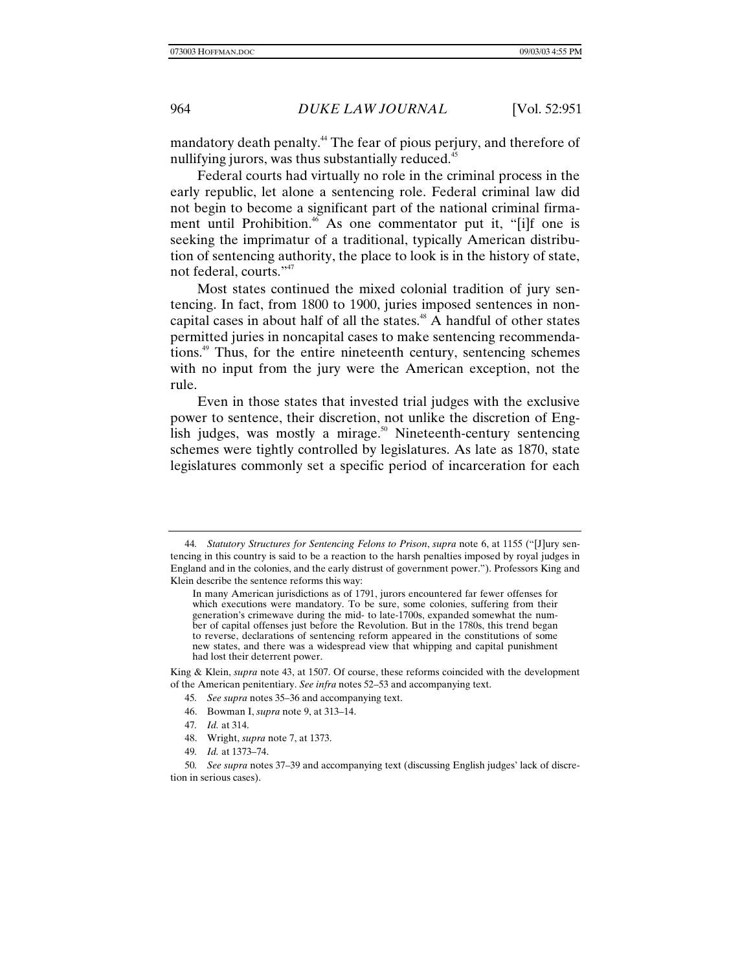mandatory death penalty.44 The fear of pious perjury, and therefore of nullifying jurors, was thus substantially reduced.<sup>45</sup>

Federal courts had virtually no role in the criminal process in the early republic, let alone a sentencing role. Federal criminal law did not begin to become a significant part of the national criminal firmament until Prohibition.<sup>46</sup> As one commentator put it, "[i]f one is seeking the imprimatur of a traditional, typically American distribution of sentencing authority, the place to look is in the history of state, not federal, courts."<sup>47</sup>

Most states continued the mixed colonial tradition of jury sentencing. In fact, from 1800 to 1900, juries imposed sentences in noncapital cases in about half of all the states.<sup> $48$ </sup> A handful of other states permitted juries in noncapital cases to make sentencing recommendations.49 Thus, for the entire nineteenth century, sentencing schemes with no input from the jury were the American exception, not the rule.

Even in those states that invested trial judges with the exclusive power to sentence, their discretion, not unlike the discretion of English judges, was mostly a mirage.<sup>50</sup> Nineteenth-century sentencing schemes were tightly controlled by legislatures. As late as 1870, state legislatures commonly set a specific period of incarceration for each

- 47*. Id.* at 314.
- 48. Wright, *supra* note 7, at 1373.
- 49*. Id.* at 1373–74.

<sup>44</sup>*. Statutory Structures for Sentencing Felons to Prison*, *supra* note 6, at 1155 ("[J]ury sentencing in this country is said to be a reaction to the harsh penalties imposed by royal judges in England and in the colonies, and the early distrust of government power."). Professors King and Klein describe the sentence reforms this way:

In many American jurisdictions as of 1791, jurors encountered far fewer offenses for which executions were mandatory. To be sure, some colonies, suffering from their generation's crimewave during the mid- to late-1700s, expanded somewhat the number of capital offenses just before the Revolution. But in the 1780s, this trend began to reverse, declarations of sentencing reform appeared in the constitutions of some new states, and there was a widespread view that whipping and capital punishment had lost their deterrent power.

King & Klein, *supra* note 43, at 1507. Of course, these reforms coincided with the development of the American penitentiary. *See infra* notes 52–53 and accompanying text.

<sup>45</sup>*. See supra* notes 35–36 and accompanying text.

<sup>46.</sup> Bowman I, *supra* note 9, at 313–14.

<sup>50</sup>*. See supra* notes 37–39 and accompanying text (discussing English judges' lack of discretion in serious cases).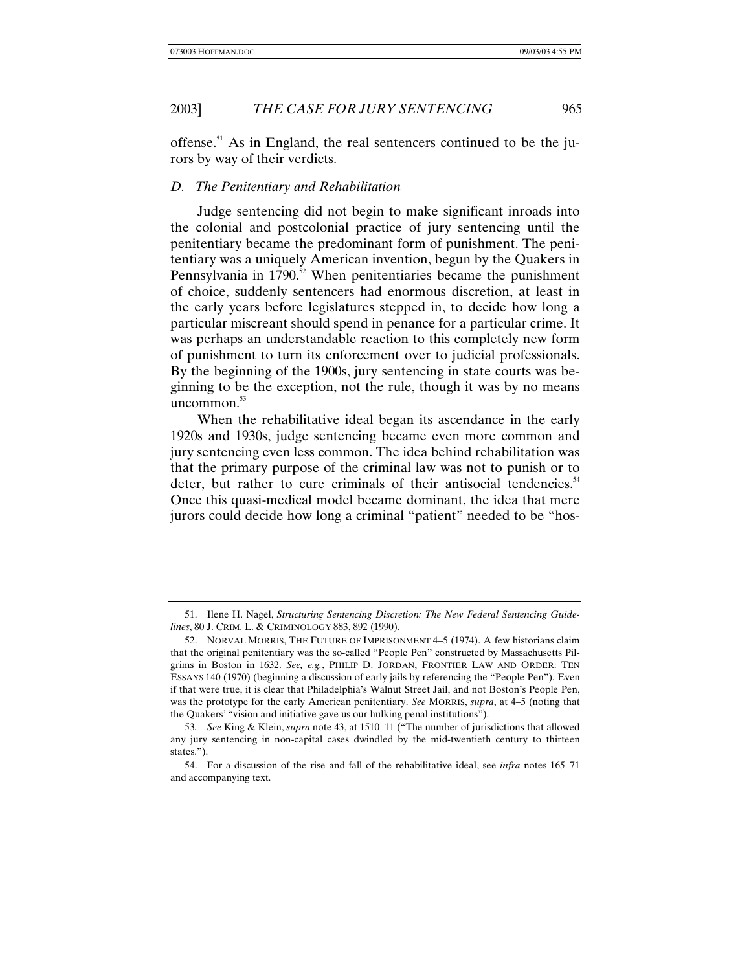offense.<sup>51</sup> As in England, the real sentencers continued to be the jurors by way of their verdicts.

### *D. The Penitentiary and Rehabilitation*

Judge sentencing did not begin to make significant inroads into the colonial and postcolonial practice of jury sentencing until the penitentiary became the predominant form of punishment. The penitentiary was a uniquely American invention, begun by the Quakers in Pennsylvania in  $1790$ <sup>52</sup> When penitentiaries became the punishment of choice, suddenly sentencers had enormous discretion, at least in the early years before legislatures stepped in, to decide how long a particular miscreant should spend in penance for a particular crime. It was perhaps an understandable reaction to this completely new form of punishment to turn its enforcement over to judicial professionals. By the beginning of the 1900s, jury sentencing in state courts was beginning to be the exception, not the rule, though it was by no means uncommon. $53$ 

When the rehabilitative ideal began its ascendance in the early 1920s and 1930s, judge sentencing became even more common and jury sentencing even less common. The idea behind rehabilitation was that the primary purpose of the criminal law was not to punish or to deter, but rather to cure criminals of their antisocial tendencies.<sup>54</sup> Once this quasi-medical model became dominant, the idea that mere jurors could decide how long a criminal "patient" needed to be "hos-

<sup>51.</sup> Ilene H. Nagel, *Structuring Sentencing Discretion: The New Federal Sentencing Guidelines*, 80 J. CRIM. L. & CRIMINOLOGY 883, 892 (1990).

<sup>52.</sup> NORVAL MORRIS, THE FUTURE OF IMPRISONMENT 4–5 (1974). A few historians claim that the original penitentiary was the so-called "People Pen" constructed by Massachusetts Pilgrims in Boston in 1632. *See, e.g.*, PHILIP D. JORDAN, FRONTIER LAW AND ORDER: TEN ESSAYS 140 (1970) (beginning a discussion of early jails by referencing the "People Pen"). Even if that were true, it is clear that Philadelphia's Walnut Street Jail, and not Boston's People Pen, was the prototype for the early American penitentiary. *See* MORRIS, *supra*, at 4–5 (noting that the Quakers' "vision and initiative gave us our hulking penal institutions").

<sup>53</sup>*. See* King & Klein, *supra* note 43, at 1510–11 ("The number of jurisdictions that allowed any jury sentencing in non-capital cases dwindled by the mid-twentieth century to thirteen states.").

<sup>54.</sup> For a discussion of the rise and fall of the rehabilitative ideal, see *infra* notes 165–71 and accompanying text.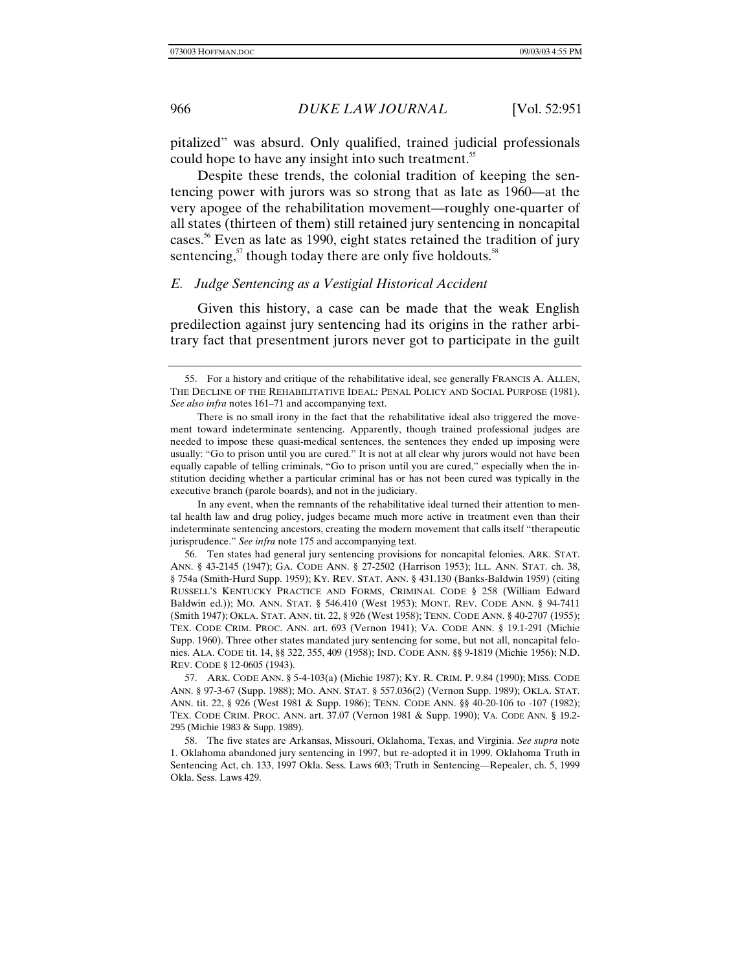pitalized" was absurd. Only qualified, trained judicial professionals could hope to have any insight into such treatment.<sup>55</sup>

Despite these trends, the colonial tradition of keeping the sentencing power with jurors was so strong that as late as 1960—at the very apogee of the rehabilitation movement—roughly one-quarter of all states (thirteen of them) still retained jury sentencing in noncapital cases.56 Even as late as 1990, eight states retained the tradition of jury sentencing, $5<sup>57</sup>$  though today there are only five holdouts.<sup>58</sup>

# *E. Judge Sentencing as a Vestigial Historical Accident*

Given this history, a case can be made that the weak English predilection against jury sentencing had its origins in the rather arbitrary fact that presentment jurors never got to participate in the guilt

In any event, when the remnants of the rehabilitative ideal turned their attention to mental health law and drug policy, judges became much more active in treatment even than their indeterminate sentencing ancestors, creating the modern movement that calls itself "therapeutic jurisprudence." *See infra* note 175 and accompanying text.

56. Ten states had general jury sentencing provisions for noncapital felonies. ARK. STAT. ANN. § 43-2145 (1947); GA. CODE ANN. § 27-2502 (Harrison 1953); ILL. ANN. STAT. ch. 38, § 754a (Smith-Hurd Supp. 1959); KY. REV. STAT. ANN. § 431.130 (Banks-Baldwin 1959) (citing RUSSELL'S KENTUCKY PRACTICE AND FORMS, CRIMINAL CODE § 258 (William Edward Baldwin ed.)); MO. ANN. STAT. § 546.410 (West 1953); MONT. REV. CODE ANN. § 94-7411 (Smith 1947); OKLA. STAT. ANN. tit. 22, § 926 (West 1958); TENN. CODE ANN. § 40-2707 (1955); TEX. CODE CRIM. PROC. ANN. art. 693 (Vernon 1941); VA. CODE ANN. § 19.1-291 (Michie Supp. 1960). Three other states mandated jury sentencing for some, but not all, noncapital felonies. ALA. CODE tit. 14, §§ 322, 355, 409 (1958); IND. CODE ANN. §§ 9-1819 (Michie 1956); N.D. REV. CODE § 12-0605 (1943).

57. ARK. CODE ANN. § 5-4-103(a) (Michie 1987); KY. R. CRIM. P. 9.84 (1990); MISS. CODE ANN. § 97-3-67 (Supp. 1988); MO. ANN. STAT. § 557.036(2) (Vernon Supp. 1989); OKLA. STAT. ANN. tit. 22, § 926 (West 1981 & Supp. 1986); TENN. CODE ANN. §§ 40-20-106 to -107 (1982); TEX. CODE CRIM. PROC. ANN. art. 37.07 (Vernon 1981 & Supp. 1990); VA. CODE ANN. § 19.2- 295 (Michie 1983 & Supp. 1989).

58. The five states are Arkansas, Missouri, Oklahoma, Texas, and Virginia. *See supra* note 1. Oklahoma abandoned jury sentencing in 1997, but re-adopted it in 1999. Oklahoma Truth in Sentencing Act, ch. 133, 1997 Okla. Sess. Laws 603; Truth in Sentencing—Repealer, ch. 5, 1999 Okla. Sess. Laws 429.

<sup>55.</sup> For a history and critique of the rehabilitative ideal, see generally FRANCIS A. ALLEN, THE DECLINE OF THE REHABILITATIVE IDEAL: PENAL POLICY AND SOCIAL PURPOSE (1981). *See also infra* notes 161–71 and accompanying text.

There is no small irony in the fact that the rehabilitative ideal also triggered the movement toward indeterminate sentencing. Apparently, though trained professional judges are needed to impose these quasi-medical sentences, the sentences they ended up imposing were usually: "Go to prison until you are cured." It is not at all clear why jurors would not have been equally capable of telling criminals, "Go to prison until you are cured," especially when the institution deciding whether a particular criminal has or has not been cured was typically in the executive branch (parole boards), and not in the judiciary.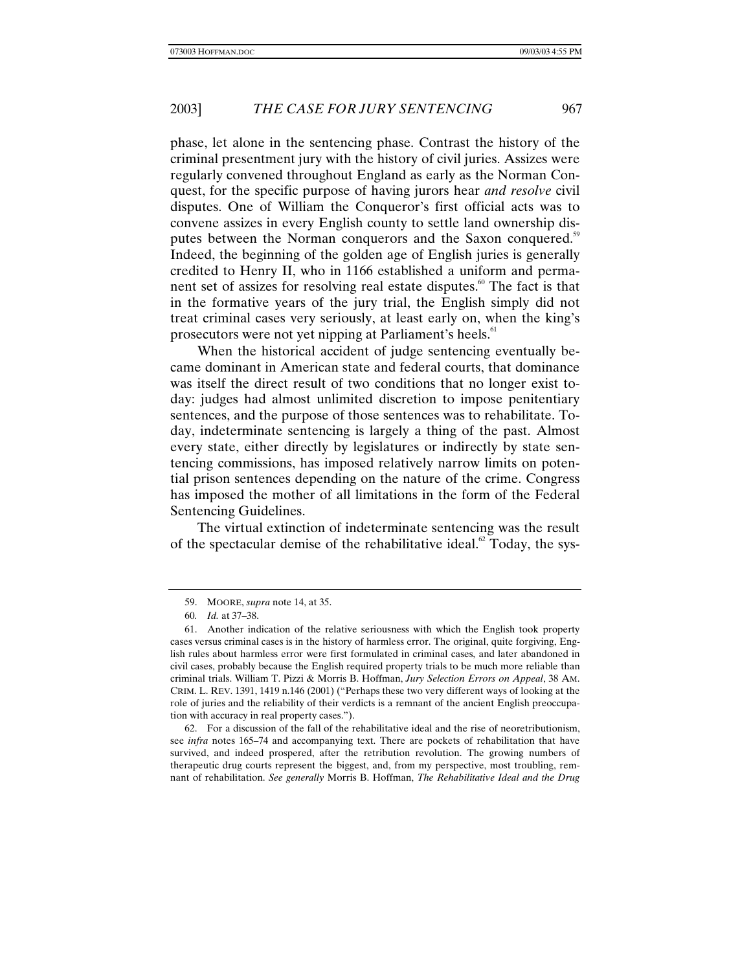phase, let alone in the sentencing phase. Contrast the history of the criminal presentment jury with the history of civil juries. Assizes were regularly convened throughout England as early as the Norman Conquest, for the specific purpose of having jurors hear *and resolve* civil disputes. One of William the Conqueror's first official acts was to convene assizes in every English county to settle land ownership disputes between the Norman conquerors and the Saxon conquered.<sup>59</sup> Indeed, the beginning of the golden age of English juries is generally credited to Henry II, who in 1166 established a uniform and permanent set of assizes for resolving real estate disputes.<sup>60</sup> The fact is that in the formative years of the jury trial, the English simply did not treat criminal cases very seriously, at least early on, when the king's prosecutors were not yet nipping at Parliament's heels.<sup>61</sup>

When the historical accident of judge sentencing eventually became dominant in American state and federal courts, that dominance was itself the direct result of two conditions that no longer exist today: judges had almost unlimited discretion to impose penitentiary sentences, and the purpose of those sentences was to rehabilitate. Today, indeterminate sentencing is largely a thing of the past. Almost every state, either directly by legislatures or indirectly by state sentencing commissions, has imposed relatively narrow limits on potential prison sentences depending on the nature of the crime. Congress has imposed the mother of all limitations in the form of the Federal Sentencing Guidelines.

The virtual extinction of indeterminate sentencing was the result of the spectacular demise of the rehabilitative ideal.<sup>62</sup> Today, the sys-

62. For a discussion of the fall of the rehabilitative ideal and the rise of neoretributionism, see *infra* notes 165–74 and accompanying text. There are pockets of rehabilitation that have survived, and indeed prospered, after the retribution revolution. The growing numbers of therapeutic drug courts represent the biggest, and, from my perspective, most troubling, remnant of rehabilitation. *See generally* Morris B. Hoffman, *The Rehabilitative Ideal and the Drug*

<sup>59.</sup> MOORE, *supra* note 14, at 35.

<sup>60</sup>*. Id.* at 37–38.

<sup>61.</sup> Another indication of the relative seriousness with which the English took property cases versus criminal cases is in the history of harmless error. The original, quite forgiving, English rules about harmless error were first formulated in criminal cases, and later abandoned in civil cases, probably because the English required property trials to be much more reliable than criminal trials. William T. Pizzi & Morris B. Hoffman, *Jury Selection Errors on Appeal*, 38 AM. CRIM. L. REV. 1391, 1419 n.146 (2001) ("Perhaps these two very different ways of looking at the role of juries and the reliability of their verdicts is a remnant of the ancient English preoccupation with accuracy in real property cases.").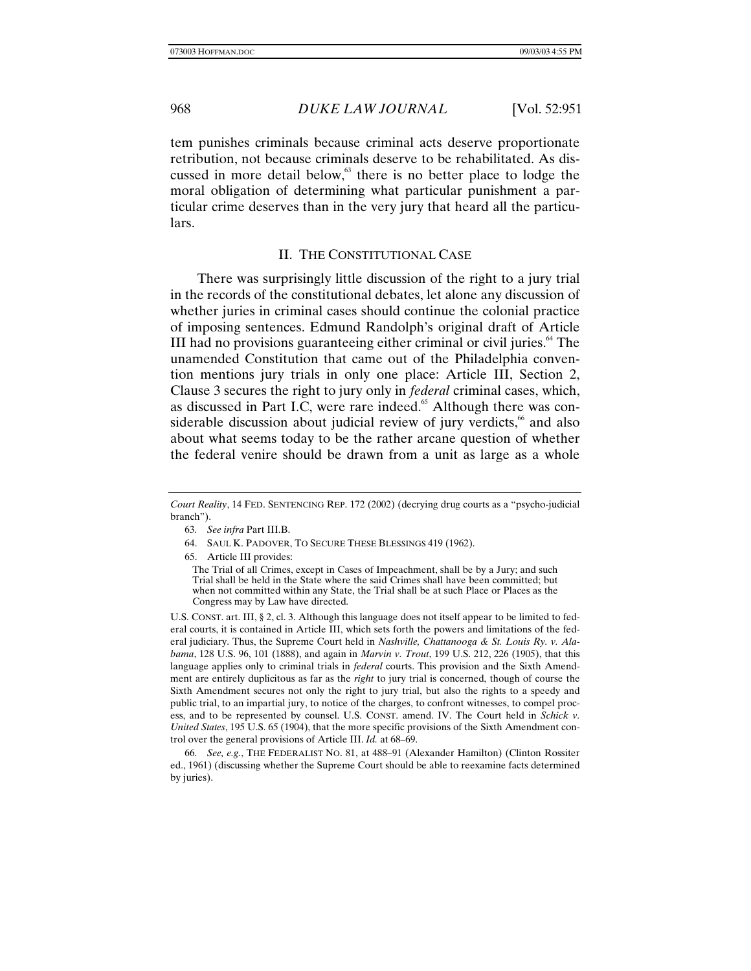tem punishes criminals because criminal acts deserve proportionate retribution, not because criminals deserve to be rehabilitated. As discussed in more detail below,<sup>63</sup> there is no better place to lodge the moral obligation of determining what particular punishment a particular crime deserves than in the very jury that heard all the particulars.

# II. THE CONSTITUTIONAL CASE

There was surprisingly little discussion of the right to a jury trial in the records of the constitutional debates, let alone any discussion of whether juries in criminal cases should continue the colonial practice of imposing sentences. Edmund Randolph's original draft of Article III had no provisions guaranteeing either criminal or civil juries. $64$  The unamended Constitution that came out of the Philadelphia convention mentions jury trials in only one place: Article III, Section 2, Clause 3 secures the right to jury only in *federal* criminal cases, which, as discussed in Part I.C, were rare indeed.<sup>65</sup> Although there was considerable discussion about judicial review of jury verdicts,<sup>66</sup> and also about what seems today to be the rather arcane question of whether the federal venire should be drawn from a unit as large as a whole

- 63*. See infra* Part III.B.
- 64. SAUL K. PADOVER, TO SECURE THESE BLESSINGS 419 (1962).
- 65. Article III provides:

The Trial of all Crimes, except in Cases of Impeachment, shall be by a Jury; and such Trial shall be held in the State where the said Crimes shall have been committed; but when not committed within any State, the Trial shall be at such Place or Places as the Congress may by Law have directed.

U.S. CONST. art. III, § 2, cl. 3. Although this language does not itself appear to be limited to federal courts, it is contained in Article III, which sets forth the powers and limitations of the federal judiciary. Thus, the Supreme Court held in *Nashville, Chattanooga & St. Louis Ry. v. Alabama*, 128 U.S. 96, 101 (1888), and again in *Marvin v. Trout*, 199 U.S. 212, 226 (1905), that this language applies only to criminal trials in *federal* courts. This provision and the Sixth Amendment are entirely duplicitous as far as the *right* to jury trial is concerned, though of course the Sixth Amendment secures not only the right to jury trial, but also the rights to a speedy and public trial, to an impartial jury, to notice of the charges, to confront witnesses, to compel process, and to be represented by counsel. U.S. CONST. amend. IV. The Court held in *Schick v. United States*, 195 U.S. 65 (1904), that the more specific provisions of the Sixth Amendment control over the general provisions of Article III. *Id.* at 68–69.

66*. See, e.g.*, THE FEDERALIST NO. 81, at 488–91 (Alexander Hamilton) (Clinton Rossiter ed., 1961) (discussing whether the Supreme Court should be able to reexamine facts determined by juries).

*Court Reality*, 14 FED. SENTENCING REP. 172 (2002) (decrying drug courts as a "psycho-judicial branch").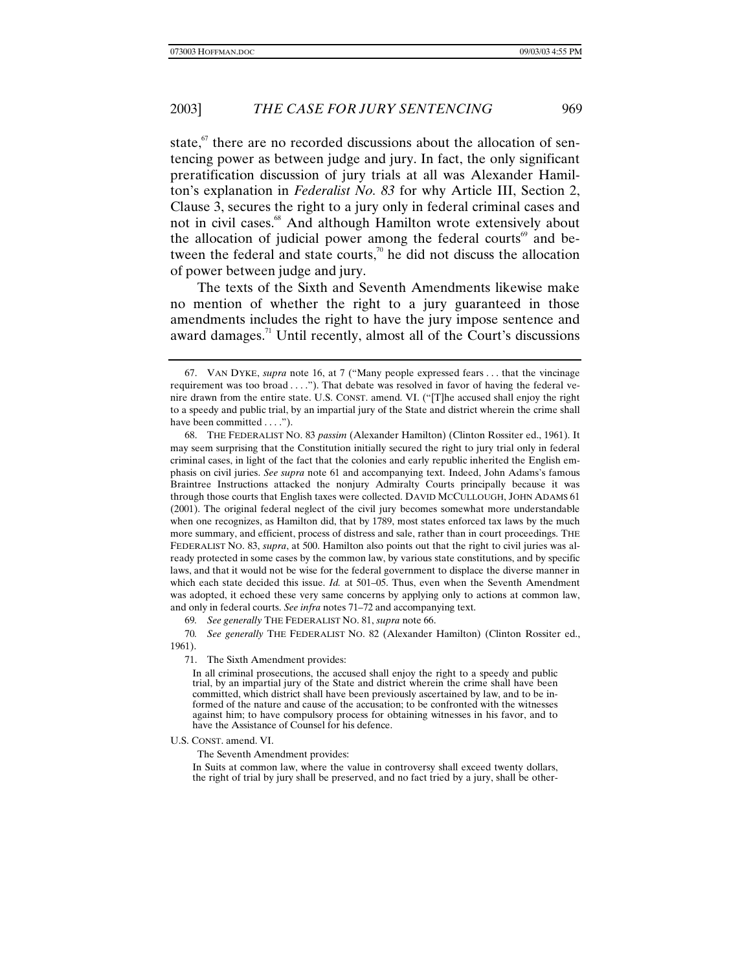state, $\alpha$ <sup>67</sup> there are no recorded discussions about the allocation of sentencing power as between judge and jury. In fact, the only significant preratification discussion of jury trials at all was Alexander Hamilton's explanation in *Federalist No. 83* for why Article III, Section 2, Clause 3, secures the right to a jury only in federal criminal cases and not in civil cases.<sup>68</sup> And although Hamilton wrote extensively about the allocation of judicial power among the federal courts $\theta$  and between the federal and state courts, $\alpha$ <sup>0</sup> he did not discuss the allocation of power between judge and jury.

The texts of the Sixth and Seventh Amendments likewise make no mention of whether the right to a jury guaranteed in those amendments includes the right to have the jury impose sentence and award damages.<sup>71</sup> Until recently, almost all of the Court's discussions

69*. See generally* THE FEDERALIST NO. 81, *supra* note 66.

70*. See generally* THE FEDERALIST NO. 82 (Alexander Hamilton) (Clinton Rossiter ed., 1961).

71. The Sixth Amendment provides:

In all criminal prosecutions, the accused shall enjoy the right to a speedy and public trial, by an impartial jury of the State and district wherein the crime shall have been committed, which district shall have been previously ascertained by law, and to be informed of the nature and cause of the accusation; to be confronted with the witnesses against him; to have compulsory process for obtaining witnesses in his favor, and to have the Assistance of Counsel for his defence.

#### U.S. CONST. amend. VI.

The Seventh Amendment provides:

In Suits at common law, where the value in controversy shall exceed twenty dollars, the right of trial by jury shall be preserved, and no fact tried by a jury, shall be other-

<sup>67.</sup> VAN DYKE, *supra* note 16, at 7 ("Many people expressed fears . . . that the vincinage requirement was too broad . . . ."). That debate was resolved in favor of having the federal venire drawn from the entire state. U.S. CONST. amend. VI. ("[T]he accused shall enjoy the right to a speedy and public trial, by an impartial jury of the State and district wherein the crime shall have been committed . . . .").

<sup>68.</sup> THE FEDERALIST NO. 83 *passim* (Alexander Hamilton) (Clinton Rossiter ed., 1961). It may seem surprising that the Constitution initially secured the right to jury trial only in federal criminal cases, in light of the fact that the colonies and early republic inherited the English emphasis on civil juries. *See supra* note 61 and accompanying text. Indeed, John Adams's famous Braintree Instructions attacked the nonjury Admiralty Courts principally because it was through those courts that English taxes were collected. DAVID MCCULLOUGH, JOHN ADAMS 61 (2001). The original federal neglect of the civil jury becomes somewhat more understandable when one recognizes, as Hamilton did, that by 1789, most states enforced tax laws by the much more summary, and efficient, process of distress and sale, rather than in court proceedings. THE FEDERALIST NO. 83, *supra*, at 500. Hamilton also points out that the right to civil juries was already protected in some cases by the common law, by various state constitutions, and by specific laws, and that it would not be wise for the federal government to displace the diverse manner in which each state decided this issue. *Id.* at 501–05. Thus, even when the Seventh Amendment was adopted, it echoed these very same concerns by applying only to actions at common law, and only in federal courts. *See infra* notes 71–72 and accompanying text.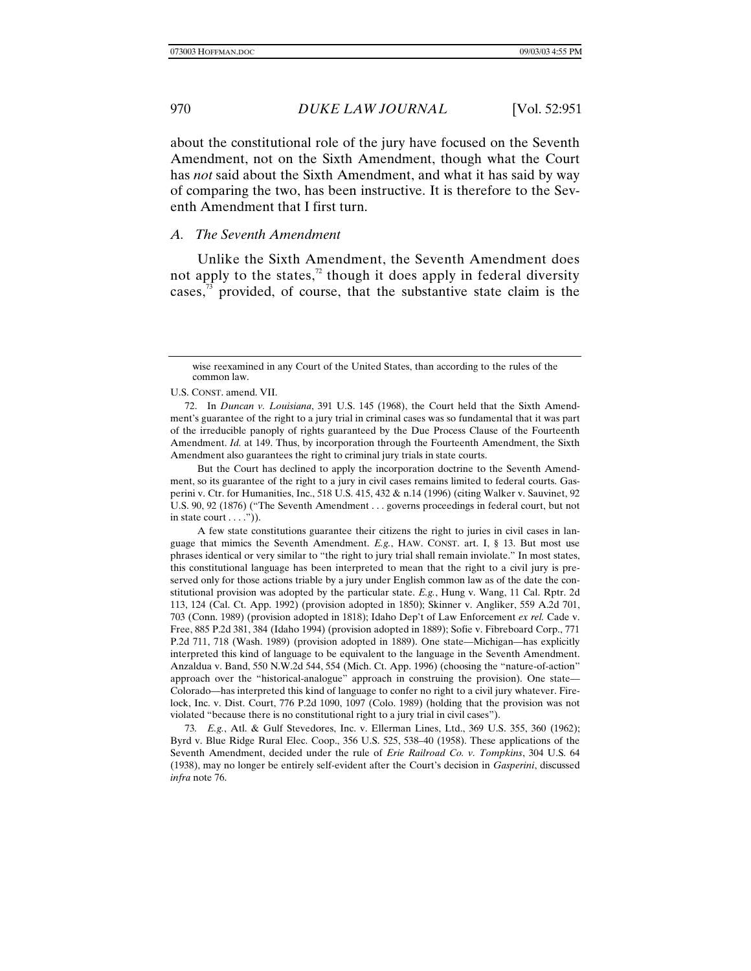about the constitutional role of the jury have focused on the Seventh Amendment, not on the Sixth Amendment, though what the Court has *not* said about the Sixth Amendment, and what it has said by way of comparing the two, has been instructive. It is therefore to the Seventh Amendment that I first turn.

# *A. The Seventh Amendment*

Unlike the Sixth Amendment, the Seventh Amendment does not apply to the states, $^2$  though it does apply in federal diversity cases, $3\frac{1}{3}$  provided, of course, that the substantive state claim is the

U.S. CONST. amend. VII.

But the Court has declined to apply the incorporation doctrine to the Seventh Amendment, so its guarantee of the right to a jury in civil cases remains limited to federal courts. Gasperini v. Ctr. for Humanities, Inc., 518 U.S. 415, 432 & n.14 (1996) (citing Walker v. Sauvinet, 92 U.S. 90, 92 (1876) ("The Seventh Amendment . . . governs proceedings in federal court, but not in state court  $\dots$ .").

A few state constitutions guarantee their citizens the right to juries in civil cases in language that mimics the Seventh Amendment. *E.g.*, HAW. CONST. art. I, § 13. But most use phrases identical or very similar to "the right to jury trial shall remain inviolate." In most states, this constitutional language has been interpreted to mean that the right to a civil jury is preserved only for those actions triable by a jury under English common law as of the date the constitutional provision was adopted by the particular state. *E.g.*, Hung v. Wang, 11 Cal. Rptr. 2d 113, 124 (Cal. Ct. App. 1992) (provision adopted in 1850); Skinner v. Angliker, 559 A.2d 701, 703 (Conn. 1989) (provision adopted in 1818); Idaho Dep't of Law Enforcement *ex rel.* Cade v. Free, 885 P.2d 381, 384 (Idaho 1994) (provision adopted in 1889); Sofie v. Fibreboard Corp., 771 P.2d 711, 718 (Wash. 1989) (provision adopted in 1889). One state—Michigan—has explicitly interpreted this kind of language to be equivalent to the language in the Seventh Amendment. Anzaldua v. Band, 550 N.W.2d 544, 554 (Mich. Ct. App. 1996) (choosing the "nature-of-action" approach over the "historical-analogue" approach in construing the provision). One state— Colorado—has interpreted this kind of language to confer no right to a civil jury whatever. Firelock, Inc. v. Dist. Court, 776 P.2d 1090, 1097 (Colo. 1989) (holding that the provision was not violated "because there is no constitutional right to a jury trial in civil cases").

73*. E.g.*, Atl. & Gulf Stevedores, Inc. v. Ellerman Lines, Ltd., 369 U.S. 355, 360 (1962); Byrd v. Blue Ridge Rural Elec. Coop., 356 U.S. 525, 538–40 (1958). These applications of the Seventh Amendment, decided under the rule of *Erie Railroad Co. v. Tompkins*, 304 U.S. 64 (1938), may no longer be entirely self-evident after the Court's decision in *Gasperini*, discussed *infra* note 76.

wise reexamined in any Court of the United States, than according to the rules of the common law.

<sup>72.</sup> In *Duncan v. Louisiana*, 391 U.S. 145 (1968), the Court held that the Sixth Amendment's guarantee of the right to a jury trial in criminal cases was so fundamental that it was part of the irreducible panoply of rights guaranteed by the Due Process Clause of the Fourteenth Amendment. *Id.* at 149. Thus, by incorporation through the Fourteenth Amendment, the Sixth Amendment also guarantees the right to criminal jury trials in state courts.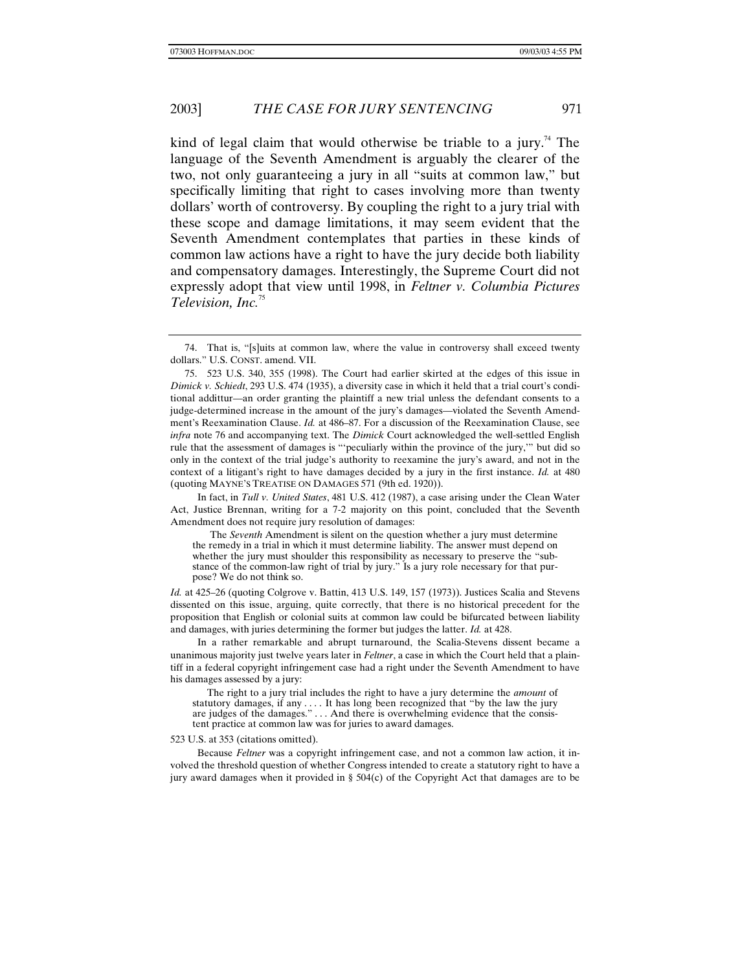kind of legal claim that would otherwise be triable to a jury.<sup>74</sup> The language of the Seventh Amendment is arguably the clearer of the two, not only guaranteeing a jury in all "suits at common law," but specifically limiting that right to cases involving more than twenty dollars' worth of controversy. By coupling the right to a jury trial with these scope and damage limitations, it may seem evident that the Seventh Amendment contemplates that parties in these kinds of common law actions have a right to have the jury decide both liability and compensatory damages. Interestingly, the Supreme Court did not expressly adopt that view until 1998, in *Feltner v. Columbia Pictures Television, Inc.*<sup>75</sup>

In a rather remarkable and abrupt turnaround, the Scalia-Stevens dissent became a unanimous majority just twelve years later in *Feltner*, a case in which the Court held that a plaintiff in a federal copyright infringement case had a right under the Seventh Amendment to have his damages assessed by a jury:

The right to a jury trial includes the right to have a jury determine the *amount* of statutory damages, if any . . . . It has long been recognized that "by the law the jury are judges of the damages." . . . And there is overwhelming evidence that the consistent practice at common law was for juries to award damages.

#### 523 U.S. at 353 (citations omitted).

Because *Feltner* was a copyright infringement case, and not a common law action, it involved the threshold question of whether Congress intended to create a statutory right to have a jury award damages when it provided in §  $504(c)$  of the Copyright Act that damages are to be

<sup>74.</sup> That is, "[s]uits at common law, where the value in controversy shall exceed twenty dollars." U.S. CONST. amend. VII.

<sup>75. 523</sup> U.S. 340, 355 (1998). The Court had earlier skirted at the edges of this issue in *Dimick v. Schiedt*, 293 U.S. 474 (1935), a diversity case in which it held that a trial court's conditional addittur—an order granting the plaintiff a new trial unless the defendant consents to a judge-determined increase in the amount of the jury's damages—violated the Seventh Amendment's Reexamination Clause. *Id.* at 486–87. For a discussion of the Reexamination Clause, see *infra* note 76 and accompanying text. The *Dimick* Court acknowledged the well-settled English rule that the assessment of damages is "'peculiarly within the province of the jury,'" but did so only in the context of the trial judge's authority to reexamine the jury's award, and not in the context of a litigant's right to have damages decided by a jury in the first instance. *Id.* at 480 (quoting MAYNE'S TREATISE ON DAMAGES 571 (9th ed. 1920)).

In fact, in *Tull v. United States*, 481 U.S. 412 (1987), a case arising under the Clean Water Act, Justice Brennan, writing for a 7-2 majority on this point, concluded that the Seventh Amendment does not require jury resolution of damages:

The *Seventh* Amendment is silent on the question whether a jury must determine the remedy in a trial in which it must determine liability. The answer must depend on whether the jury must shoulder this responsibility as necessary to preserve the "substance of the common-law right of trial by jury." Is a jury role necessary for that purpose? We do not think so.

*Id.* at 425–26 (quoting Colgrove v. Battin, 413 U.S. 149, 157 (1973)). Justices Scalia and Stevens dissented on this issue, arguing, quite correctly, that there is no historical precedent for the proposition that English or colonial suits at common law could be bifurcated between liability and damages, with juries determining the former but judges the latter. *Id.* at 428.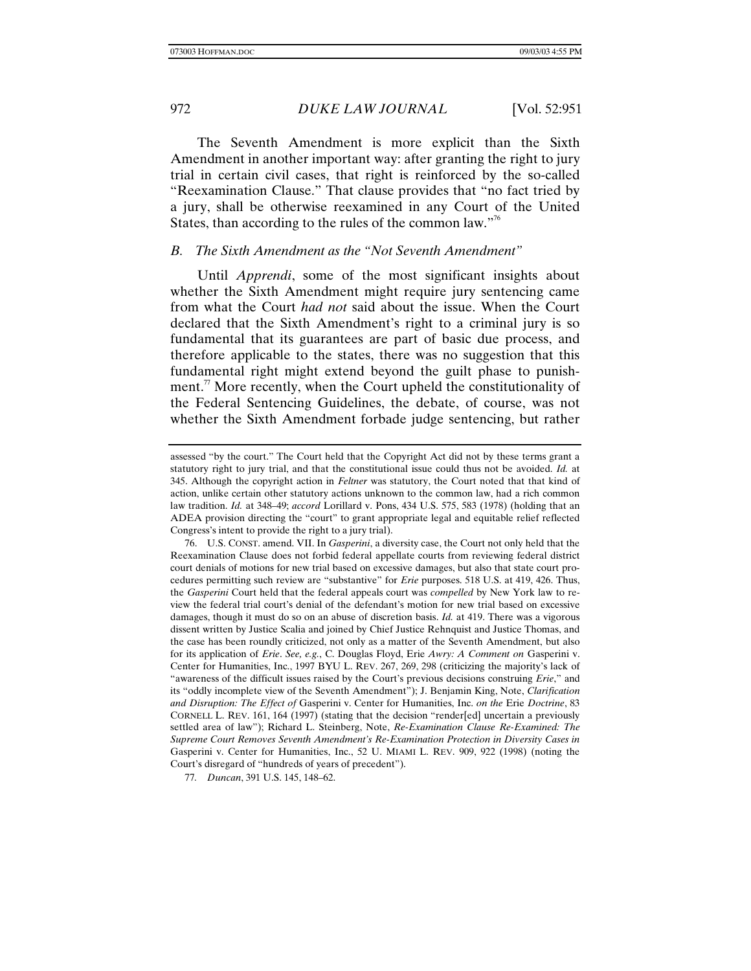The Seventh Amendment is more explicit than the Sixth Amendment in another important way: after granting the right to jury trial in certain civil cases, that right is reinforced by the so-called "Reexamination Clause." That clause provides that "no fact tried by a jury, shall be otherwise reexamined in any Court of the United States, than according to the rules of the common law."<sup>76</sup>

# *B. The Sixth Amendment as the "Not Seventh Amendment"*

Until *Apprendi*, some of the most significant insights about whether the Sixth Amendment might require jury sentencing came from what the Court *had not* said about the issue. When the Court declared that the Sixth Amendment's right to a criminal jury is so fundamental that its guarantees are part of basic due process, and therefore applicable to the states, there was no suggestion that this fundamental right might extend beyond the guilt phase to punishment.<sup>77</sup> More recently, when the Court upheld the constitutionality of the Federal Sentencing Guidelines, the debate, of course, was not whether the Sixth Amendment forbade judge sentencing, but rather

assessed "by the court." The Court held that the Copyright Act did not by these terms grant a statutory right to jury trial, and that the constitutional issue could thus not be avoided. *Id.* at 345. Although the copyright action in *Feltner* was statutory, the Court noted that that kind of action, unlike certain other statutory actions unknown to the common law, had a rich common law tradition. *Id.* at 348–49; *accord* Lorillard v. Pons, 434 U.S. 575, 583 (1978) (holding that an ADEA provision directing the "court" to grant appropriate legal and equitable relief reflected Congress's intent to provide the right to a jury trial).

<sup>76.</sup> U.S. CONST. amend. VII. In *Gasperini*, a diversity case, the Court not only held that the Reexamination Clause does not forbid federal appellate courts from reviewing federal district court denials of motions for new trial based on excessive damages, but also that state court procedures permitting such review are "substantive" for *Erie* purposes. 518 U.S. at 419, 426. Thus, the *Gasperini* Court held that the federal appeals court was *compelled* by New York law to review the federal trial court's denial of the defendant's motion for new trial based on excessive damages, though it must do so on an abuse of discretion basis. *Id.* at 419. There was a vigorous dissent written by Justice Scalia and joined by Chief Justice Rehnquist and Justice Thomas, and the case has been roundly criticized, not only as a matter of the Seventh Amendment, but also for its application of *Erie*. *See, e.g.*, C. Douglas Floyd, Erie *Awry: A Comment on* Gasperini v. Center for Humanities, Inc., 1997 BYU L. REV. 267, 269, 298 (criticizing the majority's lack of "awareness of the difficult issues raised by the Court's previous decisions construing *Erie*," and its "oddly incomplete view of the Seventh Amendment"); J. Benjamin King, Note, *Clarification and Disruption: The Effect of* Gasperini v. Center for Humanities, Inc. *on the* Erie *Doctrine*, 83 CORNELL L. REV. 161, 164 (1997) (stating that the decision "render[ed] uncertain a previously settled area of law"); Richard L. Steinberg, Note, *Re-Examination Clause Re-Examined: The Supreme Court Removes Seventh Amendment's Re-Examination Protection in Diversity Cases in* Gasperini v. Center for Humanities, Inc., 52 U. MIAMI L. REV. 909, 922 (1998) (noting the Court's disregard of "hundreds of years of precedent").

<sup>77</sup>*. Duncan*, 391 U.S. 145, 148–62.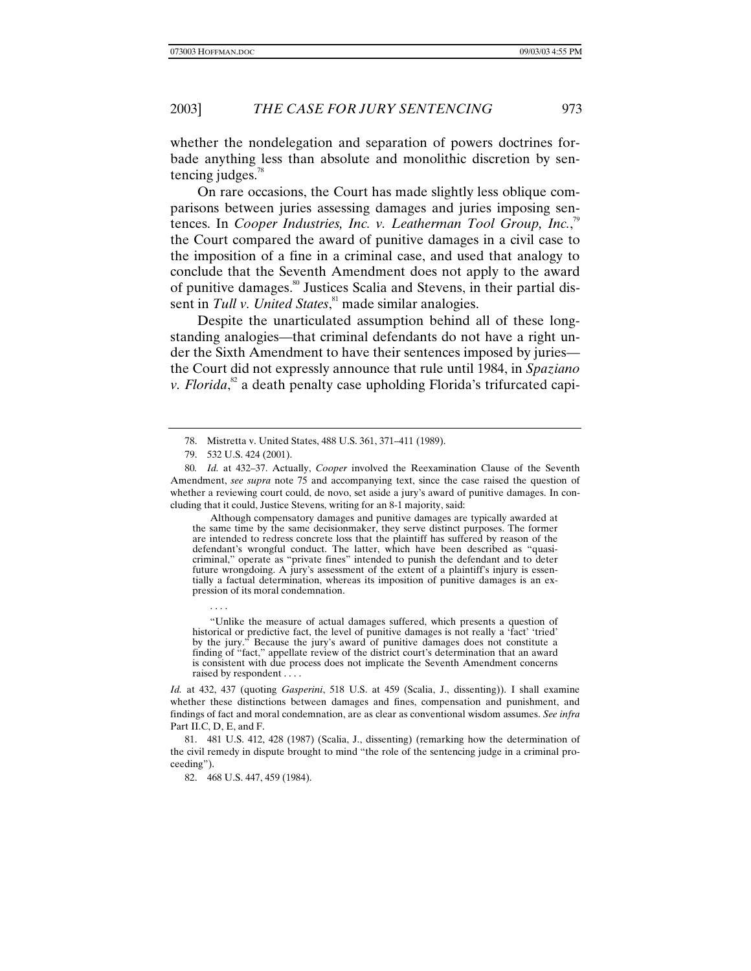whether the nondelegation and separation of powers doctrines forbade anything less than absolute and monolithic discretion by sentencing judges.<sup>78</sup>

On rare occasions, the Court has made slightly less oblique comparisons between juries assessing damages and juries imposing sentences. In *Cooper Industries, Inc. v. Leatherman Tool Group, Inc.*,<sup>79</sup> the Court compared the award of punitive damages in a civil case to the imposition of a fine in a criminal case, and used that analogy to conclude that the Seventh Amendment does not apply to the award of punitive damages.<sup>80</sup> Justices Scalia and Stevens, in their partial dissent in *Tull v. United States*, 81 made similar analogies.

Despite the unarticulated assumption behind all of these longstanding analogies—that criminal defendants do not have a right under the Sixth Amendment to have their sentences imposed by juries the Court did not expressly announce that rule until 1984, in *Spaziano* v. Florida,<sup>82</sup> a death penalty case upholding Florida's trifurcated capi-

. . . .

Although compensatory damages and punitive damages are typically awarded at the same time by the same decisionmaker, they serve distinct purposes. The former are intended to redress concrete loss that the plaintiff has suffered by reason of the defendant's wrongful conduct. The latter, which have been described as "quasicriminal," operate as "private fines" intended to punish the defendant and to deter future wrongdoing. A jury's assessment of the extent of a plaintiff's injury is essentially a factual determination, whereas its imposition of punitive damages is an expression of its moral condemnation.

"Unlike the measure of actual damages suffered, which presents a question of historical or predictive fact, the level of punitive damages is not really a 'fact' 'tried' by the jury." Because the jury's award of punitive damages does not constitute a finding of "fact," appellate review of the district court's determination that an award is consistent with due process does not implicate the Seventh Amendment concerns raised by respondent . . . .

*Id.* at 432, 437 (quoting *Gasperini*, 518 U.S. at 459 (Scalia, J., dissenting)). I shall examine whether these distinctions between damages and fines, compensation and punishment, and findings of fact and moral condemnation, are as clear as conventional wisdom assumes. *See infra* Part II.C, D, E, and F.

81. 481 U.S. 412, 428 (1987) (Scalia, J., dissenting) (remarking how the determination of the civil remedy in dispute brought to mind "the role of the sentencing judge in a criminal proceeding").

82. 468 U.S. 447, 459 (1984).

<sup>78.</sup> Mistretta v. United States, 488 U.S. 361, 371–411 (1989).

<sup>79. 532</sup> U.S. 424 (2001).

<sup>80</sup>*. Id.* at 432–37. Actually, *Cooper* involved the Reexamination Clause of the Seventh Amendment, *see supra* note 75 and accompanying text, since the case raised the question of whether a reviewing court could, de novo, set aside a jury's award of punitive damages. In concluding that it could, Justice Stevens, writing for an 8-1 majority, said: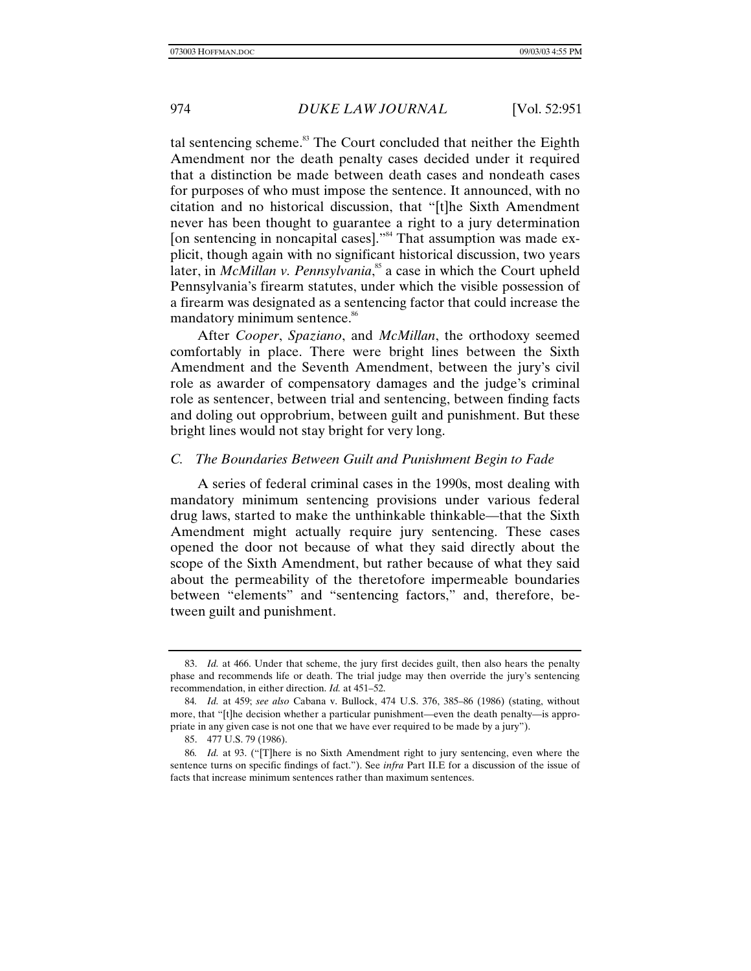tal sentencing scheme.<sup>83</sup> The Court concluded that neither the Eighth Amendment nor the death penalty cases decided under it required that a distinction be made between death cases and nondeath cases for purposes of who must impose the sentence. It announced, with no citation and no historical discussion, that "[t]he Sixth Amendment never has been thought to guarantee a right to a jury determination [on sentencing in noncapital cases]."<sup>84</sup> That assumption was made explicit, though again with no significant historical discussion, two years later, in *McMillan v. Pennsylvania*, 85 a case in which the Court upheld Pennsylvania's firearm statutes, under which the visible possession of a firearm was designated as a sentencing factor that could increase the mandatory minimum sentence.<sup>86</sup>

After *Cooper*, *Spaziano*, and *McMillan*, the orthodoxy seemed comfortably in place. There were bright lines between the Sixth Amendment and the Seventh Amendment, between the jury's civil role as awarder of compensatory damages and the judge's criminal role as sentencer, between trial and sentencing, between finding facts and doling out opprobrium, between guilt and punishment. But these bright lines would not stay bright for very long.

# *C. The Boundaries Between Guilt and Punishment Begin to Fade*

A series of federal criminal cases in the 1990s, most dealing with mandatory minimum sentencing provisions under various federal drug laws, started to make the unthinkable thinkable—that the Sixth Amendment might actually require jury sentencing. These cases opened the door not because of what they said directly about the scope of the Sixth Amendment, but rather because of what they said about the permeability of the theretofore impermeable boundaries between "elements" and "sentencing factors," and, therefore, between guilt and punishment.

<sup>83.</sup> *Id.* at 466. Under that scheme, the jury first decides guilt, then also hears the penalty phase and recommends life or death. The trial judge may then override the jury's sentencing recommendation, in either direction. *Id.* at 451–52.

<sup>84</sup>*. Id.* at 459; *see also* Cabana v. Bullock, 474 U.S. 376, 385–86 (1986) (stating, without more, that "[t]he decision whether a particular punishment—even the death penalty—is appropriate in any given case is not one that we have ever required to be made by a jury").

<sup>85. 477</sup> U.S. 79 (1986).

<sup>86</sup>*. Id.* at 93. ("[T]here is no Sixth Amendment right to jury sentencing, even where the sentence turns on specific findings of fact."). See *infra* Part II.E for a discussion of the issue of facts that increase minimum sentences rather than maximum sentences.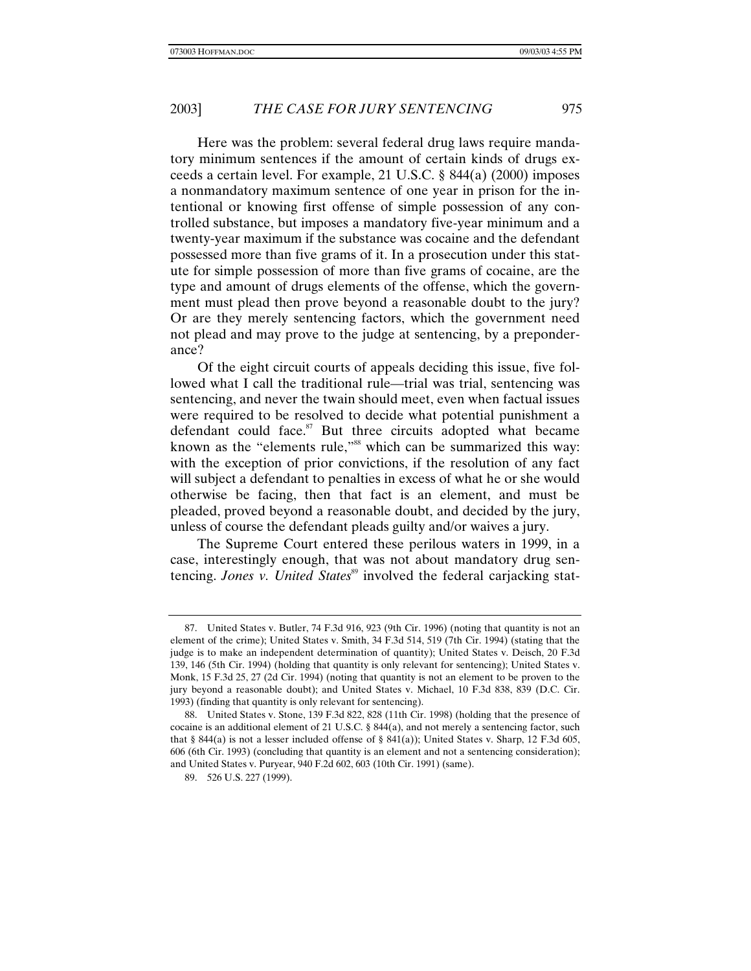Here was the problem: several federal drug laws require mandatory minimum sentences if the amount of certain kinds of drugs exceeds a certain level. For example, 21 U.S.C. § 844(a) (2000) imposes a nonmandatory maximum sentence of one year in prison for the intentional or knowing first offense of simple possession of any controlled substance, but imposes a mandatory five-year minimum and a twenty-year maximum if the substance was cocaine and the defendant possessed more than five grams of it. In a prosecution under this statute for simple possession of more than five grams of cocaine, are the type and amount of drugs elements of the offense, which the government must plead then prove beyond a reasonable doubt to the jury? Or are they merely sentencing factors, which the government need not plead and may prove to the judge at sentencing, by a preponderance?

Of the eight circuit courts of appeals deciding this issue, five followed what I call the traditional rule—trial was trial, sentencing was sentencing, and never the twain should meet, even when factual issues were required to be resolved to decide what potential punishment a defendant could face. $s^{\prime\prime}$  But three circuits adopted what became known as the "elements rule,"<sup>88</sup> which can be summarized this way: with the exception of prior convictions, if the resolution of any fact will subject a defendant to penalties in excess of what he or she would otherwise be facing, then that fact is an element, and must be pleaded, proved beyond a reasonable doubt, and decided by the jury, unless of course the defendant pleads guilty and/or waives a jury.

The Supreme Court entered these perilous waters in 1999, in a case, interestingly enough, that was not about mandatory drug sentencing. *Jones v. United States*<sup>89</sup> involved the federal carjacking stat-

<sup>87.</sup> United States v. Butler, 74 F.3d 916, 923 (9th Cir. 1996) (noting that quantity is not an element of the crime); United States v. Smith, 34 F.3d 514, 519 (7th Cir. 1994) (stating that the judge is to make an independent determination of quantity); United States v. Deisch, 20 F.3d 139, 146 (5th Cir. 1994) (holding that quantity is only relevant for sentencing); United States v. Monk, 15 F.3d 25, 27 (2d Cir. 1994) (noting that quantity is not an element to be proven to the jury beyond a reasonable doubt); and United States v. Michael, 10 F.3d 838, 839 (D.C. Cir. 1993) (finding that quantity is only relevant for sentencing).

<sup>88.</sup> United States v. Stone, 139 F.3d 822, 828 (11th Cir. 1998) (holding that the presence of cocaine is an additional element of 21 U.S.C. § 844(a), and not merely a sentencing factor, such that § 844(a) is not a lesser included offense of § 841(a)); United States v. Sharp, 12 F.3d 605, 606 (6th Cir. 1993) (concluding that quantity is an element and not a sentencing consideration); and United States v. Puryear, 940 F.2d 602, 603 (10th Cir. 1991) (same).

<sup>89. 526</sup> U.S. 227 (1999).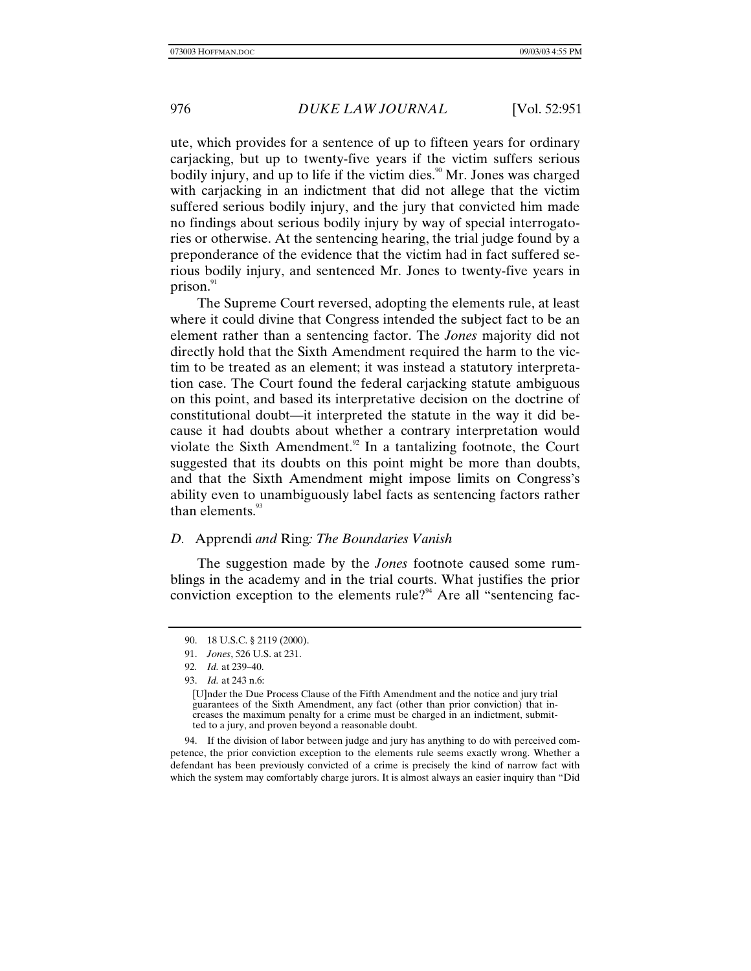ute, which provides for a sentence of up to fifteen years for ordinary carjacking, but up to twenty-five years if the victim suffers serious bodily injury, and up to life if the victim dies.<sup>90</sup> Mr. Jones was charged with carjacking in an indictment that did not allege that the victim suffered serious bodily injury, and the jury that convicted him made no findings about serious bodily injury by way of special interrogatories or otherwise. At the sentencing hearing, the trial judge found by a preponderance of the evidence that the victim had in fact suffered serious bodily injury, and sentenced Mr. Jones to twenty-five years in prison. $91$ 

The Supreme Court reversed, adopting the elements rule, at least where it could divine that Congress intended the subject fact to be an element rather than a sentencing factor. The *Jones* majority did not directly hold that the Sixth Amendment required the harm to the victim to be treated as an element; it was instead a statutory interpretation case. The Court found the federal carjacking statute ambiguous on this point, and based its interpretative decision on the doctrine of constitutional doubt—it interpreted the statute in the way it did because it had doubts about whether a contrary interpretation would violate the Sixth Amendment.<sup>92</sup> In a tantalizing footnote, the Court suggested that its doubts on this point might be more than doubts, and that the Sixth Amendment might impose limits on Congress's ability even to unambiguously label facts as sentencing factors rather than elements. $93$ 

# *D.* Apprendi *and* Ring*: The Boundaries Vanish*

The suggestion made by the *Jones* footnote caused some rumblings in the academy and in the trial courts. What justifies the prior conviction exception to the elements rule?<sup>94</sup> Are all "sentencing fac-

94. If the division of labor between judge and jury has anything to do with perceived competence, the prior conviction exception to the elements rule seems exactly wrong. Whether a defendant has been previously convicted of a crime is precisely the kind of narrow fact with which the system may comfortably charge jurors. It is almost always an easier inquiry than "Did

<sup>90. 18</sup> U.S.C. § 2119 (2000).

<sup>91.</sup> *Jones*, 526 U.S. at 231.

<sup>92</sup>*. Id.* at 239–40.

<sup>93.</sup> *Id.* at 243 n.6:

<sup>[</sup>U]nder the Due Process Clause of the Fifth Amendment and the notice and jury trial guarantees of the Sixth Amendment, any fact (other than prior conviction) that increases the maximum penalty for a crime must be charged in an indictment, submitted to a jury, and proven beyond a reasonable doubt.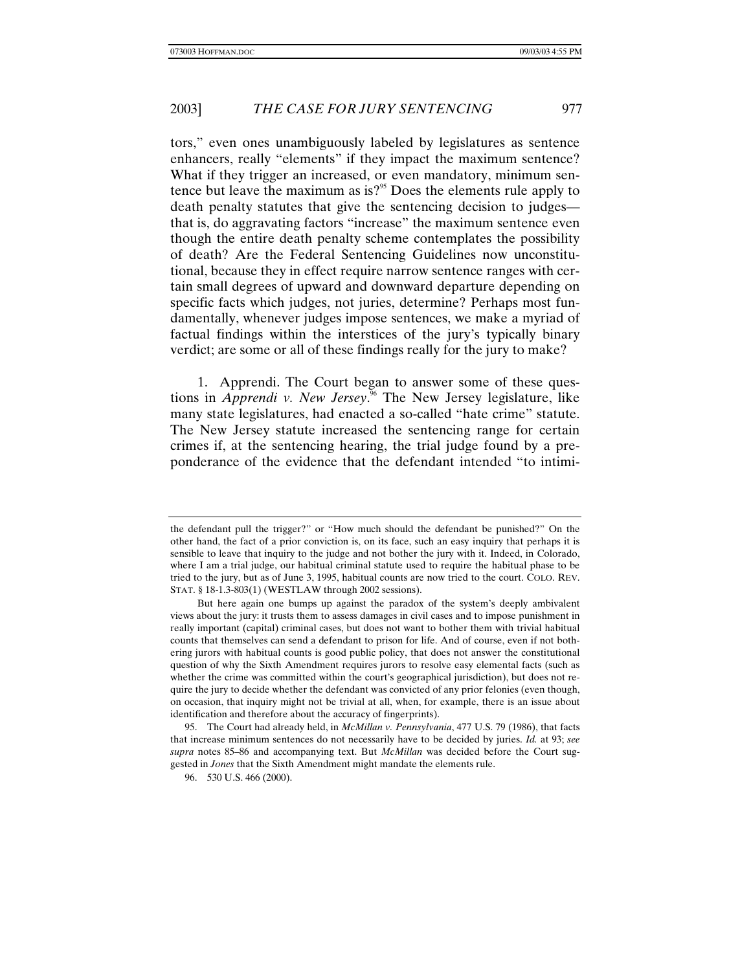tors," even ones unambiguously labeled by legislatures as sentence enhancers, really "elements" if they impact the maximum sentence? What if they trigger an increased, or even mandatory, minimum sentence but leave the maximum as is? $95$  Does the elements rule apply to death penalty statutes that give the sentencing decision to judges that is, do aggravating factors "increase" the maximum sentence even though the entire death penalty scheme contemplates the possibility of death? Are the Federal Sentencing Guidelines now unconstitutional, because they in effect require narrow sentence ranges with certain small degrees of upward and downward departure depending on specific facts which judges, not juries, determine? Perhaps most fundamentally, whenever judges impose sentences, we make a myriad of factual findings within the interstices of the jury's typically binary verdict; are some or all of these findings really for the jury to make?

1. Apprendi. The Court began to answer some of these questions in *Apprendi v. New Jersey*. <sup>96</sup> The New Jersey legislature, like many state legislatures, had enacted a so-called "hate crime" statute. The New Jersey statute increased the sentencing range for certain crimes if, at the sentencing hearing, the trial judge found by a preponderance of the evidence that the defendant intended "to intimi-

the defendant pull the trigger?" or "How much should the defendant be punished?" On the other hand, the fact of a prior conviction is, on its face, such an easy inquiry that perhaps it is sensible to leave that inquiry to the judge and not bother the jury with it. Indeed, in Colorado, where I am a trial judge, our habitual criminal statute used to require the habitual phase to be tried to the jury, but as of June 3, 1995, habitual counts are now tried to the court. COLO. REV. STAT. § 18-1.3-803(1) (WESTLAW through 2002 sessions).

But here again one bumps up against the paradox of the system's deeply ambivalent views about the jury: it trusts them to assess damages in civil cases and to impose punishment in really important (capital) criminal cases, but does not want to bother them with trivial habitual counts that themselves can send a defendant to prison for life. And of course, even if not bothering jurors with habitual counts is good public policy, that does not answer the constitutional question of why the Sixth Amendment requires jurors to resolve easy elemental facts (such as whether the crime was committed within the court's geographical jurisdiction), but does not require the jury to decide whether the defendant was convicted of any prior felonies (even though, on occasion, that inquiry might not be trivial at all, when, for example, there is an issue about identification and therefore about the accuracy of fingerprints).

<sup>95.</sup> The Court had already held, in *McMillan v. Pennsylvania*, 477 U.S. 79 (1986), that facts that increase minimum sentences do not necessarily have to be decided by juries. *Id.* at 93; *see supra* notes 85–86 and accompanying text. But *McMillan* was decided before the Court suggested in *Jones* that the Sixth Amendment might mandate the elements rule.

<sup>96. 530</sup> U.S. 466 (2000).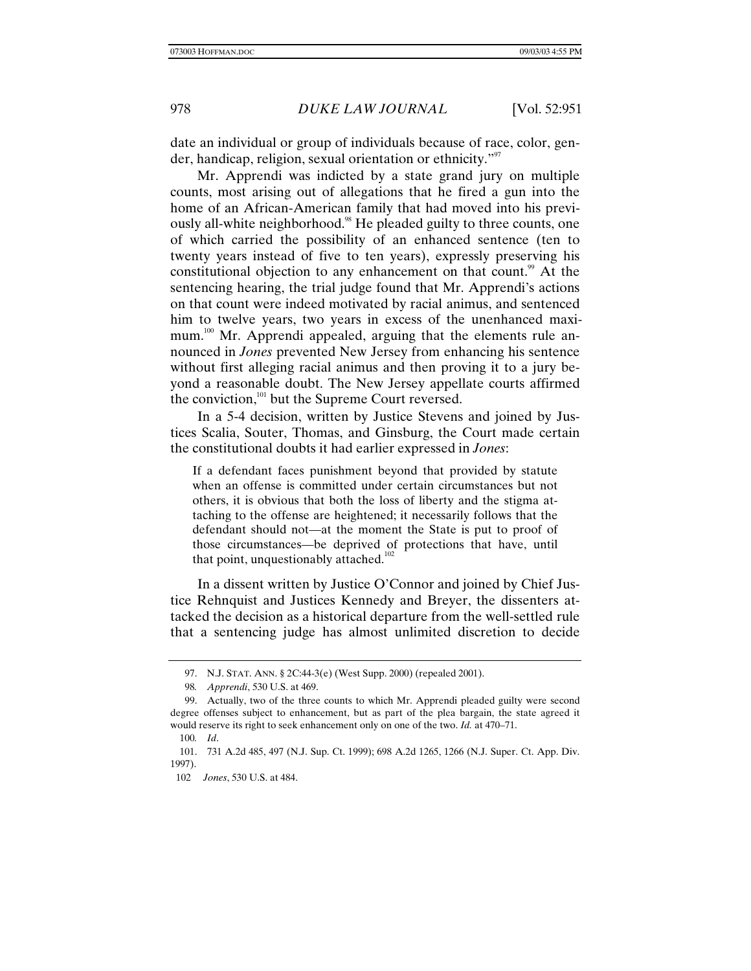date an individual or group of individuals because of race, color, gender, handicap, religion, sexual orientation or ethnicity."<sup>97</sup>

Mr. Apprendi was indicted by a state grand jury on multiple counts, most arising out of allegations that he fired a gun into the home of an African-American family that had moved into his previously all-white neighborhood.<sup>98</sup> He pleaded guilty to three counts, one of which carried the possibility of an enhanced sentence (ten to twenty years instead of five to ten years), expressly preserving his constitutional objection to any enhancement on that count.<sup>99</sup> At the sentencing hearing, the trial judge found that Mr. Apprendi's actions on that count were indeed motivated by racial animus, and sentenced him to twelve years, two years in excess of the unenhanced maximum.<sup>100</sup> Mr. Apprendi appealed, arguing that the elements rule announced in *Jones* prevented New Jersey from enhancing his sentence without first alleging racial animus and then proving it to a jury beyond a reasonable doubt. The New Jersey appellate courts affirmed the conviction, $101$  but the Supreme Court reversed.

In a 5-4 decision, written by Justice Stevens and joined by Justices Scalia, Souter, Thomas, and Ginsburg, the Court made certain the constitutional doubts it had earlier expressed in *Jones*:

If a defendant faces punishment beyond that provided by statute when an offense is committed under certain circumstances but not others, it is obvious that both the loss of liberty and the stigma attaching to the offense are heightened; it necessarily follows that the defendant should not—at the moment the State is put to proof of those circumstances—be deprived of protections that have, until that point, unquestionably attached.<sup>102</sup>

In a dissent written by Justice O'Connor and joined by Chief Justice Rehnquist and Justices Kennedy and Breyer, the dissenters attacked the decision as a historical departure from the well-settled rule that a sentencing judge has almost unlimited discretion to decide

<sup>97.</sup> N.J. STAT. ANN. § 2C:44-3(e) (West Supp. 2000) (repealed 2001).

<sup>98</sup>*. Apprendi*, 530 U.S. at 469.

<sup>99.</sup> Actually, two of the three counts to which Mr. Apprendi pleaded guilty were second degree offenses subject to enhancement, but as part of the plea bargain, the state agreed it would reserve its right to seek enhancement only on one of the two. *Id.* at 470–71.

<sup>100</sup>*. Id*.

<sup>101. 731</sup> A.2d 485, 497 (N.J. Sup. Ct. 1999); 698 A.2d 1265, 1266 (N.J. Super. Ct. App. Div. 1997).

<sup>102</sup> *Jones*, 530 U.S. at 484.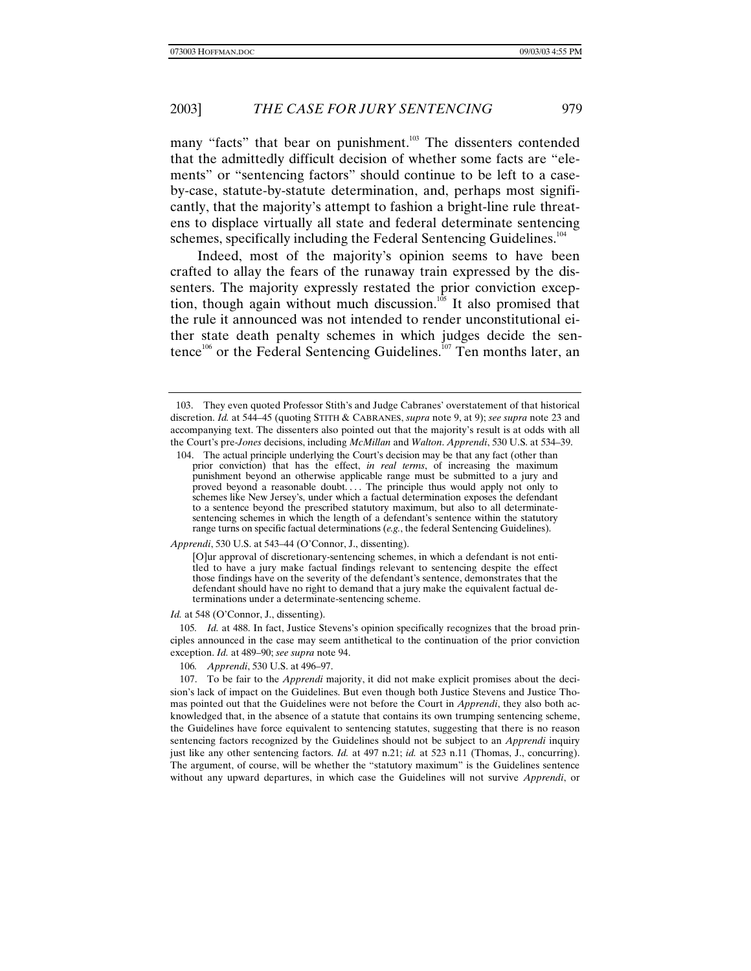many "facts" that bear on punishment.<sup>103</sup> The dissenters contended that the admittedly difficult decision of whether some facts are "elements" or "sentencing factors" should continue to be left to a caseby-case, statute-by-statute determination, and, perhaps most significantly, that the majority's attempt to fashion a bright-line rule threatens to displace virtually all state and federal determinate sentencing schemes, specifically including the Federal Sentencing Guidelines.<sup>104</sup>

Indeed, most of the majority's opinion seems to have been crafted to allay the fears of the runaway train expressed by the dissenters. The majority expressly restated the prior conviction exception, though again without much discussion.<sup>105</sup> It also promised that the rule it announced was not intended to render unconstitutional either state death penalty schemes in which judges decide the sentence<sup>106</sup> or the Federal Sentencing Guidelines.<sup>107</sup> Ten months later, an

*Apprendi*, 530 U.S. at 543–44 (O'Connor, J., dissenting).

*Id.* at 548 (O'Connor, J., dissenting).

105*. Id.* at 488. In fact, Justice Stevens's opinion specifically recognizes that the broad principles announced in the case may seem antithetical to the continuation of the prior conviction exception. *Id.* at 489–90; *see supra* note 94.

106*. Apprendi*, 530 U.S. at 496–97.

107. To be fair to the *Apprendi* majority, it did not make explicit promises about the decision's lack of impact on the Guidelines. But even though both Justice Stevens and Justice Thomas pointed out that the Guidelines were not before the Court in *Apprendi*, they also both acknowledged that, in the absence of a statute that contains its own trumping sentencing scheme, the Guidelines have force equivalent to sentencing statutes, suggesting that there is no reason sentencing factors recognized by the Guidelines should not be subject to an *Apprendi* inquiry just like any other sentencing factors. *Id.* at 497 n.21; *id.* at 523 n.11 (Thomas, J., concurring). The argument, of course, will be whether the "statutory maximum" is the Guidelines sentence without any upward departures, in which case the Guidelines will not survive *Apprendi*, or

<sup>103.</sup> They even quoted Professor Stith's and Judge Cabranes' overstatement of that historical discretion. *Id.* at 544–45 (quoting STITH & CABRANES, *supra* note 9, at 9); *see supra* note 23 and accompanying text. The dissenters also pointed out that the majority's result is at odds with all the Court's pre-*Jones* decisions, including *McMillan* and *Walton*. *Apprendi*, 530 U.S. at 534–39.

<sup>104.</sup> The actual principle underlying the Court's decision may be that any fact (other than prior conviction) that has the effect, *in real terms*, of increasing the maximum punishment beyond an otherwise applicable range must be submitted to a jury and proved beyond a reasonable doubt. . . . The principle thus would apply not only to schemes like New Jersey's, under which a factual determination exposes the defendant to a sentence beyond the prescribed statutory maximum, but also to all determinatesentencing schemes in which the length of a defendant's sentence within the statutory range turns on specific factual determinations (*e.g.*, the federal Sentencing Guidelines).

<sup>[</sup>O]ur approval of discretionary-sentencing schemes, in which a defendant is not entitled to have a jury make factual findings relevant to sentencing despite the effect those findings have on the severity of the defendant's sentence, demonstrates that the defendant should have no right to demand that a jury make the equivalent factual determinations under a determinate-sentencing scheme.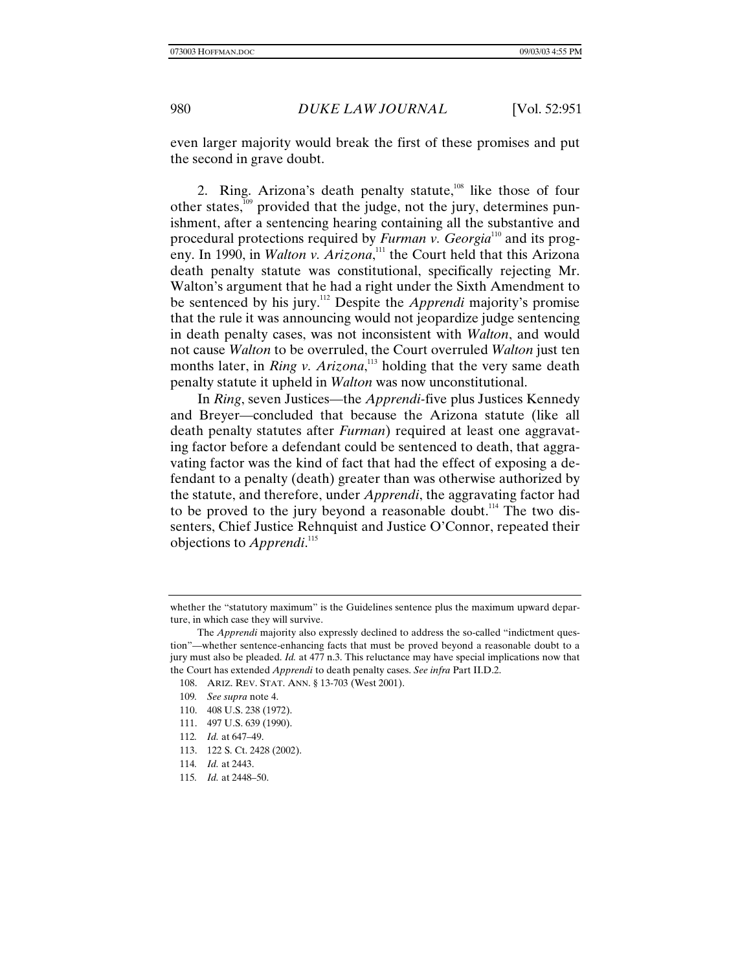even larger majority would break the first of these promises and put the second in grave doubt.

2. Ring. Arizona's death penalty statute, $108$  like those of four other states, $109$  provided that the judge, not the jury, determines punishment, after a sentencing hearing containing all the substantive and procedural protections required by *Furman v. Georgia*<sup>110</sup> and its progeny. In 1990, in *Walton v. Arizona*,<sup>111</sup> the Court held that this Arizona death penalty statute was constitutional, specifically rejecting Mr. Walton's argument that he had a right under the Sixth Amendment to be sentenced by his jury.112 Despite the *Apprendi* majority's promise that the rule it was announcing would not jeopardize judge sentencing in death penalty cases, was not inconsistent with *Walton*, and would not cause *Walton* to be overruled, the Court overruled *Walton* just ten months later, in *Ring v. Arizona*, 113 holding that the very same death penalty statute it upheld in *Walton* was now unconstitutional.

In *Ring*, seven Justices—the *Apprendi-*five plus Justices Kennedy and Breyer—concluded that because the Arizona statute (like all death penalty statutes after *Furman*) required at least one aggravating factor before a defendant could be sentenced to death, that aggravating factor was the kind of fact that had the effect of exposing a defendant to a penalty (death) greater than was otherwise authorized by the statute, and therefore, under *Apprendi*, the aggravating factor had to be proved to the jury beyond a reasonable doubt.<sup>114</sup> The two dissenters, Chief Justice Rehnquist and Justice O'Connor, repeated their objections to *Apprendi*. 115

- 110. 408 U.S. 238 (1972).
- 111. 497 U.S. 639 (1990).
- 112*. Id.* at 647–49.
- 113. 122 S. Ct. 2428 (2002).
- 114*. Id.* at 2443.
- 115*. Id.* at 2448–50.

whether the "statutory maximum" is the Guidelines sentence plus the maximum upward departure, in which case they will survive.

The *Apprendi* majority also expressly declined to address the so-called "indictment question"—whether sentence-enhancing facts that must be proved beyond a reasonable doubt to a jury must also be pleaded. *Id.* at 477 n.3. This reluctance may have special implications now that the Court has extended *Apprendi* to death penalty cases. *See infra* Part II.D.2.

<sup>108.</sup> ARIZ. REV. STAT. ANN. § 13-703 (West 2001).

<sup>109</sup>*. See supra* note 4.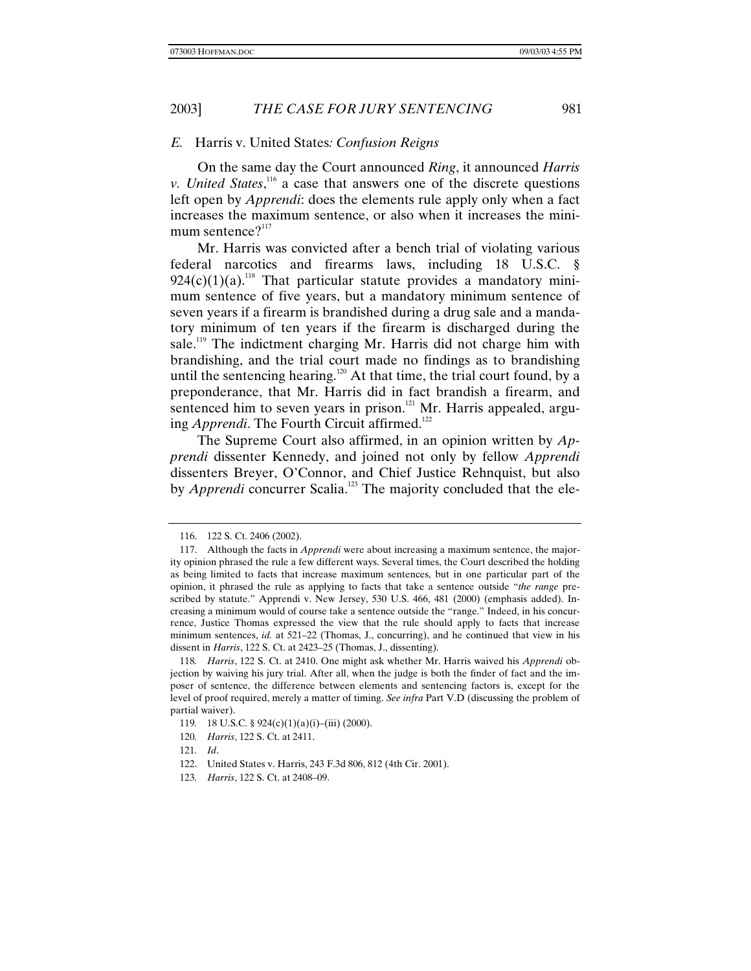### *E.* Harris v. United States*: Confusion Reigns*

On the same day the Court announced *Ring*, it announced *Harris v. United States*,<sup>116</sup> a case that answers one of the discrete questions left open by *Apprendi*: does the elements rule apply only when a fact increases the maximum sentence, or also when it increases the minimum sentence $?$ <sup>117</sup>

Mr. Harris was convicted after a bench trial of violating various federal narcotics and firearms laws, including 18 U.S.C. §  $924(c)(1)(a)$ <sup>118</sup> That particular statute provides a mandatory minimum sentence of five years, but a mandatory minimum sentence of seven years if a firearm is brandished during a drug sale and a mandatory minimum of ten years if the firearm is discharged during the sale.<sup>119</sup> The indictment charging Mr. Harris did not charge him with brandishing, and the trial court made no findings as to brandishing until the sentencing hearing.<sup>120</sup> At that time, the trial court found, by a preponderance, that Mr. Harris did in fact brandish a firearm, and sentenced him to seven years in prison. $121$  Mr. Harris appealed, arguing *Apprendi*. The Fourth Circuit affirmed.<sup>122</sup>

The Supreme Court also affirmed, in an opinion written by *Apprendi* dissenter Kennedy, and joined not only by fellow *Apprendi* dissenters Breyer, O'Connor, and Chief Justice Rehnquist, but also by *Apprendi* concurrer Scalia.<sup>123</sup> The majority concluded that the ele-

<sup>116. 122</sup> S. Ct. 2406 (2002).

<sup>117.</sup> Although the facts in *Apprendi* were about increasing a maximum sentence, the majority opinion phrased the rule a few different ways. Several times, the Court described the holding as being limited to facts that increase maximum sentences, but in one particular part of the opinion, it phrased the rule as applying to facts that take a sentence outside "*the range* prescribed by statute." Apprendi v. New Jersey, 530 U.S. 466, 481 (2000) (emphasis added). Increasing a minimum would of course take a sentence outside the "range." Indeed, in his concurrence, Justice Thomas expressed the view that the rule should apply to facts that increase minimum sentences, *id.* at 521–22 (Thomas, J., concurring), and he continued that view in his dissent in *Harris*, 122 S. Ct. at 2423–25 (Thomas, J., dissenting).

<sup>118</sup>*. Harris*, 122 S. Ct. at 2410. One might ask whether Mr. Harris waived his *Apprendi* objection by waiving his jury trial. After all, when the judge is both the finder of fact and the imposer of sentence, the difference between elements and sentencing factors is, except for the level of proof required, merely a matter of timing. *See infra* Part V.D (discussing the problem of partial waiver).

<sup>119</sup>*.* 18 U.S.C. § 924(c)(1)(a)(i)–(iii) (2000).

<sup>120</sup>*. Harris*, 122 S. Ct. at 2411.

<sup>121</sup>*. Id*.

<sup>122.</sup> United States v. Harris, 243 F.3d 806, 812 (4th Cir. 2001).

<sup>123</sup>*. Harris*, 122 S. Ct. at 2408–09.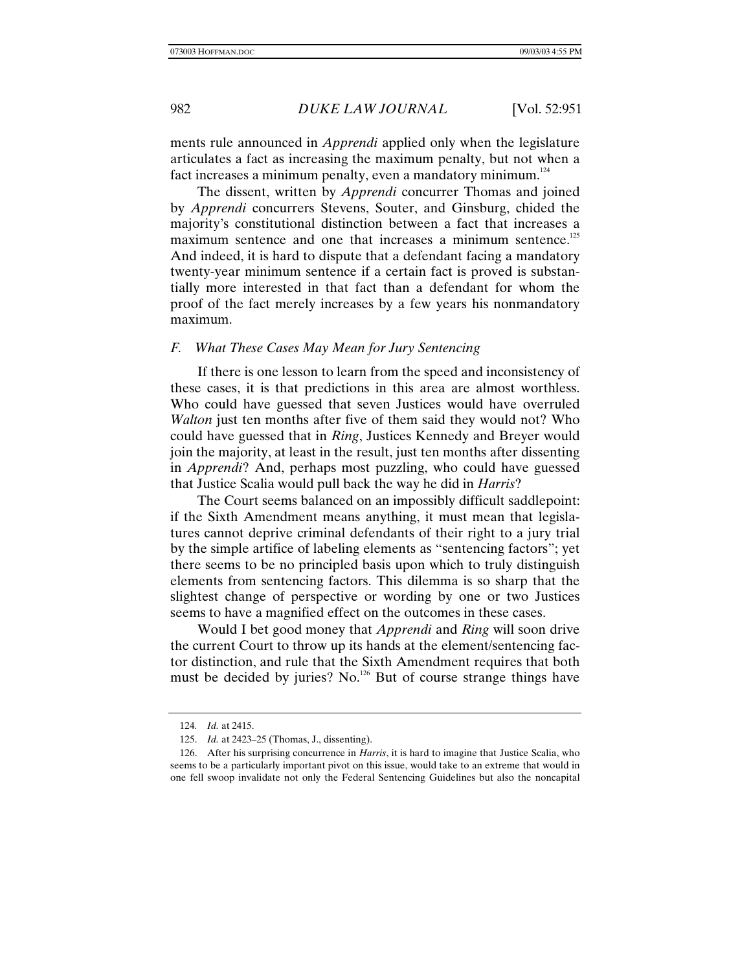ments rule announced in *Apprendi* applied only when the legislature articulates a fact as increasing the maximum penalty, but not when a fact increases a minimum penalty, even a mandatory minimum. $124$ 

The dissent, written by *Apprendi* concurrer Thomas and joined by *Apprendi* concurrers Stevens, Souter, and Ginsburg, chided the majority's constitutional distinction between a fact that increases a maximum sentence and one that increases a minimum sentence.<sup>125</sup> And indeed, it is hard to dispute that a defendant facing a mandatory twenty-year minimum sentence if a certain fact is proved is substantially more interested in that fact than a defendant for whom the proof of the fact merely increases by a few years his nonmandatory maximum.

### *F. What These Cases May Mean for Jury Sentencing*

If there is one lesson to learn from the speed and inconsistency of these cases, it is that predictions in this area are almost worthless. Who could have guessed that seven Justices would have overruled *Walton* just ten months after five of them said they would not? Who could have guessed that in *Ring*, Justices Kennedy and Breyer would join the majority, at least in the result, just ten months after dissenting in *Apprendi*? And, perhaps most puzzling, who could have guessed that Justice Scalia would pull back the way he did in *Harris*?

The Court seems balanced on an impossibly difficult saddlepoint: if the Sixth Amendment means anything, it must mean that legislatures cannot deprive criminal defendants of their right to a jury trial by the simple artifice of labeling elements as "sentencing factors"; yet there seems to be no principled basis upon which to truly distinguish elements from sentencing factors. This dilemma is so sharp that the slightest change of perspective or wording by one or two Justices seems to have a magnified effect on the outcomes in these cases.

Would I bet good money that *Apprendi* and *Ring* will soon drive the current Court to throw up its hands at the element/sentencing factor distinction, and rule that the Sixth Amendment requires that both must be decided by juries? No.<sup>126</sup> But of course strange things have

<sup>124</sup>*. Id.* at 2415.

<sup>125.</sup> *Id.* at 2423–25 (Thomas, J., dissenting).

<sup>126.</sup> After his surprising concurrence in *Harris*, it is hard to imagine that Justice Scalia, who seems to be a particularly important pivot on this issue, would take to an extreme that would in one fell swoop invalidate not only the Federal Sentencing Guidelines but also the noncapital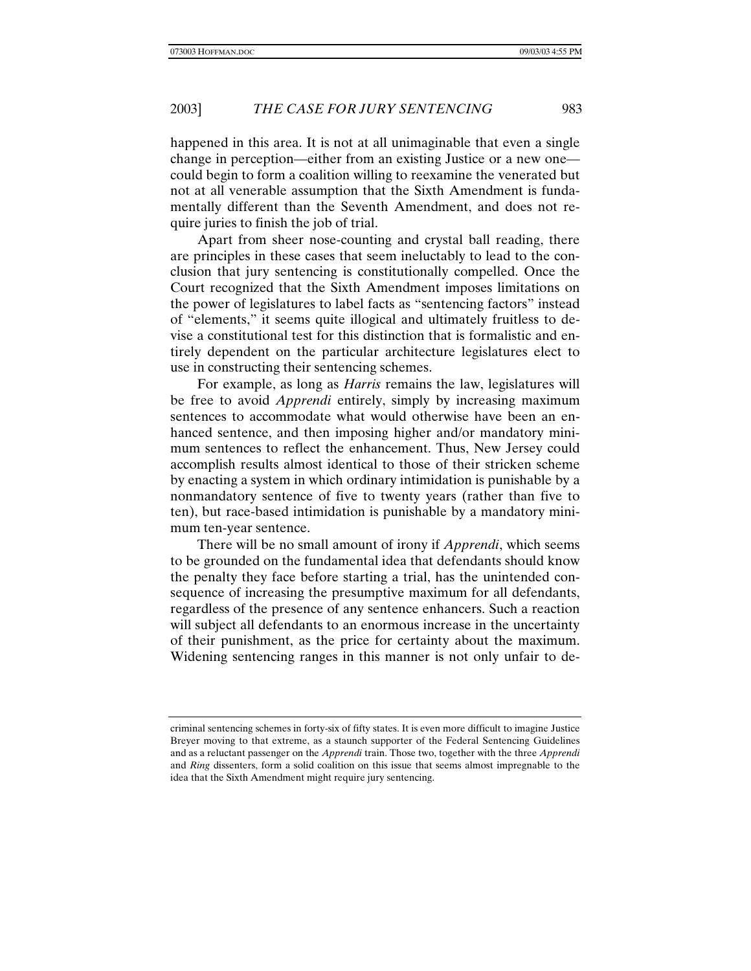happened in this area. It is not at all unimaginable that even a single change in perception—either from an existing Justice or a new one could begin to form a coalition willing to reexamine the venerated but not at all venerable assumption that the Sixth Amendment is fundamentally different than the Seventh Amendment, and does not require juries to finish the job of trial.

Apart from sheer nose-counting and crystal ball reading, there are principles in these cases that seem ineluctably to lead to the conclusion that jury sentencing is constitutionally compelled. Once the Court recognized that the Sixth Amendment imposes limitations on the power of legislatures to label facts as "sentencing factors" instead of "elements," it seems quite illogical and ultimately fruitless to devise a constitutional test for this distinction that is formalistic and entirely dependent on the particular architecture legislatures elect to use in constructing their sentencing schemes.

For example, as long as *Harris* remains the law, legislatures will be free to avoid *Apprendi* entirely, simply by increasing maximum sentences to accommodate what would otherwise have been an enhanced sentence, and then imposing higher and/or mandatory minimum sentences to reflect the enhancement. Thus, New Jersey could accomplish results almost identical to those of their stricken scheme by enacting a system in which ordinary intimidation is punishable by a nonmandatory sentence of five to twenty years (rather than five to ten), but race-based intimidation is punishable by a mandatory minimum ten-year sentence.

There will be no small amount of irony if *Apprendi*, which seems to be grounded on the fundamental idea that defendants should know the penalty they face before starting a trial, has the unintended consequence of increasing the presumptive maximum for all defendants, regardless of the presence of any sentence enhancers. Such a reaction will subject all defendants to an enormous increase in the uncertainty of their punishment, as the price for certainty about the maximum. Widening sentencing ranges in this manner is not only unfair to de-

criminal sentencing schemes in forty-six of fifty states. It is even more difficult to imagine Justice Breyer moving to that extreme, as a staunch supporter of the Federal Sentencing Guidelines and as a reluctant passenger on the *Apprendi* train. Those two, together with the three *Apprendi* and *Ring* dissenters, form a solid coalition on this issue that seems almost impregnable to the idea that the Sixth Amendment might require jury sentencing.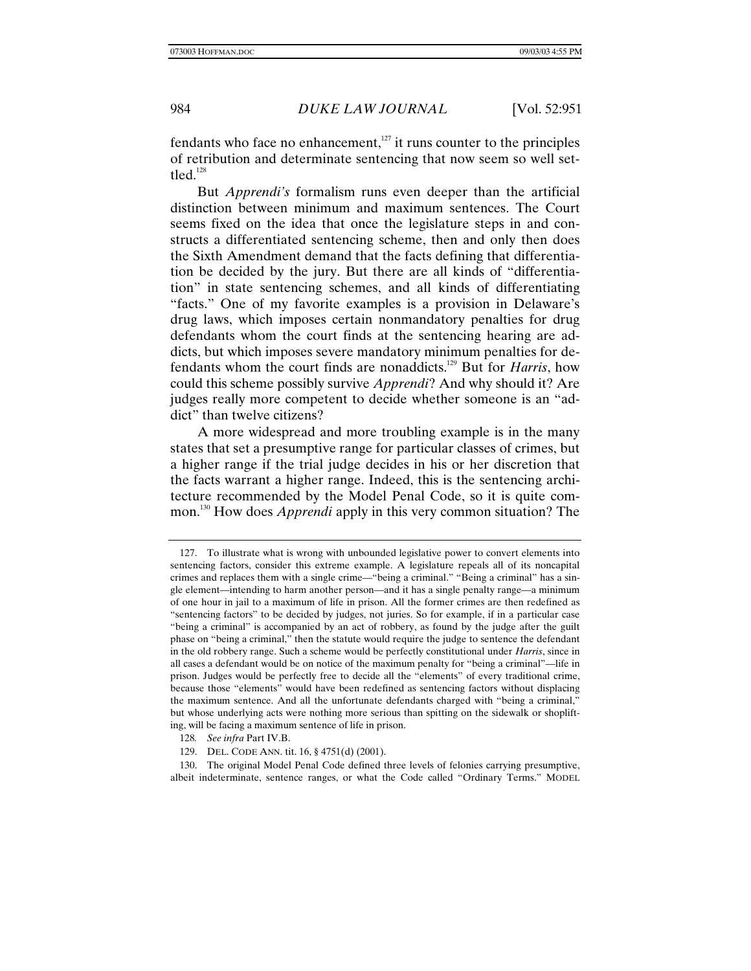fendants who face no enhancement, $127$  it runs counter to the principles of retribution and determinate sentencing that now seem so well settled.<sup>128</sup>

But *Apprendi's* formalism runs even deeper than the artificial distinction between minimum and maximum sentences. The Court seems fixed on the idea that once the legislature steps in and constructs a differentiated sentencing scheme, then and only then does the Sixth Amendment demand that the facts defining that differentiation be decided by the jury. But there are all kinds of "differentiation" in state sentencing schemes, and all kinds of differentiating "facts." One of my favorite examples is a provision in Delaware's drug laws, which imposes certain nonmandatory penalties for drug defendants whom the court finds at the sentencing hearing are addicts, but which imposes severe mandatory minimum penalties for defendants whom the court finds are nonaddicts.129 But for *Harris*, how could this scheme possibly survive *Apprendi*? And why should it? Are judges really more competent to decide whether someone is an "addict" than twelve citizens?

A more widespread and more troubling example is in the many states that set a presumptive range for particular classes of crimes, but a higher range if the trial judge decides in his or her discretion that the facts warrant a higher range. Indeed, this is the sentencing architecture recommended by the Model Penal Code, so it is quite common.130 How does *Apprendi* apply in this very common situation? The

<sup>127.</sup> To illustrate what is wrong with unbounded legislative power to convert elements into sentencing factors, consider this extreme example. A legislature repeals all of its noncapital crimes and replaces them with a single crime—"being a criminal." "Being a criminal" has a single element—intending to harm another person—and it has a single penalty range—a minimum of one hour in jail to a maximum of life in prison. All the former crimes are then redefined as "sentencing factors" to be decided by judges, not juries. So for example, if in a particular case "being a criminal" is accompanied by an act of robbery, as found by the judge after the guilt phase on "being a criminal," then the statute would require the judge to sentence the defendant in the old robbery range. Such a scheme would be perfectly constitutional under *Harris*, since in all cases a defendant would be on notice of the maximum penalty for "being a criminal"—life in prison. Judges would be perfectly free to decide all the "elements" of every traditional crime, because those "elements" would have been redefined as sentencing factors without displacing the maximum sentence. And all the unfortunate defendants charged with "being a criminal," but whose underlying acts were nothing more serious than spitting on the sidewalk or shoplifting, will be facing a maximum sentence of life in prison.

<sup>128</sup>*. See infra* Part IV.B.

<sup>129.</sup> DEL. CODE ANN. tit. 16, § 4751(d) (2001).

<sup>130.</sup> The original Model Penal Code defined three levels of felonies carrying presumptive, albeit indeterminate, sentence ranges, or what the Code called "Ordinary Terms." MODEL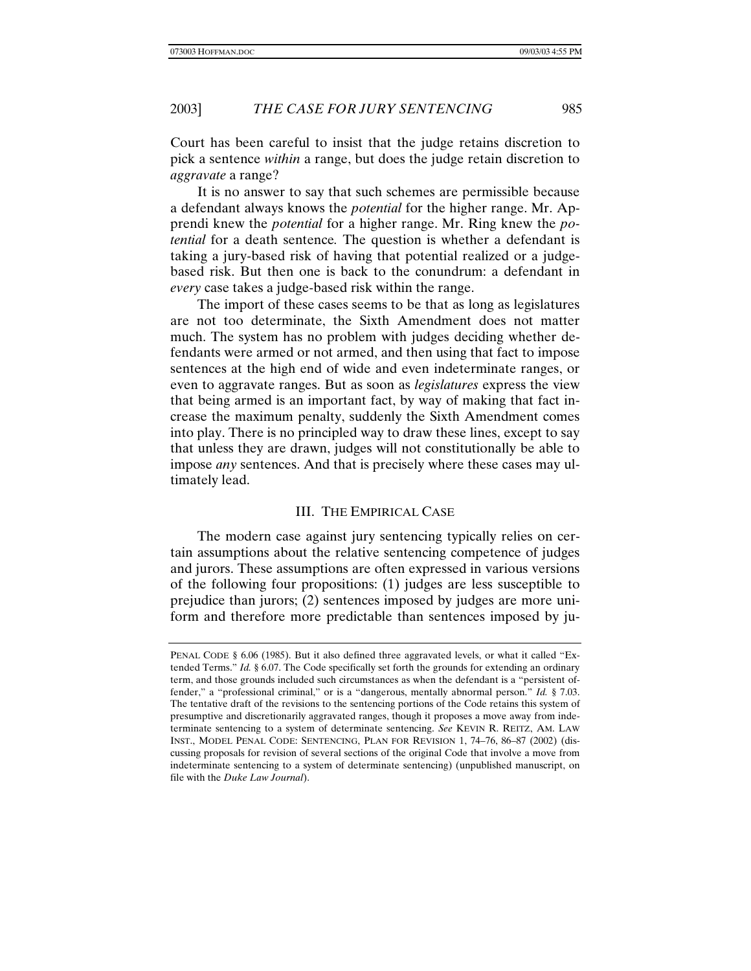Court has been careful to insist that the judge retains discretion to pick a sentence *within* a range, but does the judge retain discretion to *aggravate* a range?

It is no answer to say that such schemes are permissible because a defendant always knows the *potential* for the higher range. Mr. Apprendi knew the *potential* for a higher range. Mr. Ring knew the *potential* for a death sentence*.* The question is whether a defendant is taking a jury-based risk of having that potential realized or a judgebased risk. But then one is back to the conundrum: a defendant in *every* case takes a judge-based risk within the range.

The import of these cases seems to be that as long as legislatures are not too determinate, the Sixth Amendment does not matter much. The system has no problem with judges deciding whether defendants were armed or not armed, and then using that fact to impose sentences at the high end of wide and even indeterminate ranges, or even to aggravate ranges. But as soon as *legislatures* express the view that being armed is an important fact, by way of making that fact increase the maximum penalty, suddenly the Sixth Amendment comes into play. There is no principled way to draw these lines, except to say that unless they are drawn, judges will not constitutionally be able to impose *any* sentences. And that is precisely where these cases may ultimately lead.

# III. THE EMPIRICAL CASE

The modern case against jury sentencing typically relies on certain assumptions about the relative sentencing competence of judges and jurors. These assumptions are often expressed in various versions of the following four propositions: (1) judges are less susceptible to prejudice than jurors; (2) sentences imposed by judges are more uniform and therefore more predictable than sentences imposed by ju-

PENAL CODE § 6.06 (1985). But it also defined three aggravated levels, or what it called "Extended Terms." *Id.* § 6.07. The Code specifically set forth the grounds for extending an ordinary term, and those grounds included such circumstances as when the defendant is a "persistent offender," a "professional criminal," or is a "dangerous, mentally abnormal person." *Id.* § 7.03. The tentative draft of the revisions to the sentencing portions of the Code retains this system of presumptive and discretionarily aggravated ranges, though it proposes a move away from indeterminate sentencing to a system of determinate sentencing. *See* KEVIN R. REITZ, AM. LAW INST., MODEL PENAL CODE: SENTENCING, PLAN FOR REVISION 1, 74–76, 86–87 (2002) (discussing proposals for revision of several sections of the original Code that involve a move from indeterminate sentencing to a system of determinate sentencing) (unpublished manuscript, on file with the *Duke Law Journal*).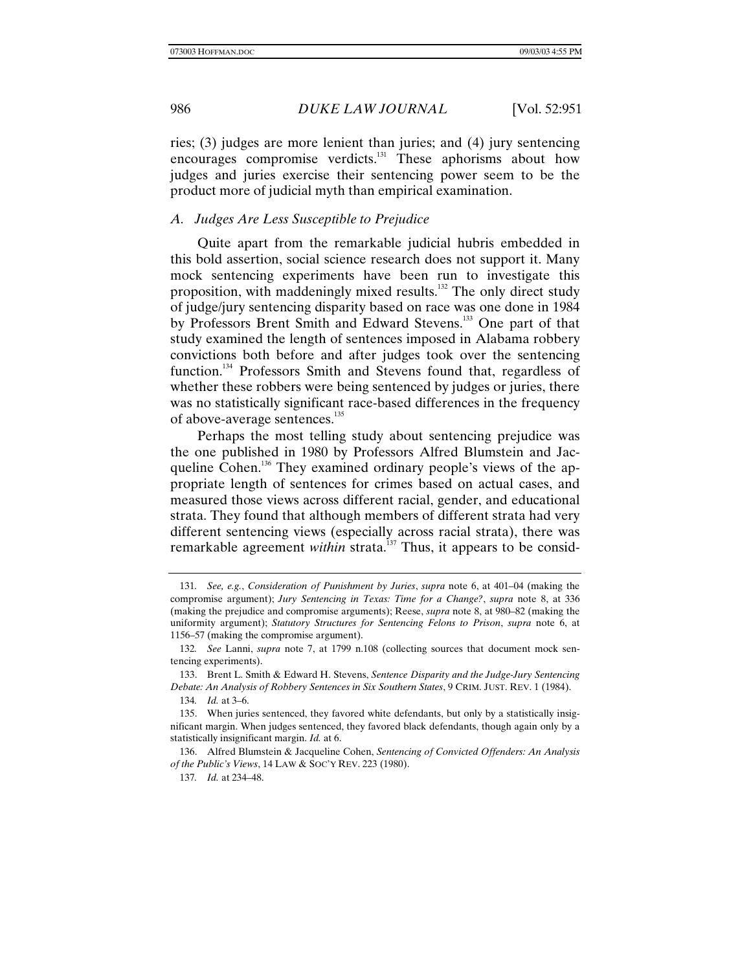ries; (3) judges are more lenient than juries; and (4) jury sentencing encourages compromise verdicts.<sup>131</sup> These aphorisms about how judges and juries exercise their sentencing power seem to be the product more of judicial myth than empirical examination.

# *A. Judges Are Less Susceptible to Prejudice*

Quite apart from the remarkable judicial hubris embedded in this bold assertion, social science research does not support it. Many mock sentencing experiments have been run to investigate this proposition, with maddeningly mixed results.132 The only direct study of judge/jury sentencing disparity based on race was one done in 1984 by Professors Brent Smith and Edward Stevens.133 One part of that study examined the length of sentences imposed in Alabama robbery convictions both before and after judges took over the sentencing function.<sup>134</sup> Professors Smith and Stevens found that, regardless of whether these robbers were being sentenced by judges or juries, there was no statistically significant race-based differences in the frequency of above-average sentences.<sup>135</sup>

Perhaps the most telling study about sentencing prejudice was the one published in 1980 by Professors Alfred Blumstein and Jacqueline Cohen.<sup>136</sup> They examined ordinary people's views of the appropriate length of sentences for crimes based on actual cases, and measured those views across different racial, gender, and educational strata. They found that although members of different strata had very different sentencing views (especially across racial strata), there was remarkable agreement *within* strata.<sup>137</sup> Thus, it appears to be consid-

134*. Id.* at 3–6.

<sup>131</sup>*. See, e.g.*, *Consideration of Punishment by Juries*, *supra* note 6, at 401–04 (making the compromise argument); *Jury Sentencing in Texas: Time for a Change?*, *supra* note 8, at 336 (making the prejudice and compromise arguments); Reese, *supra* note 8, at 980–82 (making the uniformity argument); *Statutory Structures for Sentencing Felons to Prison*, *supra* note 6, at 1156–57 (making the compromise argument).

<sup>132</sup>*. See* Lanni, *supra* note 7, at 1799 n.108 (collecting sources that document mock sentencing experiments).

<sup>133.</sup> Brent L. Smith & Edward H. Stevens, *Sentence Disparity and the Judge-Jury Sentencing Debate: An Analysis of Robbery Sentences in Six Southern States*, 9 CRIM. JUST. REV. 1 (1984).

<sup>135.</sup> When juries sentenced, they favored white defendants, but only by a statistically insignificant margin. When judges sentenced, they favored black defendants, though again only by a statistically insignificant margin. *Id.* at 6.

<sup>136.</sup> Alfred Blumstein & Jacqueline Cohen, *Sentencing of Convicted Offenders: An Analysis of the Public's Views*, 14 LAW & SOC'Y REV. 223 (1980).

<sup>137</sup>*. Id.* at 234–48.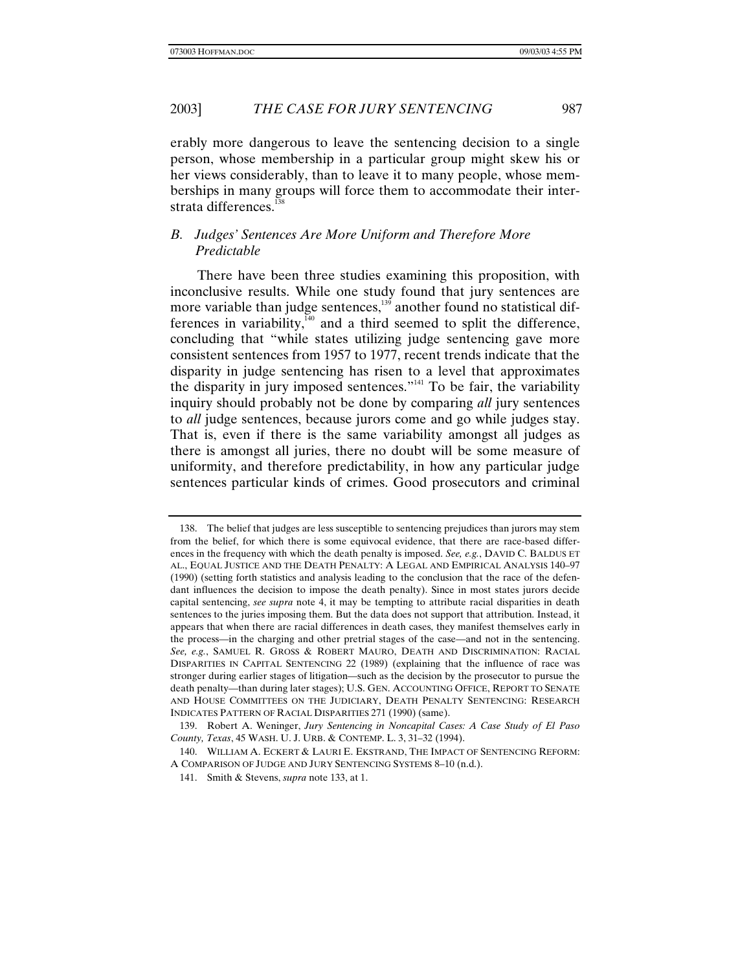erably more dangerous to leave the sentencing decision to a single person, whose membership in a particular group might skew his or her views considerably, than to leave it to many people, whose memberships in many groups will force them to accommodate their interstrata differences. $138$ 

# *B. Judges' Sentences Are More Uniform and Therefore More Predictable*

There have been three studies examining this proposition, with inconclusive results. While one study found that jury sentences are more variable than judge sentences, $139$  another found no statistical differences in variability, $\frac{1}{40}$  and a third seemed to split the difference, concluding that "while states utilizing judge sentencing gave more consistent sentences from 1957 to 1977, recent trends indicate that the disparity in judge sentencing has risen to a level that approximates the disparity in jury imposed sentences."<sup> $141$ </sup> To be fair, the variability inquiry should probably not be done by comparing *all* jury sentences to *all* judge sentences, because jurors come and go while judges stay. That is, even if there is the same variability amongst all judges as there is amongst all juries, there no doubt will be some measure of uniformity, and therefore predictability, in how any particular judge sentences particular kinds of crimes. Good prosecutors and criminal

<sup>138.</sup> The belief that judges are less susceptible to sentencing prejudices than jurors may stem from the belief, for which there is some equivocal evidence, that there are race-based differences in the frequency with which the death penalty is imposed. *See, e.g.*, DAVID C. BALDUS ET AL., EQUAL JUSTICE AND THE DEATH PENALTY: A LEGAL AND EMPIRICAL ANALYSIS 140–97 (1990) (setting forth statistics and analysis leading to the conclusion that the race of the defendant influences the decision to impose the death penalty). Since in most states jurors decide capital sentencing, *see supra* note 4, it may be tempting to attribute racial disparities in death sentences to the juries imposing them. But the data does not support that attribution. Instead, it appears that when there are racial differences in death cases, they manifest themselves early in the process—in the charging and other pretrial stages of the case—and not in the sentencing. *See, e.g.*, SAMUEL R. GROSS & ROBERT MAURO, DEATH AND DISCRIMINATION: RACIAL DISPARITIES IN CAPITAL SENTENCING 22 (1989) (explaining that the influence of race was stronger during earlier stages of litigation—such as the decision by the prosecutor to pursue the death penalty—than during later stages); U.S. GEN. ACCOUNTING OFFICE, REPORT TO SENATE AND HOUSE COMMITTEES ON THE JUDICIARY, DEATH PENALTY SENTENCING: RESEARCH INDICATES PATTERN OF RACIAL DISPARITIES 271 (1990) (same).

<sup>139.</sup> Robert A. Weninger, *Jury Sentencing in Noncapital Cases: A Case Study of El Paso County, Texas*, 45 WASH. U. J. URB. & CONTEMP. L. 3, 31–32 (1994).

<sup>140.</sup> WILLIAM A. ECKERT & LAURI E. EKSTRAND, THE IMPACT OF SENTENCING REFORM: A COMPARISON OF JUDGE AND JURY SENTENCING SYSTEMS 8–10 (n.d.).

<sup>141.</sup> Smith & Stevens, *supra* note 133, at 1.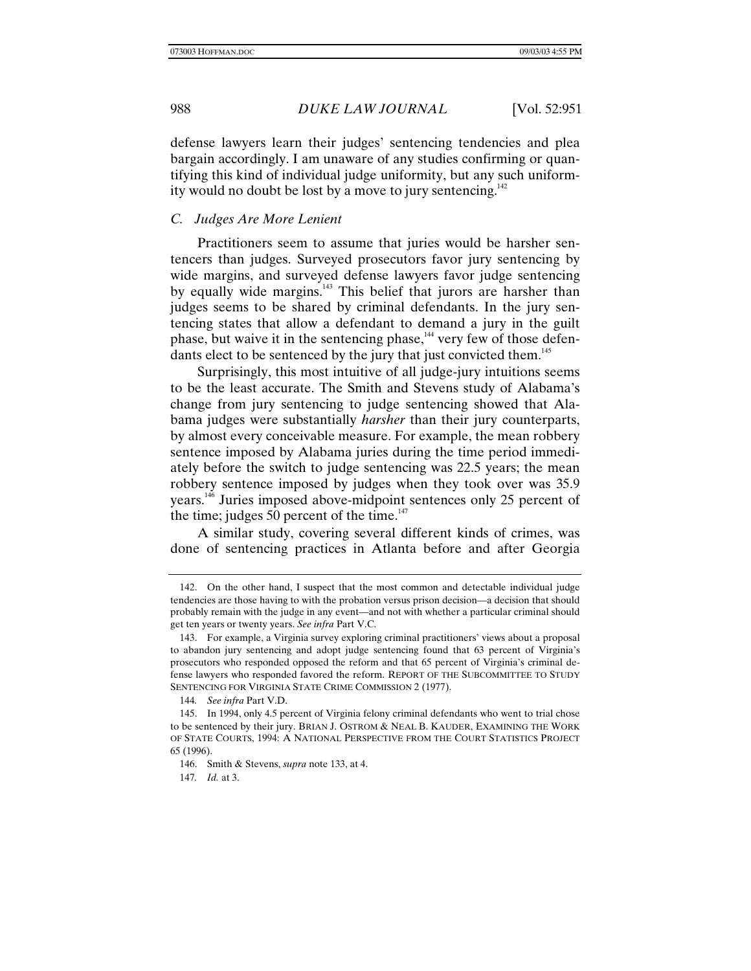defense lawyers learn their judges' sentencing tendencies and plea bargain accordingly. I am unaware of any studies confirming or quantifying this kind of individual judge uniformity, but any such uniformity would no doubt be lost by a move to jury sentencing.<sup>142</sup>

# *C. Judges Are More Lenient*

Practitioners seem to assume that juries would be harsher sentencers than judges. Surveyed prosecutors favor jury sentencing by wide margins, and surveyed defense lawyers favor judge sentencing by equally wide margins.<sup>143</sup> This belief that jurors are harsher than judges seems to be shared by criminal defendants. In the jury sentencing states that allow a defendant to demand a jury in the guilt phase, but waive it in the sentencing phase,  $144$  very few of those defendants elect to be sentenced by the jury that just convicted them.<sup>145</sup>

Surprisingly, this most intuitive of all judge-jury intuitions seems to be the least accurate. The Smith and Stevens study of Alabama's change from jury sentencing to judge sentencing showed that Alabama judges were substantially *harsher* than their jury counterparts, by almost every conceivable measure. For example, the mean robbery sentence imposed by Alabama juries during the time period immediately before the switch to judge sentencing was 22.5 years; the mean robbery sentence imposed by judges when they took over was 35.9 years.146 Juries imposed above-midpoint sentences only 25 percent of the time; judges 50 percent of the time.<sup>147</sup>

A similar study, covering several different kinds of crimes, was done of sentencing practices in Atlanta before and after Georgia

<sup>142.</sup> On the other hand, I suspect that the most common and detectable individual judge tendencies are those having to with the probation versus prison decision—a decision that should probably remain with the judge in any event—and not with whether a particular criminal should get ten years or twenty years. *See infra* Part V.C.

<sup>143.</sup> For example, a Virginia survey exploring criminal practitioners' views about a proposal to abandon jury sentencing and adopt judge sentencing found that 63 percent of Virginia's prosecutors who responded opposed the reform and that 65 percent of Virginia's criminal defense lawyers who responded favored the reform. REPORT OF THE SUBCOMMITTEE TO STUDY SENTENCING FOR VIRGINIA STATE CRIME COMMISSION 2 (1977).

<sup>144</sup>*. See infra* Part V.D.

<sup>145.</sup> In 1994, only 4.5 percent of Virginia felony criminal defendants who went to trial chose to be sentenced by their jury. BRIAN J. OSTROM & NEAL B. KAUDER, EXAMINING THE WORK OF STATE COURTS, 1994: A NATIONAL PERSPECTIVE FROM THE COURT STATISTICS PROJECT 65 (1996).

<sup>146.</sup> Smith & Stevens, *supra* note 133, at 4.

<sup>147</sup>*. Id.* at 3.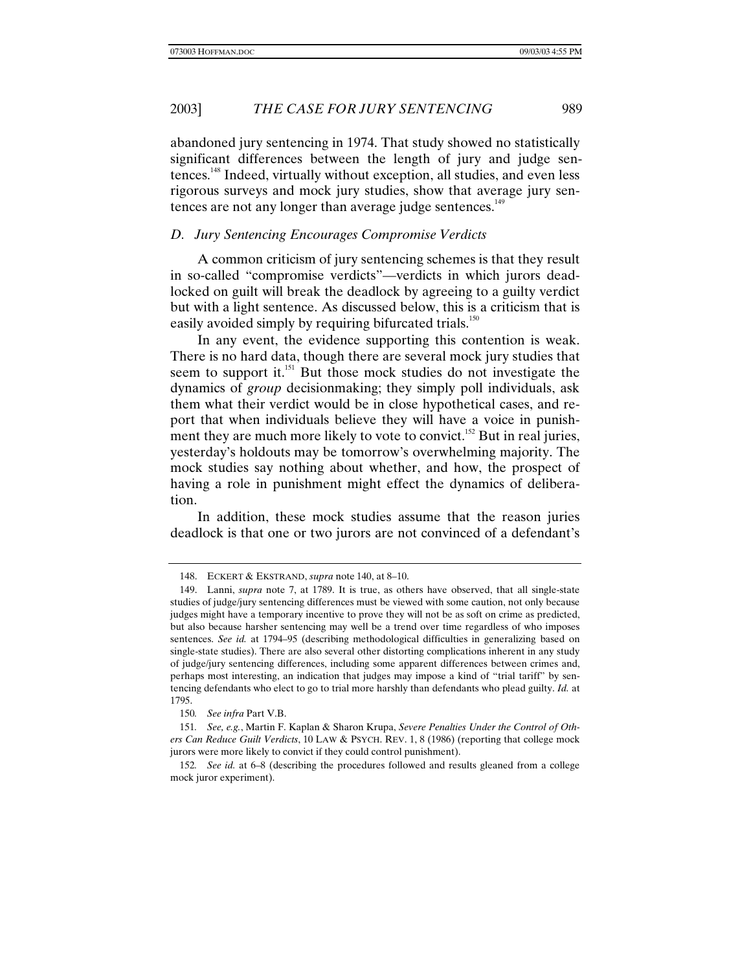abandoned jury sentencing in 1974. That study showed no statistically significant differences between the length of jury and judge sentences.148 Indeed, virtually without exception, all studies, and even less rigorous surveys and mock jury studies, show that average jury sentences are not any longer than average judge sentences.<sup>149</sup>

## *D. Jury Sentencing Encourages Compromise Verdicts*

A common criticism of jury sentencing schemes is that they result in so-called "compromise verdicts"—verdicts in which jurors deadlocked on guilt will break the deadlock by agreeing to a guilty verdict but with a light sentence. As discussed below, this is a criticism that is easily avoided simply by requiring bifurcated trials.<sup>150</sup>

In any event, the evidence supporting this contention is weak. There is no hard data, though there are several mock jury studies that seem to support it.<sup>151</sup> But those mock studies do not investigate the dynamics of *group* decisionmaking; they simply poll individuals, ask them what their verdict would be in close hypothetical cases, and report that when individuals believe they will have a voice in punishment they are much more likely to vote to convict.<sup>152</sup> But in real juries, yesterday's holdouts may be tomorrow's overwhelming majority. The mock studies say nothing about whether, and how, the prospect of having a role in punishment might effect the dynamics of deliberation.

In addition, these mock studies assume that the reason juries deadlock is that one or two jurors are not convinced of a defendant's

<sup>148.</sup> ECKERT & EKSTRAND, *supra* note 140, at 8–10.

<sup>149.</sup> Lanni, *supra* note 7, at 1789. It is true, as others have observed, that all single-state studies of judge/jury sentencing differences must be viewed with some caution, not only because judges might have a temporary incentive to prove they will not be as soft on crime as predicted, but also because harsher sentencing may well be a trend over time regardless of who imposes sentences. *See id.* at 1794–95 (describing methodological difficulties in generalizing based on single-state studies). There are also several other distorting complications inherent in any study of judge/jury sentencing differences, including some apparent differences between crimes and, perhaps most interesting, an indication that judges may impose a kind of "trial tariff" by sentencing defendants who elect to go to trial more harshly than defendants who plead guilty. *Id.* at 1795.

<sup>150</sup>*. See infra* Part V.B.

<sup>151</sup>*. See, e.g.*, Martin F. Kaplan & Sharon Krupa, *Severe Penalties Under the Control of Others Can Reduce Guilt Verdicts*, 10 LAW & PSYCH. REV. 1, 8 (1986) (reporting that college mock jurors were more likely to convict if they could control punishment).

<sup>152</sup>*. See id.* at 6–8 (describing the procedures followed and results gleaned from a college mock juror experiment).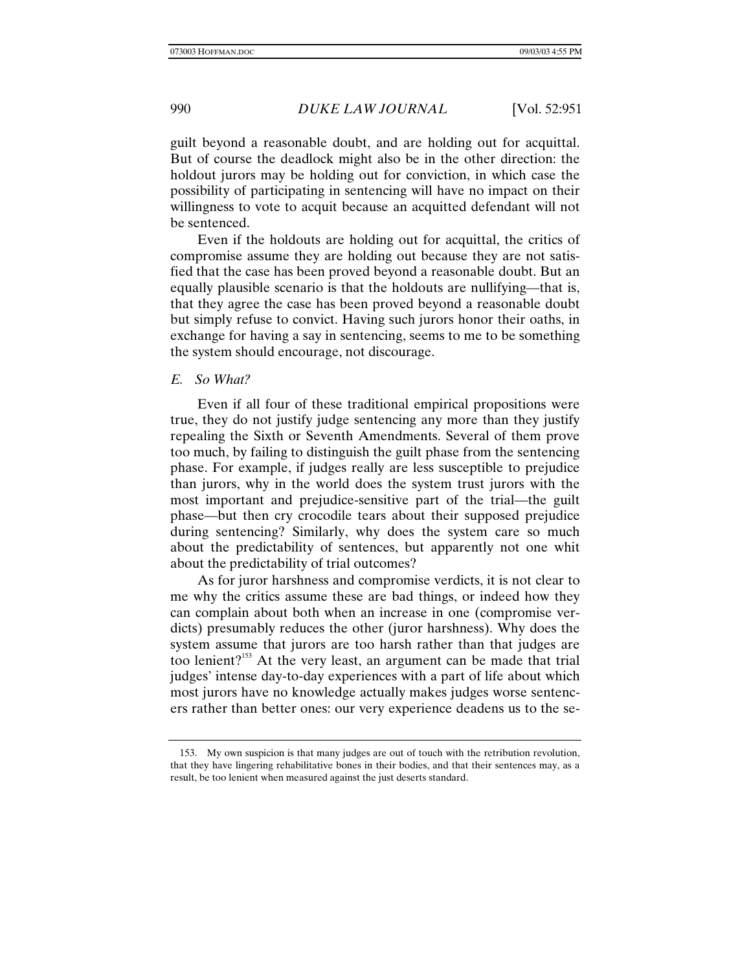guilt beyond a reasonable doubt, and are holding out for acquittal. But of course the deadlock might also be in the other direction: the holdout jurors may be holding out for conviction, in which case the possibility of participating in sentencing will have no impact on their willingness to vote to acquit because an acquitted defendant will not be sentenced.

Even if the holdouts are holding out for acquittal, the critics of compromise assume they are holding out because they are not satisfied that the case has been proved beyond a reasonable doubt. But an equally plausible scenario is that the holdouts are nullifying—that is, that they agree the case has been proved beyond a reasonable doubt but simply refuse to convict. Having such jurors honor their oaths, in exchange for having a say in sentencing, seems to me to be something the system should encourage, not discourage.

### *E. So What?*

Even if all four of these traditional empirical propositions were true, they do not justify judge sentencing any more than they justify repealing the Sixth or Seventh Amendments. Several of them prove too much, by failing to distinguish the guilt phase from the sentencing phase. For example, if judges really are less susceptible to prejudice than jurors, why in the world does the system trust jurors with the most important and prejudice-sensitive part of the trial—the guilt phase—but then cry crocodile tears about their supposed prejudice during sentencing? Similarly, why does the system care so much about the predictability of sentences, but apparently not one whit about the predictability of trial outcomes?

As for juror harshness and compromise verdicts, it is not clear to me why the critics assume these are bad things, or indeed how they can complain about both when an increase in one (compromise verdicts) presumably reduces the other (juror harshness). Why does the system assume that jurors are too harsh rather than that judges are too lenient?153 At the very least, an argument can be made that trial judges' intense day-to-day experiences with a part of life about which most jurors have no knowledge actually makes judges worse sentencers rather than better ones: our very experience deadens us to the se-

<sup>153.</sup> My own suspicion is that many judges are out of touch with the retribution revolution, that they have lingering rehabilitative bones in their bodies, and that their sentences may, as a result, be too lenient when measured against the just deserts standard.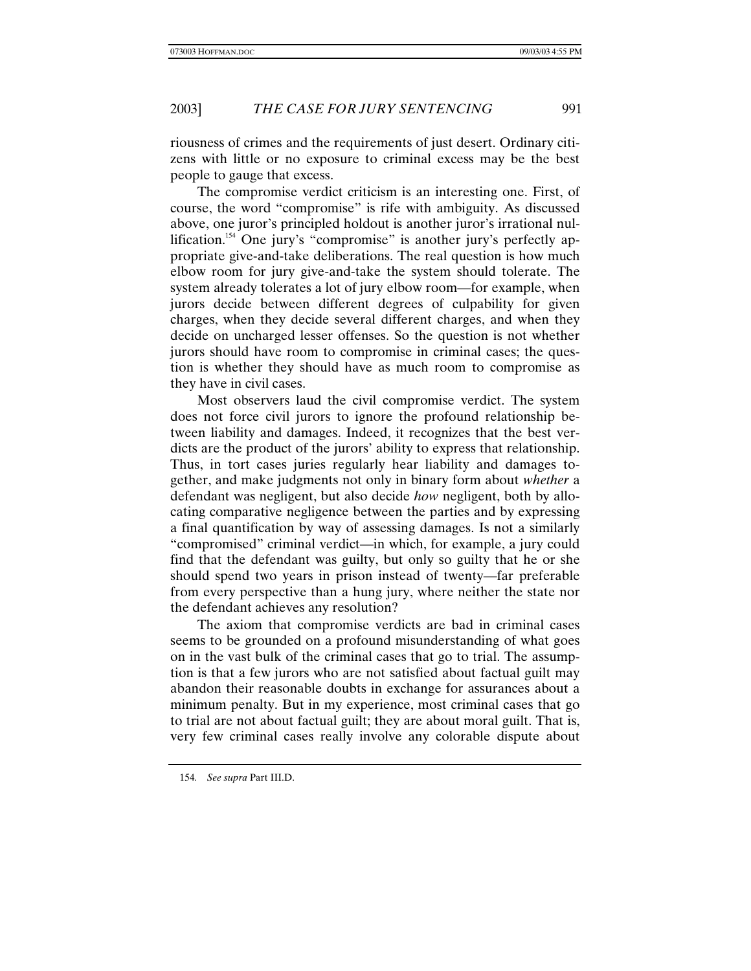riousness of crimes and the requirements of just desert. Ordinary citizens with little or no exposure to criminal excess may be the best people to gauge that excess.

The compromise verdict criticism is an interesting one. First, of course, the word "compromise" is rife with ambiguity. As discussed above, one juror's principled holdout is another juror's irrational nullification.<sup>154</sup> One jury's "compromise" is another jury's perfectly appropriate give-and-take deliberations. The real question is how much elbow room for jury give-and-take the system should tolerate. The system already tolerates a lot of jury elbow room—for example, when jurors decide between different degrees of culpability for given charges, when they decide several different charges, and when they decide on uncharged lesser offenses. So the question is not whether jurors should have room to compromise in criminal cases; the question is whether they should have as much room to compromise as they have in civil cases.

Most observers laud the civil compromise verdict. The system does not force civil jurors to ignore the profound relationship between liability and damages. Indeed, it recognizes that the best verdicts are the product of the jurors' ability to express that relationship. Thus, in tort cases juries regularly hear liability and damages together, and make judgments not only in binary form about *whether* a defendant was negligent, but also decide *how* negligent, both by allocating comparative negligence between the parties and by expressing a final quantification by way of assessing damages. Is not a similarly "compromised" criminal verdict—in which, for example, a jury could find that the defendant was guilty, but only so guilty that he or she should spend two years in prison instead of twenty—far preferable from every perspective than a hung jury, where neither the state nor the defendant achieves any resolution?

The axiom that compromise verdicts are bad in criminal cases seems to be grounded on a profound misunderstanding of what goes on in the vast bulk of the criminal cases that go to trial. The assumption is that a few jurors who are not satisfied about factual guilt may abandon their reasonable doubts in exchange for assurances about a minimum penalty. But in my experience, most criminal cases that go to trial are not about factual guilt; they are about moral guilt. That is, very few criminal cases really involve any colorable dispute about

<sup>154</sup>*. See supra* Part III.D.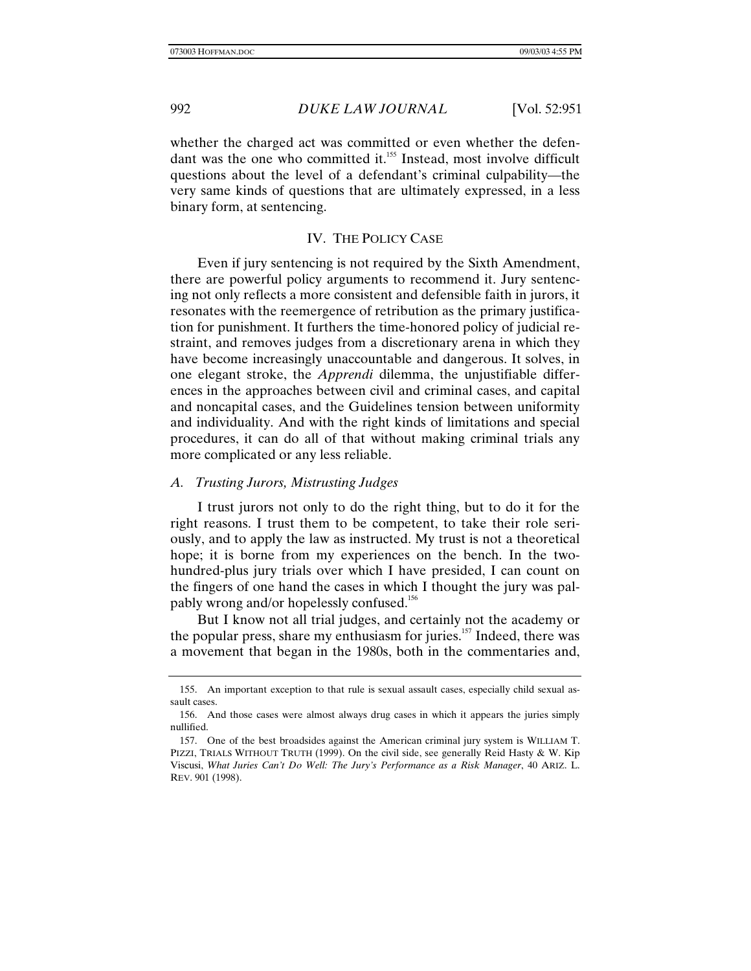whether the charged act was committed or even whether the defendant was the one who committed it.<sup>155</sup> Instead, most involve difficult questions about the level of a defendant's criminal culpability—the very same kinds of questions that are ultimately expressed, in a less binary form, at sentencing.

# IV. THE POLICY CASE

Even if jury sentencing is not required by the Sixth Amendment, there are powerful policy arguments to recommend it. Jury sentencing not only reflects a more consistent and defensible faith in jurors, it resonates with the reemergence of retribution as the primary justification for punishment. It furthers the time-honored policy of judicial restraint, and removes judges from a discretionary arena in which they have become increasingly unaccountable and dangerous. It solves, in one elegant stroke, the *Apprendi* dilemma, the unjustifiable differences in the approaches between civil and criminal cases, and capital and noncapital cases, and the Guidelines tension between uniformity and individuality. And with the right kinds of limitations and special procedures, it can do all of that without making criminal trials any more complicated or any less reliable.

# *A. Trusting Jurors, Mistrusting Judges*

I trust jurors not only to do the right thing, but to do it for the right reasons. I trust them to be competent, to take their role seriously, and to apply the law as instructed. My trust is not a theoretical hope; it is borne from my experiences on the bench. In the twohundred-plus jury trials over which I have presided, I can count on the fingers of one hand the cases in which I thought the jury was palpably wrong and/or hopelessly confused.<sup>156</sup>

But I know not all trial judges, and certainly not the academy or the popular press, share my enthusiasm for juries. $157$  Indeed, there was a movement that began in the 1980s, both in the commentaries and,

<sup>155.</sup> An important exception to that rule is sexual assault cases, especially child sexual assault cases.

<sup>156.</sup> And those cases were almost always drug cases in which it appears the juries simply nullified.

<sup>157.</sup> One of the best broadsides against the American criminal jury system is WILLIAM T. PIZZI, TRIALS WITHOUT TRUTH (1999). On the civil side, see generally Reid Hasty & W. Kip Viscusi, *What Juries Can't Do Well: The Jury's Performance as a Risk Manager*, 40 ARIZ. L. REV. 901 (1998).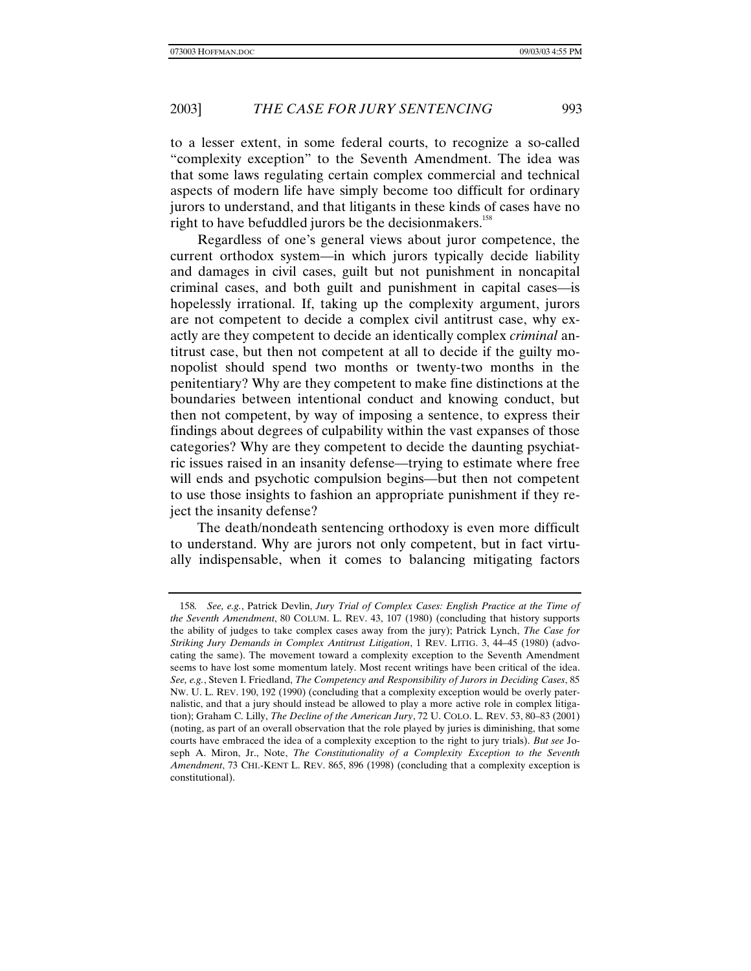to a lesser extent, in some federal courts, to recognize a so-called "complexity exception" to the Seventh Amendment. The idea was that some laws regulating certain complex commercial and technical aspects of modern life have simply become too difficult for ordinary jurors to understand, and that litigants in these kinds of cases have no right to have befuddled jurors be the decisionmakers.<sup>158</sup>

Regardless of one's general views about juror competence, the current orthodox system—in which jurors typically decide liability and damages in civil cases, guilt but not punishment in noncapital criminal cases, and both guilt and punishment in capital cases—is hopelessly irrational. If, taking up the complexity argument, jurors are not competent to decide a complex civil antitrust case, why exactly are they competent to decide an identically complex *criminal* antitrust case, but then not competent at all to decide if the guilty monopolist should spend two months or twenty-two months in the penitentiary? Why are they competent to make fine distinctions at the boundaries between intentional conduct and knowing conduct, but then not competent, by way of imposing a sentence, to express their findings about degrees of culpability within the vast expanses of those categories? Why are they competent to decide the daunting psychiatric issues raised in an insanity defense—trying to estimate where free will ends and psychotic compulsion begins—but then not competent to use those insights to fashion an appropriate punishment if they reject the insanity defense?

The death/nondeath sentencing orthodoxy is even more difficult to understand. Why are jurors not only competent, but in fact virtually indispensable, when it comes to balancing mitigating factors

<sup>158</sup>*. See, e.g.*, Patrick Devlin, *Jury Trial of Complex Cases: English Practice at the Time of the Seventh Amendment*, 80 COLUM. L. REV. 43, 107 (1980) (concluding that history supports the ability of judges to take complex cases away from the jury); Patrick Lynch, *The Case for Striking Jury Demands in Complex Antitrust Litigation*, 1 REV. LITIG. 3, 44–45 (1980) (advocating the same). The movement toward a complexity exception to the Seventh Amendment seems to have lost some momentum lately. Most recent writings have been critical of the idea. *See, e.g.*, Steven I. Friedland, *The Competency and Responsibility of Jurors in Deciding Cases*, 85 NW. U. L. REV. 190, 192 (1990) (concluding that a complexity exception would be overly paternalistic, and that a jury should instead be allowed to play a more active role in complex litigation); Graham C. Lilly, *The Decline of the American Jury*, 72 U. COLO. L. REV. 53, 80–83 (2001) (noting, as part of an overall observation that the role played by juries is diminishing, that some courts have embraced the idea of a complexity exception to the right to jury trials). *But see* Joseph A. Miron, Jr., Note, *The Constitutionality of a Complexity Exception to the Seventh Amendment*, 73 CHI.-KENT L. REV. 865, 896 (1998) (concluding that a complexity exception is constitutional).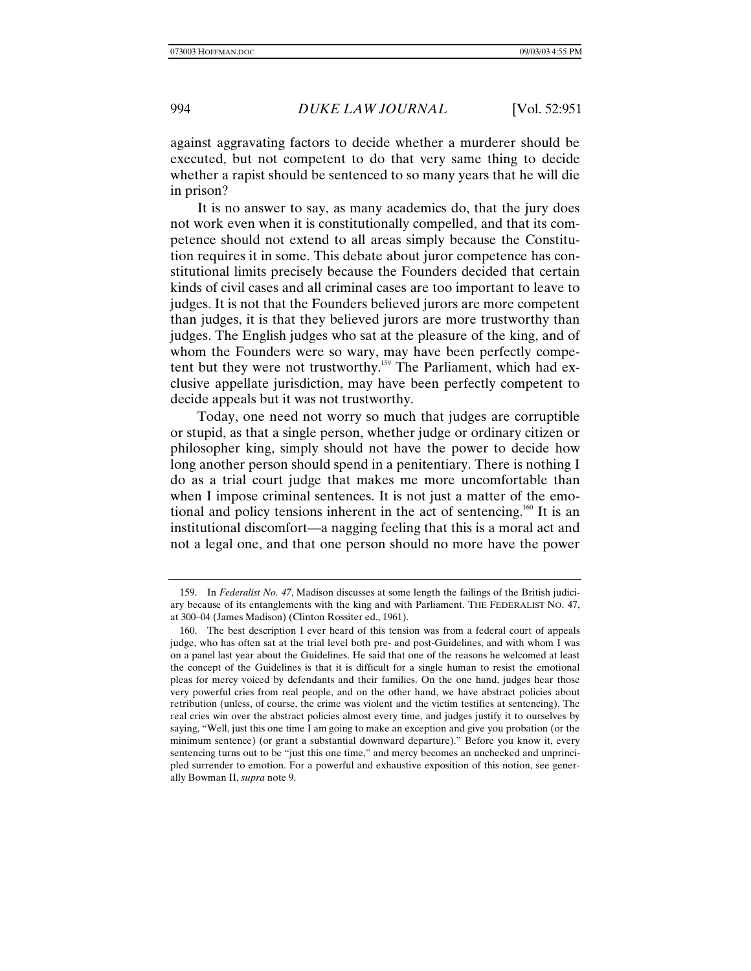against aggravating factors to decide whether a murderer should be executed, but not competent to do that very same thing to decide whether a rapist should be sentenced to so many years that he will die in prison?

It is no answer to say, as many academics do, that the jury does not work even when it is constitutionally compelled, and that its competence should not extend to all areas simply because the Constitution requires it in some. This debate about juror competence has constitutional limits precisely because the Founders decided that certain kinds of civil cases and all criminal cases are too important to leave to judges. It is not that the Founders believed jurors are more competent than judges, it is that they believed jurors are more trustworthy than judges. The English judges who sat at the pleasure of the king, and of whom the Founders were so wary, may have been perfectly competent but they were not trustworthy.<sup>159</sup> The Parliament, which had exclusive appellate jurisdiction, may have been perfectly competent to decide appeals but it was not trustworthy.

Today, one need not worry so much that judges are corruptible or stupid, as that a single person, whether judge or ordinary citizen or philosopher king, simply should not have the power to decide how long another person should spend in a penitentiary. There is nothing I do as a trial court judge that makes me more uncomfortable than when I impose criminal sentences. It is not just a matter of the emotional and policy tensions inherent in the act of sentencing.<sup>160</sup> It is an institutional discomfort—a nagging feeling that this is a moral act and not a legal one, and that one person should no more have the power

<sup>159.</sup> In *Federalist No. 47*, Madison discusses at some length the failings of the British judiciary because of its entanglements with the king and with Parliament. THE FEDERALIST NO. 47, at 300–04 (James Madison) (Clinton Rossiter ed., 1961).

<sup>160.</sup> The best description I ever heard of this tension was from a federal court of appeals judge, who has often sat at the trial level both pre- and post-Guidelines, and with whom I was on a panel last year about the Guidelines. He said that one of the reasons he welcomed at least the concept of the Guidelines is that it is difficult for a single human to resist the emotional pleas for mercy voiced by defendants and their families. On the one hand, judges hear those very powerful cries from real people, and on the other hand, we have abstract policies about retribution (unless, of course, the crime was violent and the victim testifies at sentencing). The real cries win over the abstract policies almost every time, and judges justify it to ourselves by saying, "Well, just this one time I am going to make an exception and give you probation (or the minimum sentence) (or grant a substantial downward departure)." Before you know it, every sentencing turns out to be "just this one time," and mercy becomes an unchecked and unprincipled surrender to emotion. For a powerful and exhaustive exposition of this notion, see generally Bowman II, *supra* note 9.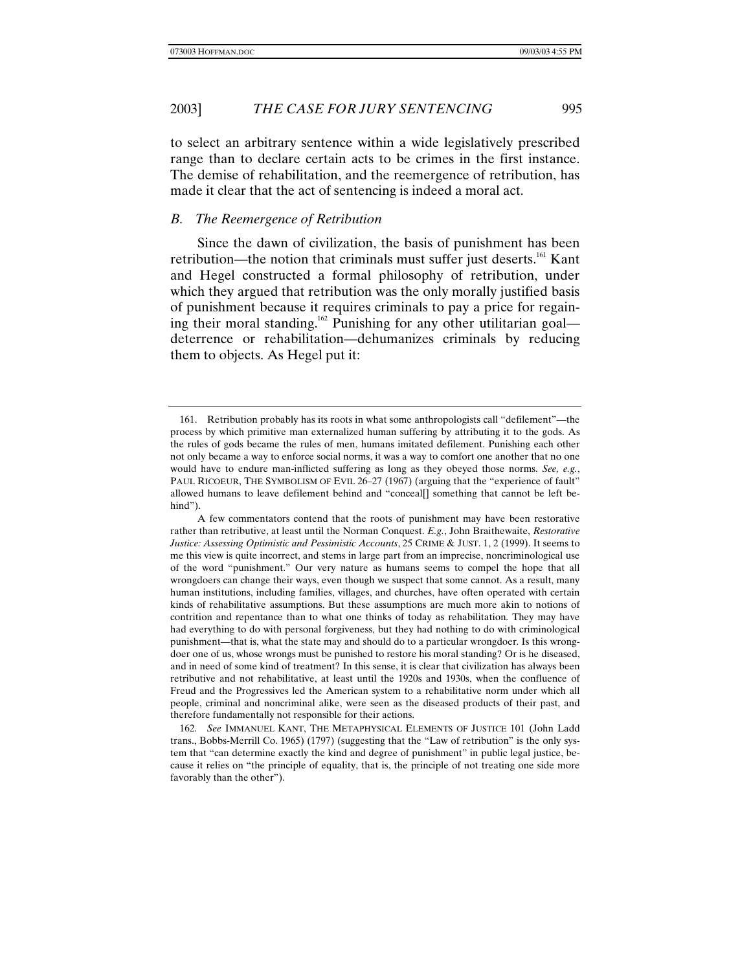to select an arbitrary sentence within a wide legislatively prescribed range than to declare certain acts to be crimes in the first instance. The demise of rehabilitation, and the reemergence of retribution, has made it clear that the act of sentencing is indeed a moral act.

# *B. The Reemergence of Retribution*

Since the dawn of civilization, the basis of punishment has been retribution—the notion that criminals must suffer just deserts.<sup>161</sup> Kant and Hegel constructed a formal philosophy of retribution, under which they argued that retribution was the only morally justified basis of punishment because it requires criminals to pay a price for regaining their moral standing.<sup>162</sup> Punishing for any other utilitarian goal deterrence or rehabilitation—dehumanizes criminals by reducing them to objects. As Hegel put it:

<sup>161.</sup> Retribution probably has its roots in what some anthropologists call "defilement"—the process by which primitive man externalized human suffering by attributing it to the gods. As the rules of gods became the rules of men, humans imitated defilement. Punishing each other not only became a way to enforce social norms, it was a way to comfort one another that no one would have to endure man-inflicted suffering as long as they obeyed those norms. *See, e.g.*, PAUL RICOEUR, THE SYMBOLISM OF EVIL 26–27 (1967) (arguing that the "experience of fault" allowed humans to leave defilement behind and "conceal[] something that cannot be left behind").

A few commentators contend that the roots of punishment may have been restorative rather than retributive, at least until the Norman Conquest. *E.g.*, John Braithewaite, *Restorative Justice: Assessing Optimistic and Pessimistic Accounts*, 25 CRIME & JUST. 1, 2 (1999). It seems to me this view is quite incorrect, and stems in large part from an imprecise, noncriminological use of the word "punishment." Our very nature as humans seems to compel the hope that all wrongdoers can change their ways, even though we suspect that some cannot. As a result, many human institutions, including families, villages, and churches, have often operated with certain kinds of rehabilitative assumptions. But these assumptions are much more akin to notions of contrition and repentance than to what one thinks of today as rehabilitation. They may have had everything to do with personal forgiveness, but they had nothing to do with criminological punishment—that is, what the state may and should do to a particular wrongdoer. Is this wrongdoer one of us, whose wrongs must be punished to restore his moral standing? Or is he diseased, and in need of some kind of treatment? In this sense, it is clear that civilization has always been retributive and not rehabilitative, at least until the 1920s and 1930s, when the confluence of Freud and the Progressives led the American system to a rehabilitative norm under which all people, criminal and noncriminal alike, were seen as the diseased products of their past, and therefore fundamentally not responsible for their actions.

<sup>162</sup>*. See* IMMANUEL KANT, THE METAPHYSICAL ELEMENTS OF JUSTICE 101 (John Ladd trans., Bobbs-Merrill Co. 1965) (1797) (suggesting that the "Law of retribution" is the only system that "can determine exactly the kind and degree of punishment" in public legal justice, because it relies on "the principle of equality, that is, the principle of not treating one side more favorably than the other").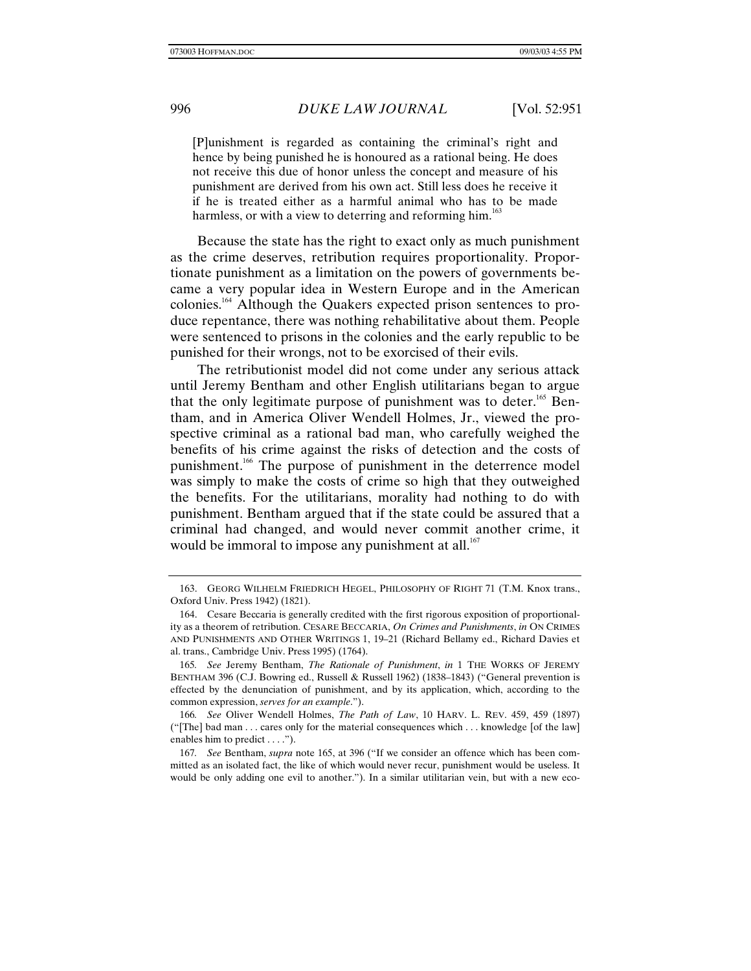[P]unishment is regarded as containing the criminal's right and hence by being punished he is honoured as a rational being. He does not receive this due of honor unless the concept and measure of his punishment are derived from his own act. Still less does he receive it if he is treated either as a harmful animal who has to be made harmless, or with a view to deterring and reforming him.<sup>163</sup>

Because the state has the right to exact only as much punishment as the crime deserves, retribution requires proportionality. Proportionate punishment as a limitation on the powers of governments became a very popular idea in Western Europe and in the American colonies.164 Although the Quakers expected prison sentences to produce repentance, there was nothing rehabilitative about them. People were sentenced to prisons in the colonies and the early republic to be punished for their wrongs, not to be exorcised of their evils.

The retributionist model did not come under any serious attack until Jeremy Bentham and other English utilitarians began to argue that the only legitimate purpose of punishment was to deter.<sup>165</sup> Bentham, and in America Oliver Wendell Holmes, Jr., viewed the prospective criminal as a rational bad man, who carefully weighed the benefits of his crime against the risks of detection and the costs of punishment.<sup>166</sup> The purpose of punishment in the deterrence model was simply to make the costs of crime so high that they outweighed the benefits. For the utilitarians, morality had nothing to do with punishment. Bentham argued that if the state could be assured that a criminal had changed, and would never commit another crime, it would be immoral to impose any punishment at all. $167$ 

<sup>163.</sup> GEORG WILHELM FRIEDRICH HEGEL, PHILOSOPHY OF RIGHT 71 (T.M. Knox trans., Oxford Univ. Press 1942) (1821).

<sup>164.</sup> Cesare Beccaria is generally credited with the first rigorous exposition of proportionality as a theorem of retribution. CESARE BECCARIA, *On Crimes and Punishments*, *in* ON CRIMES AND PUNISHMENTS AND OTHER WRITINGS 1, 19–21 (Richard Bellamy ed., Richard Davies et al. trans., Cambridge Univ. Press 1995) (1764).

<sup>165</sup>*. See* Jeremy Bentham, *The Rationale of Punishment*, *in* 1 THE WORKS OF JEREMY BENTHAM 396 (C.J. Bowring ed., Russell & Russell 1962) (1838–1843) ("General prevention is effected by the denunciation of punishment, and by its application, which, according to the common expression, *serves for an example*.").

<sup>166</sup>*. See* Oliver Wendell Holmes, *The Path of Law*, 10 HARV. L. REV. 459, 459 (1897) ("[The] bad man . . . cares only for the material consequences which . . . knowledge [of the law] enables him to predict . . . .").

<sup>167</sup>*. See* Bentham, *supra* note 165, at 396 ("If we consider an offence which has been committed as an isolated fact, the like of which would never recur, punishment would be useless. It would be only adding one evil to another."). In a similar utilitarian vein, but with a new eco-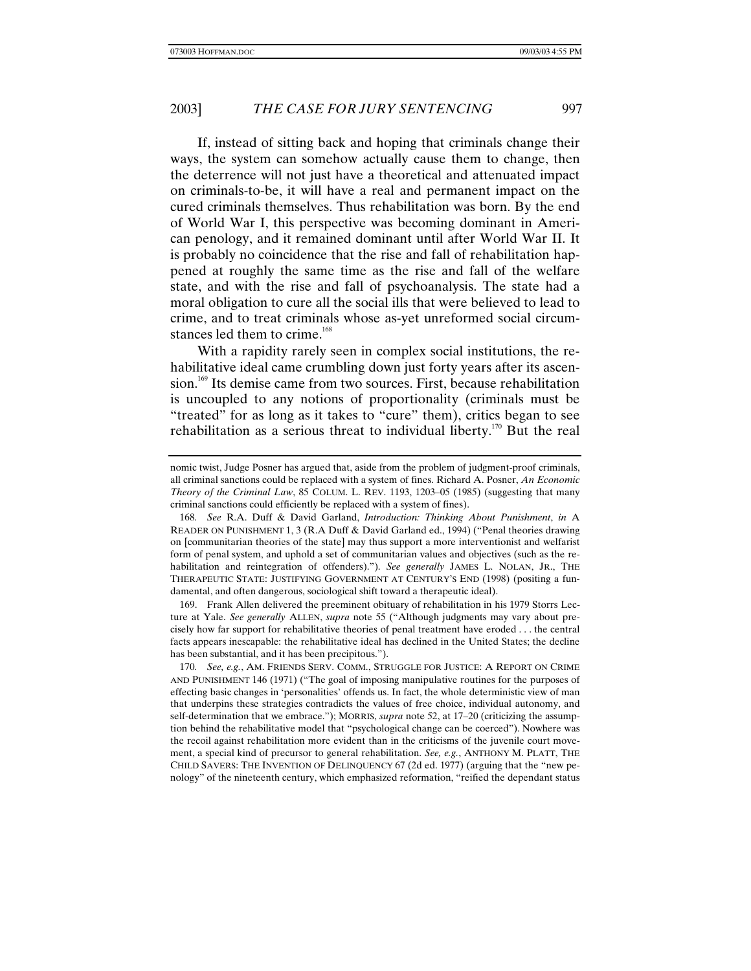If, instead of sitting back and hoping that criminals change their ways, the system can somehow actually cause them to change, then the deterrence will not just have a theoretical and attenuated impact on criminals-to-be, it will have a real and permanent impact on the cured criminals themselves. Thus rehabilitation was born. By the end of World War I, this perspective was becoming dominant in American penology, and it remained dominant until after World War II. It is probably no coincidence that the rise and fall of rehabilitation happened at roughly the same time as the rise and fall of the welfare state, and with the rise and fall of psychoanalysis. The state had a moral obligation to cure all the social ills that were believed to lead to crime, and to treat criminals whose as-yet unreformed social circumstances led them to crime.<sup>168</sup>

With a rapidity rarely seen in complex social institutions, the rehabilitative ideal came crumbling down just forty years after its ascension.<sup>169</sup> Its demise came from two sources. First, because rehabilitation is uncoupled to any notions of proportionality (criminals must be "treated" for as long as it takes to "cure" them), critics began to see rehabilitation as a serious threat to individual liberty.<sup>170</sup> But the real

169. Frank Allen delivered the preeminent obituary of rehabilitation in his 1979 Storrs Lecture at Yale. *See generally* ALLEN, *supra* note 55 ("Although judgments may vary about precisely how far support for rehabilitative theories of penal treatment have eroded . . . the central facts appears inescapable: the rehabilitative ideal has declined in the United States; the decline has been substantial, and it has been precipitous.").

nomic twist, Judge Posner has argued that, aside from the problem of judgment-proof criminals, all criminal sanctions could be replaced with a system of fines. Richard A. Posner, *An Economic Theory of the Criminal Law*, 85 COLUM. L. REV. 1193, 1203–05 (1985) (suggesting that many criminal sanctions could efficiently be replaced with a system of fines).

<sup>168</sup>*. See* R.A. Duff & David Garland, *Introduction: Thinking About Punishment*, *in* A READER ON PUNISHMENT 1, 3 (R.A Duff & David Garland ed., 1994) ("Penal theories drawing on [communitarian theories of the state] may thus support a more interventionist and welfarist form of penal system, and uphold a set of communitarian values and objectives (such as the rehabilitation and reintegration of offenders)."). *See generally* JAMES L. NOLAN, JR., THE THERAPEUTIC STATE: JUSTIFYING GOVERNMENT AT CENTURY'S END (1998) (positing a fundamental, and often dangerous, sociological shift toward a therapeutic ideal).

<sup>170</sup>*. See, e.g.*, AM. FRIENDS SERV. COMM., STRUGGLE FOR JUSTICE: A REPORT ON CRIME AND PUNISHMENT 146 (1971) ("The goal of imposing manipulative routines for the purposes of effecting basic changes in 'personalities' offends us. In fact, the whole deterministic view of man that underpins these strategies contradicts the values of free choice, individual autonomy, and self-determination that we embrace."); MORRIS, *supra* note 52, at 17–20 (criticizing the assumption behind the rehabilitative model that "psychological change can be coerced"). Nowhere was the recoil against rehabilitation more evident than in the criticisms of the juvenile court movement, a special kind of precursor to general rehabilitation. *See, e.g.*, ANTHONY M. PLATT, THE CHILD SAVERS: THE INVENTION OF DELINQUENCY 67 (2d ed. 1977) (arguing that the "new penology" of the nineteenth century, which emphasized reformation, "reified the dependant status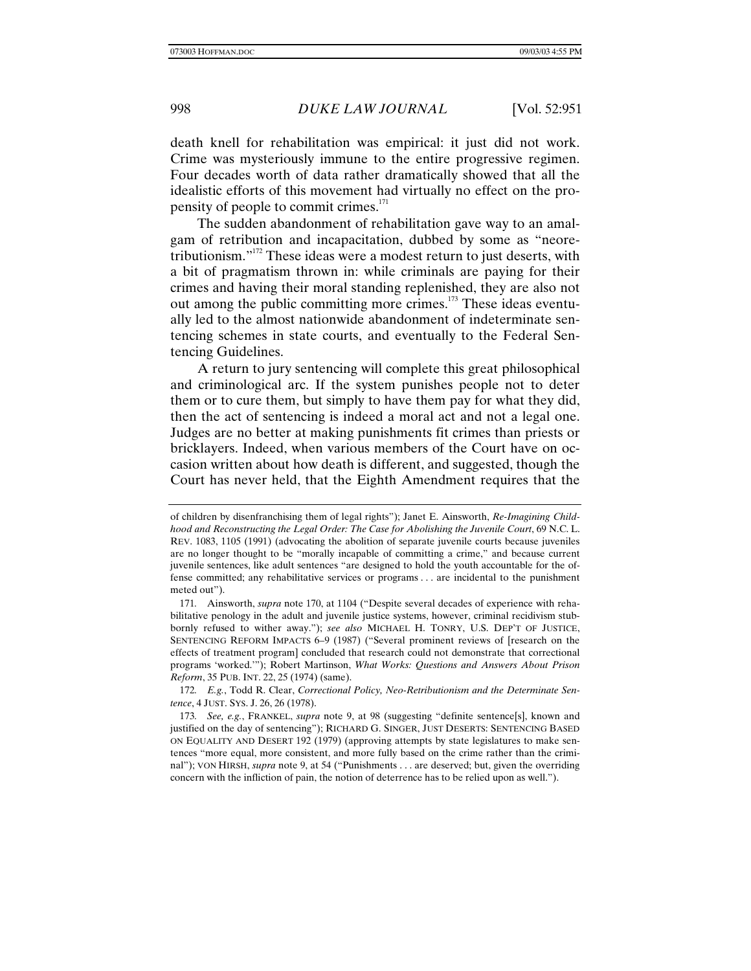death knell for rehabilitation was empirical: it just did not work. Crime was mysteriously immune to the entire progressive regimen. Four decades worth of data rather dramatically showed that all the idealistic efforts of this movement had virtually no effect on the propensity of people to commit crimes.<sup>171</sup>

The sudden abandonment of rehabilitation gave way to an amalgam of retribution and incapacitation, dubbed by some as "neoretributionism."172 These ideas were a modest return to just deserts, with a bit of pragmatism thrown in: while criminals are paying for their crimes and having their moral standing replenished, they are also not out among the public committing more crimes.<sup>173</sup> These ideas eventually led to the almost nationwide abandonment of indeterminate sentencing schemes in state courts, and eventually to the Federal Sentencing Guidelines.

A return to jury sentencing will complete this great philosophical and criminological arc. If the system punishes people not to deter them or to cure them, but simply to have them pay for what they did, then the act of sentencing is indeed a moral act and not a legal one. Judges are no better at making punishments fit crimes than priests or bricklayers. Indeed, when various members of the Court have on occasion written about how death is different, and suggested, though the Court has never held, that the Eighth Amendment requires that the

of children by disenfranchising them of legal rights"); Janet E. Ainsworth, *Re-Imagining Childhood and Reconstructing the Legal Order: The Case for Abolishing the Juvenile Court*, 69 N.C. L. REV. 1083, 1105 (1991) (advocating the abolition of separate juvenile courts because juveniles are no longer thought to be "morally incapable of committing a crime," and because current juvenile sentences, like adult sentences "are designed to hold the youth accountable for the offense committed; any rehabilitative services or programs . . . are incidental to the punishment meted out").

<sup>171</sup>*.* Ainsworth, *supra* note 170, at 1104 ("Despite several decades of experience with rehabilitative penology in the adult and juvenile justice systems, however, criminal recidivism stubbornly refused to wither away."); *see also* MICHAEL H. TONRY, U.S. DEP'T OF JUSTICE, SENTENCING REFORM IMPACTS 6–9 (1987) ("Several prominent reviews of [research on the effects of treatment program] concluded that research could not demonstrate that correctional programs 'worked.'"); Robert Martinson, *What Works: Questions and Answers About Prison Reform*, 35 PUB. INT. 22, 25 (1974) (same).

<sup>172</sup>*. E.g.*, Todd R. Clear, *Correctional Policy, Neo-Retributionism and the Determinate Sentence*, 4 JUST. SYS. J. 26, 26 (1978).

<sup>173</sup>*. See, e.g.*, FRANKEL, *supra* note 9, at 98 (suggesting "definite sentence[s], known and justified on the day of sentencing"); RICHARD G. SINGER, JUST DESERTS: SENTENCING BASED ON EQUALITY AND DESERT 192 (1979) (approving attempts by state legislatures to make sentences "more equal, more consistent, and more fully based on the crime rather than the criminal"); VON HIRSH, *supra* note 9, at 54 ("Punishments . . . are deserved; but, given the overriding concern with the infliction of pain, the notion of deterrence has to be relied upon as well.").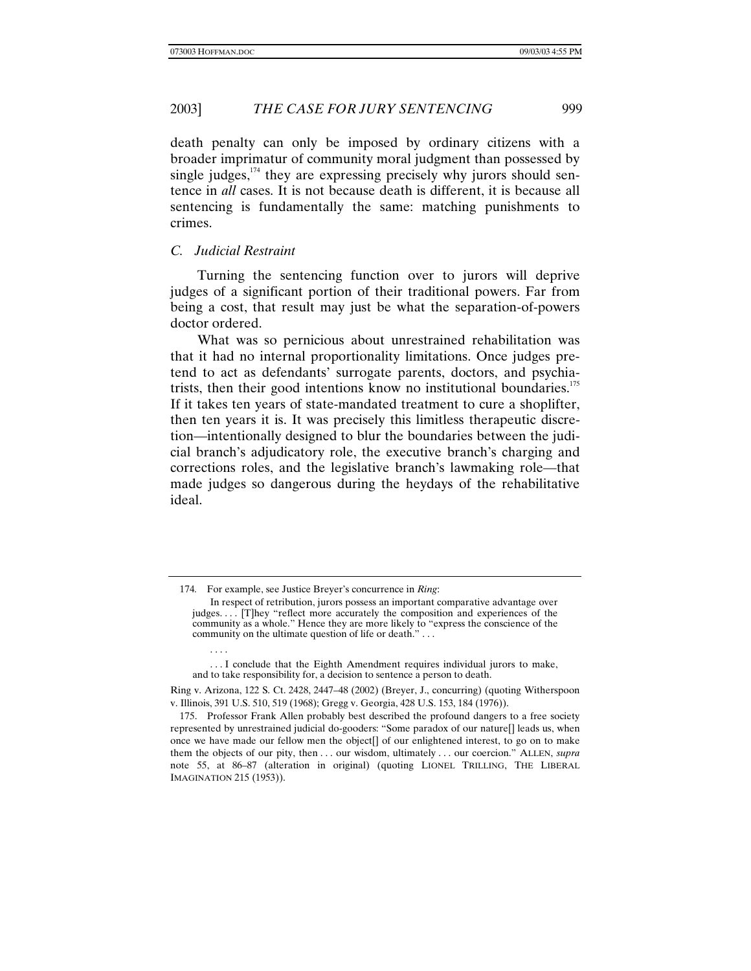death penalty can only be imposed by ordinary citizens with a broader imprimatur of community moral judgment than possessed by single judges, $174$  they are expressing precisely why jurors should sen-

tence in *all* cases. It is not because death is different, it is because all sentencing is fundamentally the same: matching punishments to crimes.

# *C. Judicial Restraint*

. . . .

Turning the sentencing function over to jurors will deprive judges of a significant portion of their traditional powers. Far from being a cost, that result may just be what the separation-of-powers doctor ordered.

What was so pernicious about unrestrained rehabilitation was that it had no internal proportionality limitations. Once judges pretend to act as defendants' surrogate parents, doctors, and psychiatrists, then their good intentions know no institutional boundaries.<sup>175</sup> If it takes ten years of state-mandated treatment to cure a shoplifter, then ten years it is. It was precisely this limitless therapeutic discretion—intentionally designed to blur the boundaries between the judicial branch's adjudicatory role, the executive branch's charging and corrections roles, and the legislative branch's lawmaking role—that made judges so dangerous during the heydays of the rehabilitative ideal.

<sup>174</sup>*.* For example, see Justice Breyer's concurrence in *Ring*:

In respect of retribution, jurors possess an important comparative advantage over judges. . . . [T]hey "reflect more accurately the composition and experiences of the community as a whole." Hence they are more likely to "express the conscience of the community on the ultimate question of life or death." . . .

<sup>. . .</sup> I conclude that the Eighth Amendment requires individual jurors to make, and to take responsibility for, a decision to sentence a person to death.

Ring v. Arizona, 122 S. Ct. 2428, 2447–48 (2002) (Breyer, J., concurring) (quoting Witherspoon v. Illinois, 391 U.S. 510, 519 (1968); Gregg v. Georgia, 428 U.S. 153, 184 (1976)).

<sup>175.</sup> Professor Frank Allen probably best described the profound dangers to a free society represented by unrestrained judicial do-gooders: "Some paradox of our nature[] leads us, when once we have made our fellow men the object[] of our enlightened interest, to go on to make them the objects of our pity, then . . . our wisdom, ultimately . . . our coercion." ALLEN, *supra* note 55, at 86–87 (alteration in original) (quoting LIONEL TRILLING, THE LIBERAL IMAGINATION 215 (1953)).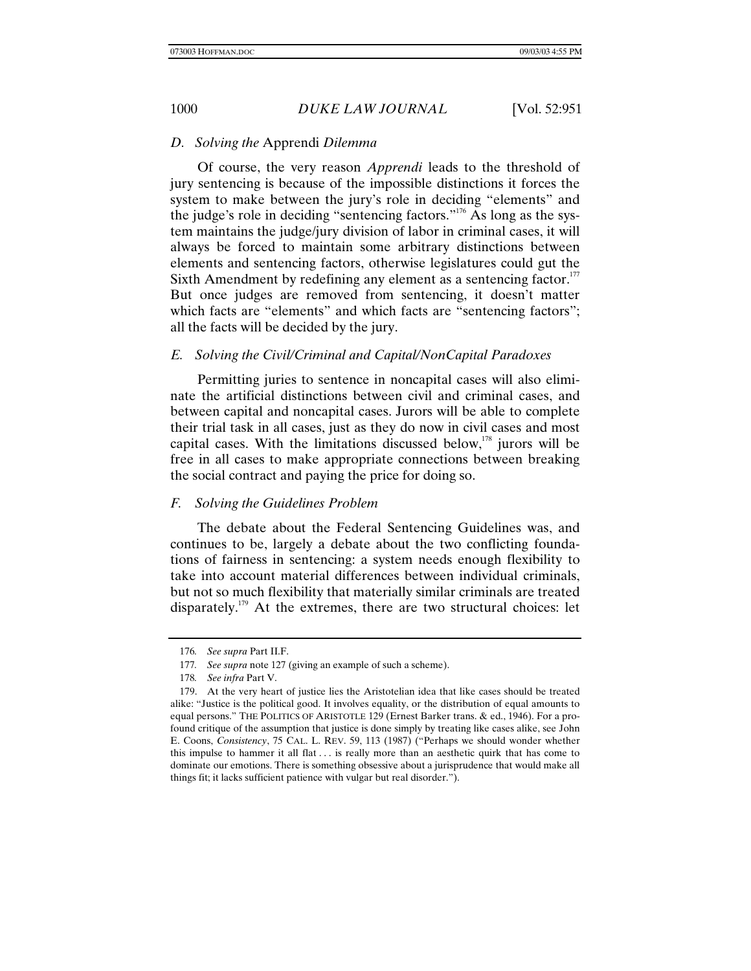### *D. Solving the* Apprendi *Dilemma*

Of course, the very reason *Apprendi* leads to the threshold of jury sentencing is because of the impossible distinctions it forces the system to make between the jury's role in deciding "elements" and the judge's role in deciding "sentencing factors."176 As long as the system maintains the judge/jury division of labor in criminal cases, it will always be forced to maintain some arbitrary distinctions between elements and sentencing factors, otherwise legislatures could gut the Sixth Amendment by redefining any element as a sentencing factor.<sup>177</sup> But once judges are removed from sentencing, it doesn't matter which facts are "elements" and which facts are "sentencing factors"; all the facts will be decided by the jury.

### *E. Solving the Civil/Criminal and Capital/NonCapital Paradoxes*

Permitting juries to sentence in noncapital cases will also eliminate the artificial distinctions between civil and criminal cases, and between capital and noncapital cases. Jurors will be able to complete their trial task in all cases, just as they do now in civil cases and most capital cases. With the limitations discussed below,  $178$  jurors will be free in all cases to make appropriate connections between breaking the social contract and paying the price for doing so.

### *F. Solving the Guidelines Problem*

The debate about the Federal Sentencing Guidelines was, and continues to be, largely a debate about the two conflicting foundations of fairness in sentencing: a system needs enough flexibility to take into account material differences between individual criminals, but not so much flexibility that materially similar criminals are treated disparately.<sup>179</sup> At the extremes, there are two structural choices: let

<sup>176</sup>*. See supra* Part II.F.

<sup>177</sup>*. See supra* note 127 (giving an example of such a scheme).

<sup>178</sup>*. See infra* Part V.

<sup>179.</sup> At the very heart of justice lies the Aristotelian idea that like cases should be treated alike: "Justice is the political good. It involves equality, or the distribution of equal amounts to equal persons." THE POLITICS OF ARISTOTLE 129 (Ernest Barker trans. & ed., 1946). For a profound critique of the assumption that justice is done simply by treating like cases alike, see John E. Coons, *Consistency*, 75 CAL. L. REV. 59, 113 (1987) ("Perhaps we should wonder whether this impulse to hammer it all flat  $\dots$  is really more than an aesthetic quirk that has come to dominate our emotions. There is something obsessive about a jurisprudence that would make all things fit; it lacks sufficient patience with vulgar but real disorder.").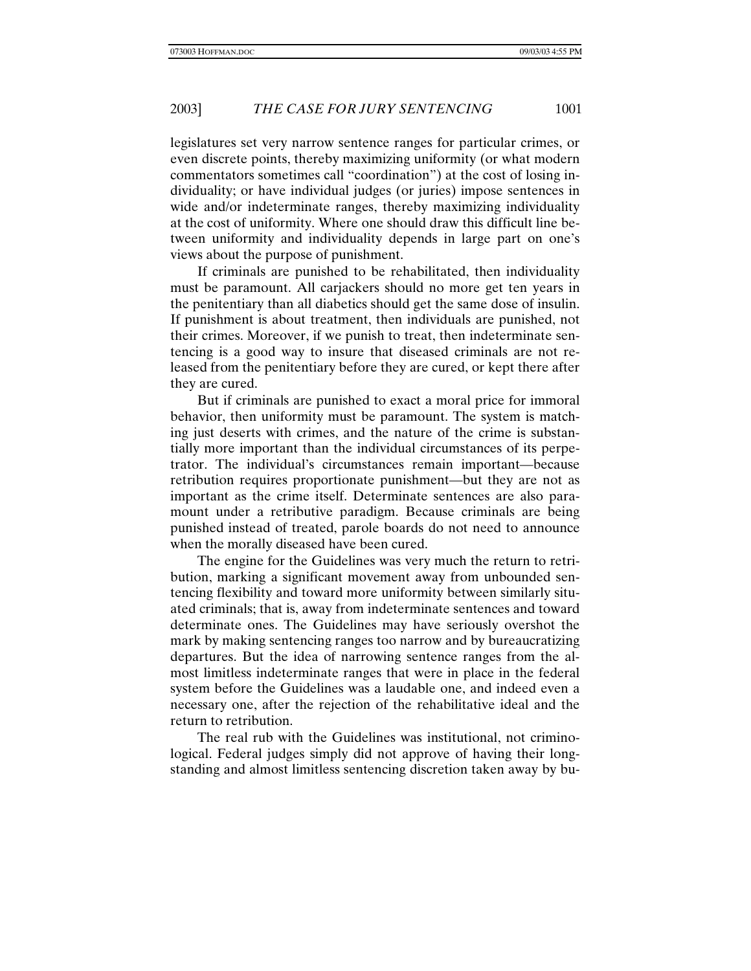legislatures set very narrow sentence ranges for particular crimes, or even discrete points, thereby maximizing uniformity (or what modern commentators sometimes call "coordination") at the cost of losing individuality; or have individual judges (or juries) impose sentences in wide and/or indeterminate ranges, thereby maximizing individuality at the cost of uniformity. Where one should draw this difficult line between uniformity and individuality depends in large part on one's views about the purpose of punishment.

If criminals are punished to be rehabilitated, then individuality must be paramount. All carjackers should no more get ten years in the penitentiary than all diabetics should get the same dose of insulin. If punishment is about treatment, then individuals are punished, not their crimes. Moreover, if we punish to treat, then indeterminate sentencing is a good way to insure that diseased criminals are not released from the penitentiary before they are cured, or kept there after they are cured.

But if criminals are punished to exact a moral price for immoral behavior, then uniformity must be paramount. The system is matching just deserts with crimes, and the nature of the crime is substantially more important than the individual circumstances of its perpetrator. The individual's circumstances remain important—because retribution requires proportionate punishment—but they are not as important as the crime itself. Determinate sentences are also paramount under a retributive paradigm. Because criminals are being punished instead of treated, parole boards do not need to announce when the morally diseased have been cured.

The engine for the Guidelines was very much the return to retribution, marking a significant movement away from unbounded sentencing flexibility and toward more uniformity between similarly situated criminals; that is, away from indeterminate sentences and toward determinate ones. The Guidelines may have seriously overshot the mark by making sentencing ranges too narrow and by bureaucratizing departures. But the idea of narrowing sentence ranges from the almost limitless indeterminate ranges that were in place in the federal system before the Guidelines was a laudable one, and indeed even a necessary one, after the rejection of the rehabilitative ideal and the return to retribution.

The real rub with the Guidelines was institutional, not criminological. Federal judges simply did not approve of having their longstanding and almost limitless sentencing discretion taken away by bu-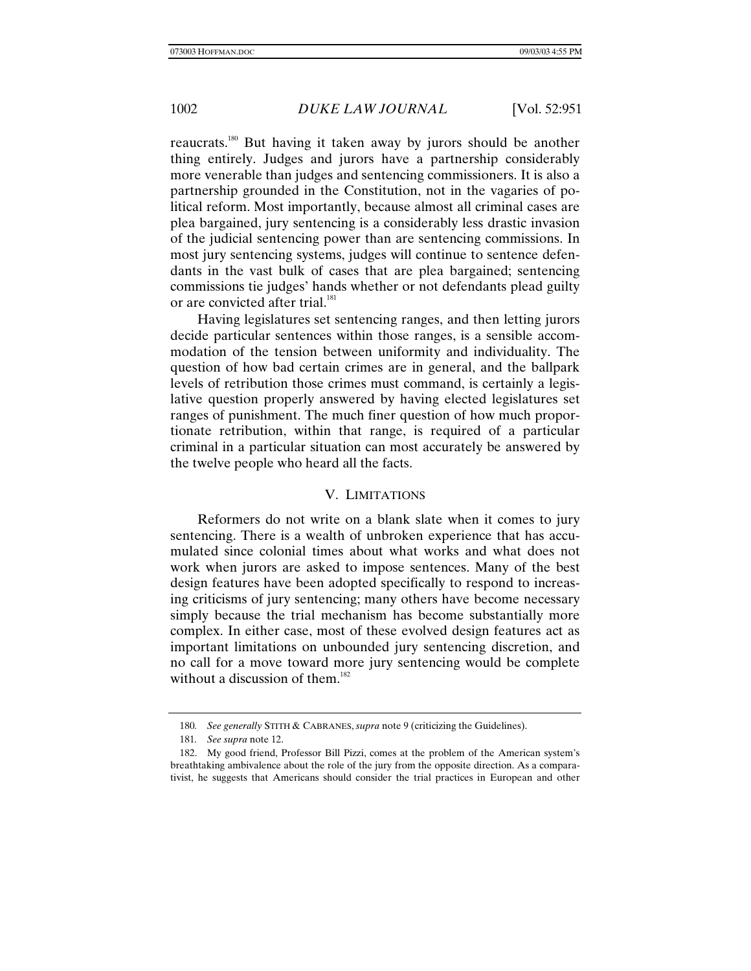reaucrats.180 But having it taken away by jurors should be another thing entirely. Judges and jurors have a partnership considerably more venerable than judges and sentencing commissioners. It is also a partnership grounded in the Constitution, not in the vagaries of political reform. Most importantly, because almost all criminal cases are plea bargained, jury sentencing is a considerably less drastic invasion of the judicial sentencing power than are sentencing commissions. In most jury sentencing systems, judges will continue to sentence defendants in the vast bulk of cases that are plea bargained; sentencing commissions tie judges' hands whether or not defendants plead guilty or are convicted after trial.<sup>181</sup>

Having legislatures set sentencing ranges, and then letting jurors decide particular sentences within those ranges, is a sensible accommodation of the tension between uniformity and individuality. The question of how bad certain crimes are in general, and the ballpark levels of retribution those crimes must command, is certainly a legislative question properly answered by having elected legislatures set ranges of punishment. The much finer question of how much proportionate retribution, within that range, is required of a particular criminal in a particular situation can most accurately be answered by the twelve people who heard all the facts.

### V. LIMITATIONS

Reformers do not write on a blank slate when it comes to jury sentencing. There is a wealth of unbroken experience that has accumulated since colonial times about what works and what does not work when jurors are asked to impose sentences. Many of the best design features have been adopted specifically to respond to increasing criticisms of jury sentencing; many others have become necessary simply because the trial mechanism has become substantially more complex. In either case, most of these evolved design features act as important limitations on unbounded jury sentencing discretion, and no call for a move toward more jury sentencing would be complete without a discussion of them.<sup>182</sup>

<sup>180</sup>*. See generally* STITH & CABRANES, *supra* note 9 (criticizing the Guidelines).

<sup>181</sup>*. See supra* note 12.

<sup>182.</sup> My good friend, Professor Bill Pizzi, comes at the problem of the American system's breathtaking ambivalence about the role of the jury from the opposite direction. As a comparativist, he suggests that Americans should consider the trial practices in European and other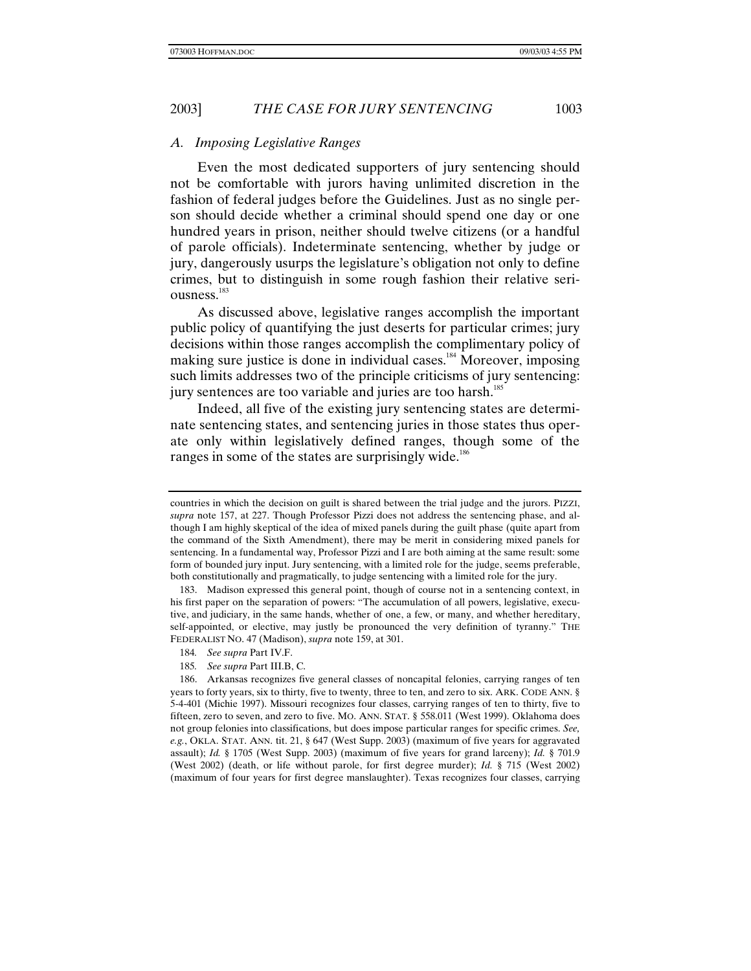### *A. Imposing Legislative Ranges*

Even the most dedicated supporters of jury sentencing should not be comfortable with jurors having unlimited discretion in the fashion of federal judges before the Guidelines. Just as no single person should decide whether a criminal should spend one day or one hundred years in prison, neither should twelve citizens (or a handful of parole officials). Indeterminate sentencing, whether by judge or jury, dangerously usurps the legislature's obligation not only to define crimes, but to distinguish in some rough fashion their relative seriousness.<sup>183</sup>

As discussed above, legislative ranges accomplish the important public policy of quantifying the just deserts for particular crimes; jury decisions within those ranges accomplish the complimentary policy of making sure justice is done in individual cases.<sup>184</sup> Moreover, imposing such limits addresses two of the principle criticisms of jury sentencing: jury sentences are too variable and juries are too harsh.<sup>185</sup>

Indeed, all five of the existing jury sentencing states are determinate sentencing states, and sentencing juries in those states thus operate only within legislatively defined ranges, though some of the ranges in some of the states are surprisingly wide.<sup>186</sup>

countries in which the decision on guilt is shared between the trial judge and the jurors. PIZZI, *supra* note 157, at 227. Though Professor Pizzi does not address the sentencing phase, and although I am highly skeptical of the idea of mixed panels during the guilt phase (quite apart from the command of the Sixth Amendment), there may be merit in considering mixed panels for sentencing. In a fundamental way, Professor Pizzi and I are both aiming at the same result: some form of bounded jury input. Jury sentencing, with a limited role for the judge, seems preferable, both constitutionally and pragmatically, to judge sentencing with a limited role for the jury.

<sup>183.</sup> Madison expressed this general point, though of course not in a sentencing context, in his first paper on the separation of powers: "The accumulation of all powers, legislative, executive, and judiciary, in the same hands, whether of one, a few, or many, and whether hereditary, self-appointed, or elective, may justly be pronounced the very definition of tyranny." THE FEDERALIST NO. 47 (Madison), *supra* note 159, at 301.

<sup>184</sup>*. See supra* Part IV.F.

<sup>185</sup>*. See supra* Part III.B, C.

<sup>186.</sup> Arkansas recognizes five general classes of noncapital felonies, carrying ranges of ten years to forty years, six to thirty, five to twenty, three to ten, and zero to six. ARK. CODE ANN. § 5-4-401 (Michie 1997). Missouri recognizes four classes, carrying ranges of ten to thirty, five to fifteen, zero to seven, and zero to five. MO. ANN. STAT. § 558.011 (West 1999). Oklahoma does not group felonies into classifications, but does impose particular ranges for specific crimes. *See, e.g.*, OKLA. STAT. ANN. tit. 21, § 647 (West Supp. 2003) (maximum of five years for aggravated assault); *Id.* § 1705 (West Supp. 2003) (maximum of five years for grand larceny); *Id.* § 701.9 (West 2002) (death, or life without parole, for first degree murder); *Id.* § 715 (West 2002) (maximum of four years for first degree manslaughter). Texas recognizes four classes, carrying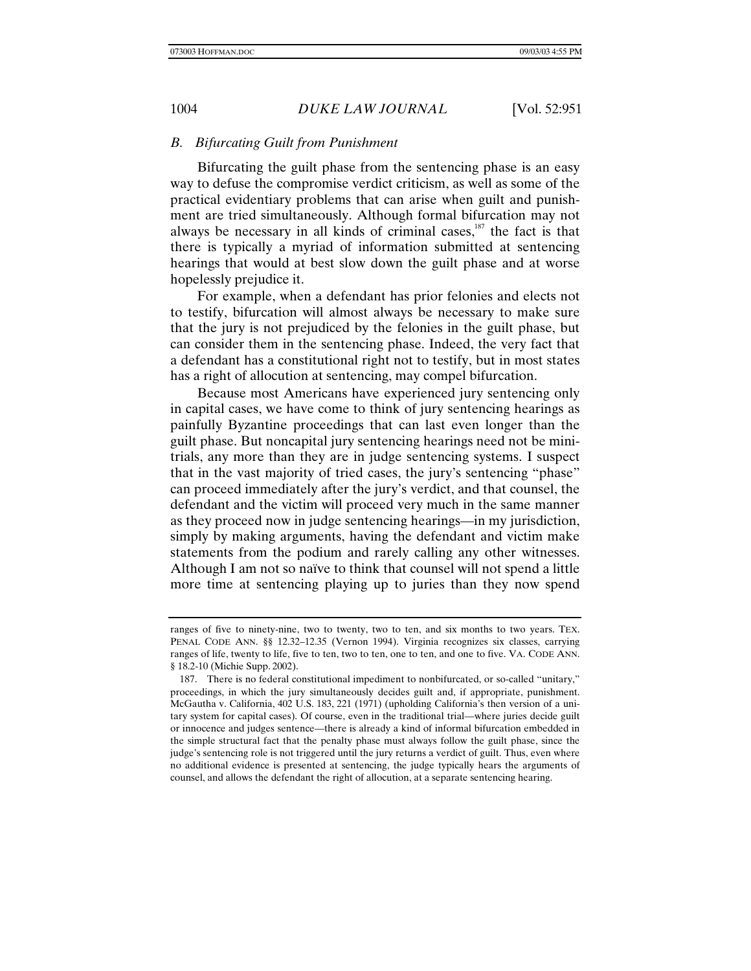### *B. Bifurcating Guilt from Punishment*

Bifurcating the guilt phase from the sentencing phase is an easy way to defuse the compromise verdict criticism, as well as some of the practical evidentiary problems that can arise when guilt and punishment are tried simultaneously. Although formal bifurcation may not always be necessary in all kinds of criminal cases, $187$  the fact is that there is typically a myriad of information submitted at sentencing hearings that would at best slow down the guilt phase and at worse hopelessly prejudice it.

For example, when a defendant has prior felonies and elects not to testify, bifurcation will almost always be necessary to make sure that the jury is not prejudiced by the felonies in the guilt phase, but can consider them in the sentencing phase. Indeed, the very fact that a defendant has a constitutional right not to testify, but in most states has a right of allocution at sentencing, may compel bifurcation.

Because most Americans have experienced jury sentencing only in capital cases, we have come to think of jury sentencing hearings as painfully Byzantine proceedings that can last even longer than the guilt phase. But noncapital jury sentencing hearings need not be minitrials, any more than they are in judge sentencing systems. I suspect that in the vast majority of tried cases, the jury's sentencing "phase" can proceed immediately after the jury's verdict, and that counsel, the defendant and the victim will proceed very much in the same manner as they proceed now in judge sentencing hearings—in my jurisdiction, simply by making arguments, having the defendant and victim make statements from the podium and rarely calling any other witnesses. Although I am not so naïve to think that counsel will not spend a little more time at sentencing playing up to juries than they now spend

ranges of five to ninety-nine, two to twenty, two to ten, and six months to two years. TEX. PENAL CODE ANN. §§ 12.32–12.35 (Vernon 1994). Virginia recognizes six classes, carrying ranges of life, twenty to life, five to ten, two to ten, one to ten, and one to five. VA. CODE ANN. § 18.2-10 (Michie Supp. 2002).

<sup>187.</sup> There is no federal constitutional impediment to nonbifurcated, or so-called "unitary," proceedings, in which the jury simultaneously decides guilt and, if appropriate, punishment. McGautha v. California, 402 U.S. 183, 221 (1971) (upholding California's then version of a unitary system for capital cases). Of course, even in the traditional trial—where juries decide guilt or innocence and judges sentence—there is already a kind of informal bifurcation embedded in the simple structural fact that the penalty phase must always follow the guilt phase, since the judge's sentencing role is not triggered until the jury returns a verdict of guilt. Thus, even where no additional evidence is presented at sentencing, the judge typically hears the arguments of counsel, and allows the defendant the right of allocution, at a separate sentencing hearing.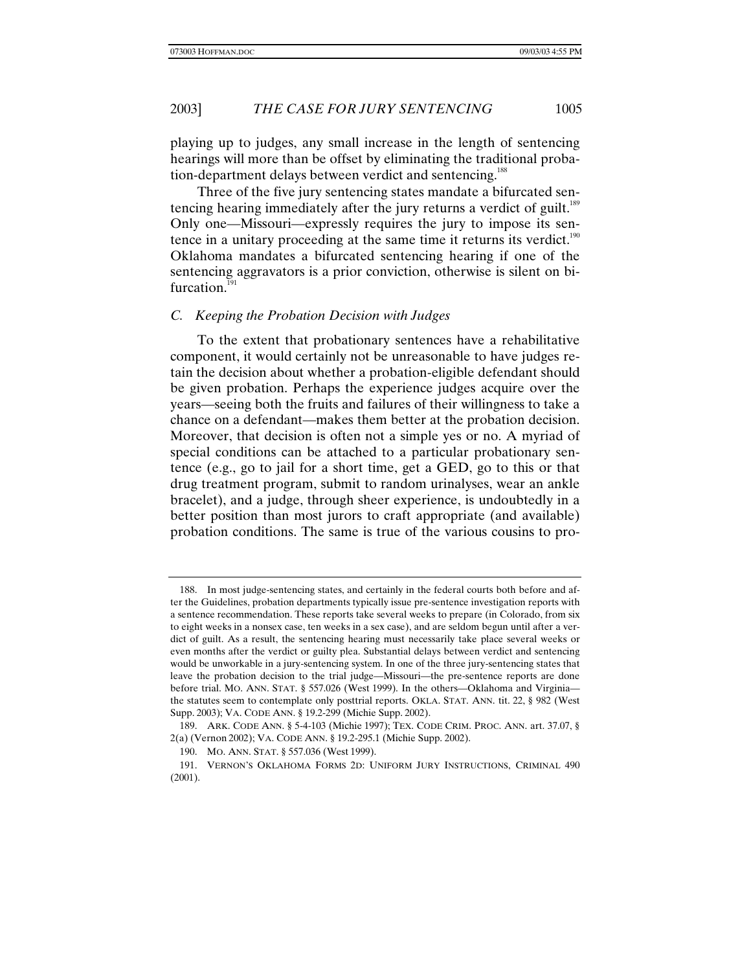playing up to judges, any small increase in the length of sentencing hearings will more than be offset by eliminating the traditional probation-department delays between verdict and sentencing.<sup>188</sup>

Three of the five jury sentencing states mandate a bifurcated sentencing hearing immediately after the jury returns a verdict of guilt.<sup>189</sup> Only one—Missouri—expressly requires the jury to impose its sentence in a unitary proceeding at the same time it returns its verdict. $190$ Oklahoma mandates a bifurcated sentencing hearing if one of the sentencing aggravators is a prior conviction, otherwise is silent on bifurcation.<sup>191</sup>

## *C. Keeping the Probation Decision with Judges*

To the extent that probationary sentences have a rehabilitative component, it would certainly not be unreasonable to have judges retain the decision about whether a probation-eligible defendant should be given probation. Perhaps the experience judges acquire over the years—seeing both the fruits and failures of their willingness to take a chance on a defendant—makes them better at the probation decision. Moreover, that decision is often not a simple yes or no. A myriad of special conditions can be attached to a particular probationary sentence (e.g., go to jail for a short time, get a GED, go to this or that drug treatment program, submit to random urinalyses, wear an ankle bracelet), and a judge, through sheer experience, is undoubtedly in a better position than most jurors to craft appropriate (and available) probation conditions. The same is true of the various cousins to pro-

<sup>188.</sup> In most judge-sentencing states, and certainly in the federal courts both before and after the Guidelines, probation departments typically issue pre-sentence investigation reports with a sentence recommendation. These reports take several weeks to prepare (in Colorado, from six to eight weeks in a nonsex case, ten weeks in a sex case), and are seldom begun until after a verdict of guilt. As a result, the sentencing hearing must necessarily take place several weeks or even months after the verdict or guilty plea. Substantial delays between verdict and sentencing would be unworkable in a jury-sentencing system. In one of the three jury-sentencing states that leave the probation decision to the trial judge—Missouri—the pre-sentence reports are done before trial. MO. ANN. STAT. § 557.026 (West 1999). In the others—Oklahoma and Virginia the statutes seem to contemplate only posttrial reports. OKLA. STAT. ANN. tit. 22, § 982 (West Supp. 2003); VA. CODE ANN. § 19.2-299 (Michie Supp. 2002).

<sup>189.</sup> ARK. CODE ANN. § 5-4-103 (Michie 1997); TEX. CODE CRIM. PROC. ANN. art. 37.07, § 2(a) (Vernon 2002); VA. CODE ANN. § 19.2-295.1 (Michie Supp. 2002).

<sup>190.</sup> MO. ANN. STAT. § 557.036 (West 1999).

<sup>191.</sup> VERNON'S OKLAHOMA FORMS 2D: UNIFORM JURY INSTRUCTIONS, CRIMINAL 490 (2001).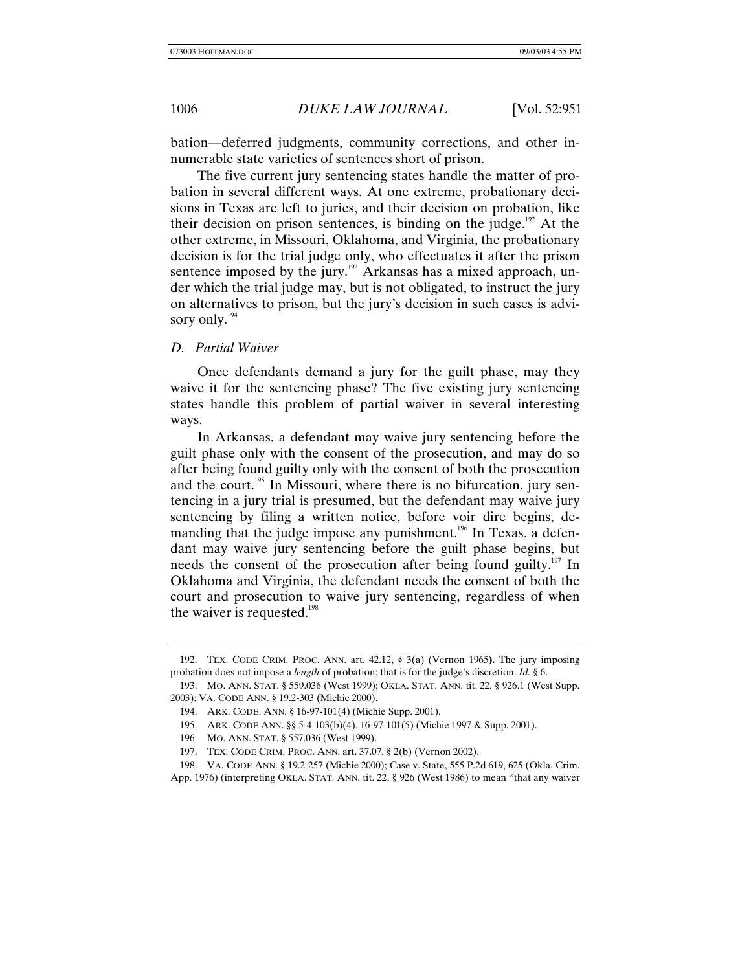bation—deferred judgments, community corrections, and other innumerable state varieties of sentences short of prison.

The five current jury sentencing states handle the matter of probation in several different ways. At one extreme, probationary decisions in Texas are left to juries, and their decision on probation, like their decision on prison sentences, is binding on the judge.<sup>192</sup> At the other extreme, in Missouri, Oklahoma, and Virginia, the probationary decision is for the trial judge only, who effectuates it after the prison sentence imposed by the jury. $193$  Arkansas has a mixed approach, under which the trial judge may, but is not obligated, to instruct the jury on alternatives to prison, but the jury's decision in such cases is advisory only. $194$ 

### *D. Partial Waiver*

Once defendants demand a jury for the guilt phase, may they waive it for the sentencing phase? The five existing jury sentencing states handle this problem of partial waiver in several interesting ways.

In Arkansas, a defendant may waive jury sentencing before the guilt phase only with the consent of the prosecution, and may do so after being found guilty only with the consent of both the prosecution and the court.<sup>195</sup> In Missouri, where there is no bifurcation, jury sentencing in a jury trial is presumed, but the defendant may waive jury sentencing by filing a written notice, before voir dire begins, demanding that the judge impose any punishment.<sup>196</sup> In Texas, a defendant may waive jury sentencing before the guilt phase begins, but needs the consent of the prosecution after being found guilty.<sup>197</sup> In Oklahoma and Virginia, the defendant needs the consent of both the court and prosecution to waive jury sentencing, regardless of when the waiver is requested. $198$ 

<sup>192.</sup> TEX. CODE CRIM. PROC. ANN. art. 42.12, § 3(a) (Vernon 1965**).** The jury imposing probation does not impose a *length* of probation; that is for the judge's discretion. *Id.* § 6.

<sup>193.</sup> MO. ANN. STAT. § 559.036 (West 1999); OKLA. STAT. ANN. tit. 22, § 926.1 (West Supp. 2003); VA. CODE ANN. § 19.2-303 (Michie 2000).

<sup>194.</sup> ARK. CODE. ANN. § 16-97-101(4) (Michie Supp. 2001).

<sup>195.</sup> ARK. CODE ANN. §§ 5-4-103(b)(4), 16-97-101(5) (Michie 1997 & Supp. 2001).

<sup>196.</sup> MO. ANN. STAT. § 557.036 (West 1999).

<sup>197.</sup> TEX. CODE CRIM. PROC. ANN. art. 37.07, § 2(b) (Vernon 2002).

<sup>198.</sup> VA. CODE ANN. § 19.2-257 (Michie 2000); Case v. State, 555 P.2d 619, 625 (Okla. Crim. App. 1976) (interpreting OKLA. STAT. ANN. tit. 22, § 926 (West 1986) to mean "that any waiver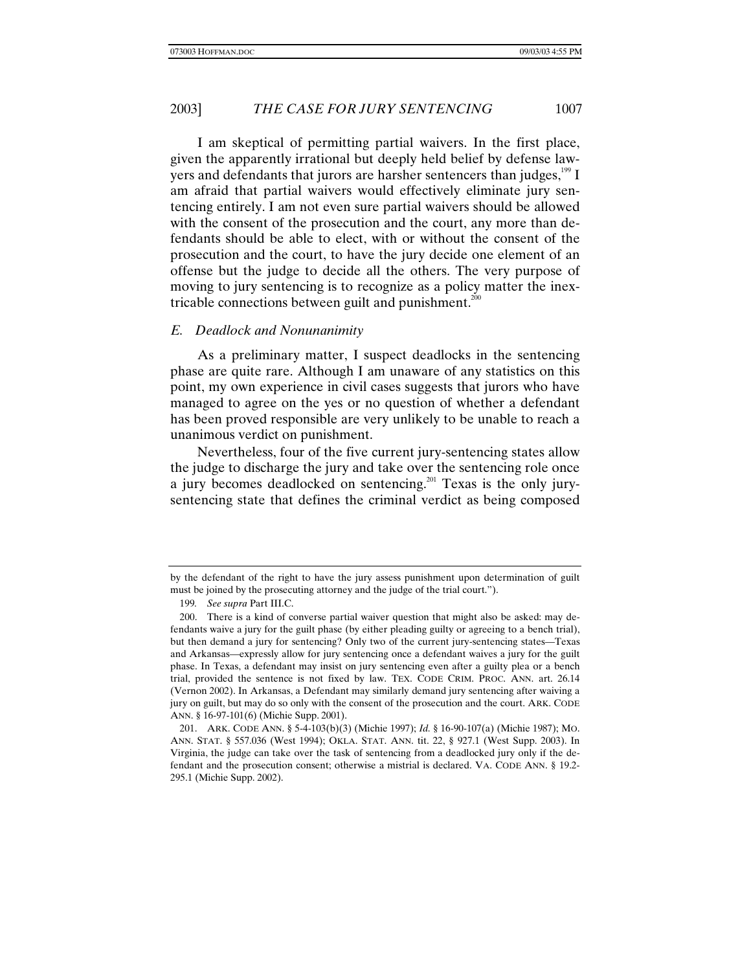I am skeptical of permitting partial waivers. In the first place, given the apparently irrational but deeply held belief by defense lawyers and defendants that jurors are harsher sentencers than judges, $199$  I am afraid that partial waivers would effectively eliminate jury sentencing entirely. I am not even sure partial waivers should be allowed with the consent of the prosecution and the court, any more than defendants should be able to elect, with or without the consent of the prosecution and the court, to have the jury decide one element of an offense but the judge to decide all the others. The very purpose of moving to jury sentencing is to recognize as a policy matter the inextricable connections between guilt and punishment.<sup>200</sup>

### *E. Deadlock and Nonunanimity*

As a preliminary matter, I suspect deadlocks in the sentencing phase are quite rare. Although I am unaware of any statistics on this point, my own experience in civil cases suggests that jurors who have managed to agree on the yes or no question of whether a defendant has been proved responsible are very unlikely to be unable to reach a unanimous verdict on punishment.

Nevertheless, four of the five current jury-sentencing states allow the judge to discharge the jury and take over the sentencing role once a jury becomes deadlocked on sentencing.<sup>201</sup> Texas is the only jurysentencing state that defines the criminal verdict as being composed

by the defendant of the right to have the jury assess punishment upon determination of guilt must be joined by the prosecuting attorney and the judge of the trial court.").

<sup>199</sup>*. See supra* Part III.C.

<sup>200.</sup> There is a kind of converse partial waiver question that might also be asked: may defendants waive a jury for the guilt phase (by either pleading guilty or agreeing to a bench trial), but then demand a jury for sentencing? Only two of the current jury-sentencing states—Texas and Arkansas—expressly allow for jury sentencing once a defendant waives a jury for the guilt phase. In Texas, a defendant may insist on jury sentencing even after a guilty plea or a bench trial, provided the sentence is not fixed by law. TEX. CODE CRIM. PROC. ANN. art. 26.14 (Vernon 2002). In Arkansas, a Defendant may similarly demand jury sentencing after waiving a jury on guilt, but may do so only with the consent of the prosecution and the court. ARK. CODE ANN. § 16-97-101(6) (Michie Supp. 2001).

<sup>201.</sup> ARK. CODE ANN. § 5-4-103(b)(3) (Michie 1997); *Id.* § 16-90-107(a) (Michie 1987); MO. ANN. STAT. § 557.036 (West 1994); OKLA. STAT. ANN. tit. 22, § 927.1 (West Supp. 2003). In Virginia, the judge can take over the task of sentencing from a deadlocked jury only if the defendant and the prosecution consent; otherwise a mistrial is declared. VA. CODE ANN. § 19.2- 295.1 (Michie Supp. 2002).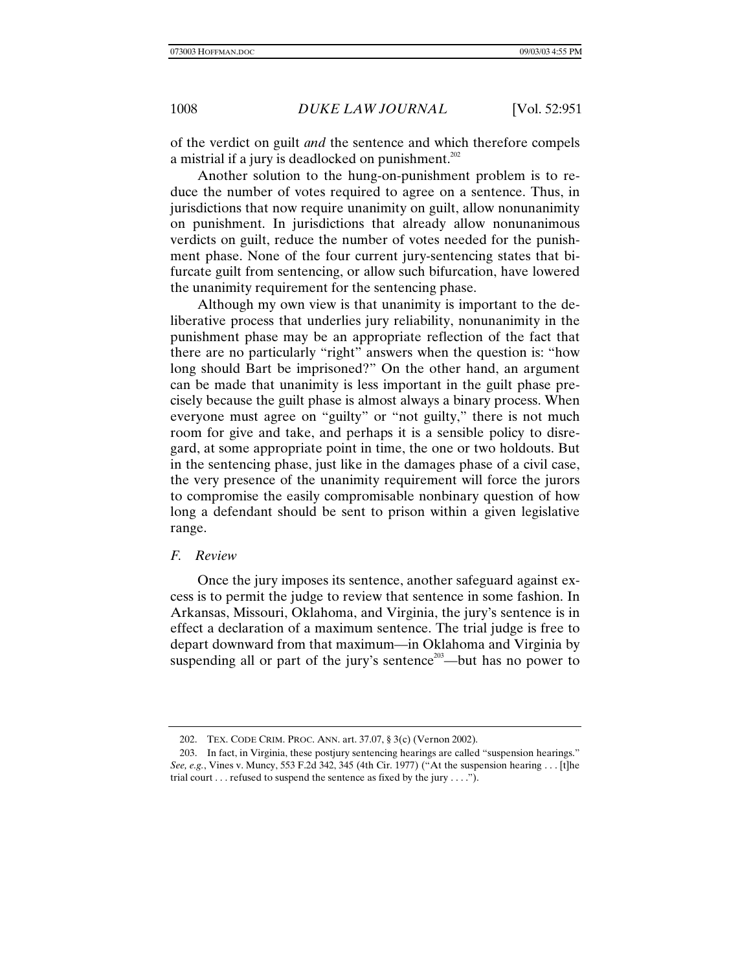of the verdict on guilt *and* the sentence and which therefore compels a mistrial if a jury is deadlocked on punishment.<sup>202</sup>

Another solution to the hung-on-punishment problem is to reduce the number of votes required to agree on a sentence. Thus, in jurisdictions that now require unanimity on guilt, allow nonunanimity on punishment. In jurisdictions that already allow nonunanimous verdicts on guilt, reduce the number of votes needed for the punishment phase. None of the four current jury-sentencing states that bifurcate guilt from sentencing, or allow such bifurcation, have lowered the unanimity requirement for the sentencing phase.

Although my own view is that unanimity is important to the deliberative process that underlies jury reliability, nonunanimity in the punishment phase may be an appropriate reflection of the fact that there are no particularly "right" answers when the question is: "how long should Bart be imprisoned?" On the other hand, an argument can be made that unanimity is less important in the guilt phase precisely because the guilt phase is almost always a binary process. When everyone must agree on "guilty" or "not guilty," there is not much room for give and take, and perhaps it is a sensible policy to disregard, at some appropriate point in time, the one or two holdouts. But in the sentencing phase, just like in the damages phase of a civil case, the very presence of the unanimity requirement will force the jurors to compromise the easily compromisable nonbinary question of how long a defendant should be sent to prison within a given legislative range.

### *F. Review*

Once the jury imposes its sentence, another safeguard against excess is to permit the judge to review that sentence in some fashion. In Arkansas, Missouri, Oklahoma, and Virginia, the jury's sentence is in effect a declaration of a maximum sentence. The trial judge is free to depart downward from that maximum—in Oklahoma and Virginia by suspending all or part of the jury's sentence<sup>203</sup>—but has no power to

<sup>202.</sup> TEX. CODE CRIM. PROC. ANN. art. 37.07, § 3(c) (Vernon 2002).

<sup>203.</sup> In fact, in Virginia, these postjury sentencing hearings are called "suspension hearings." *See, e.g.*, Vines v. Muncy, 553 F.2d 342, 345 (4th Cir. 1977) ("At the suspension hearing . . . [t]he trial court  $\dots$  refused to suspend the sentence as fixed by the jury  $\dots$ .").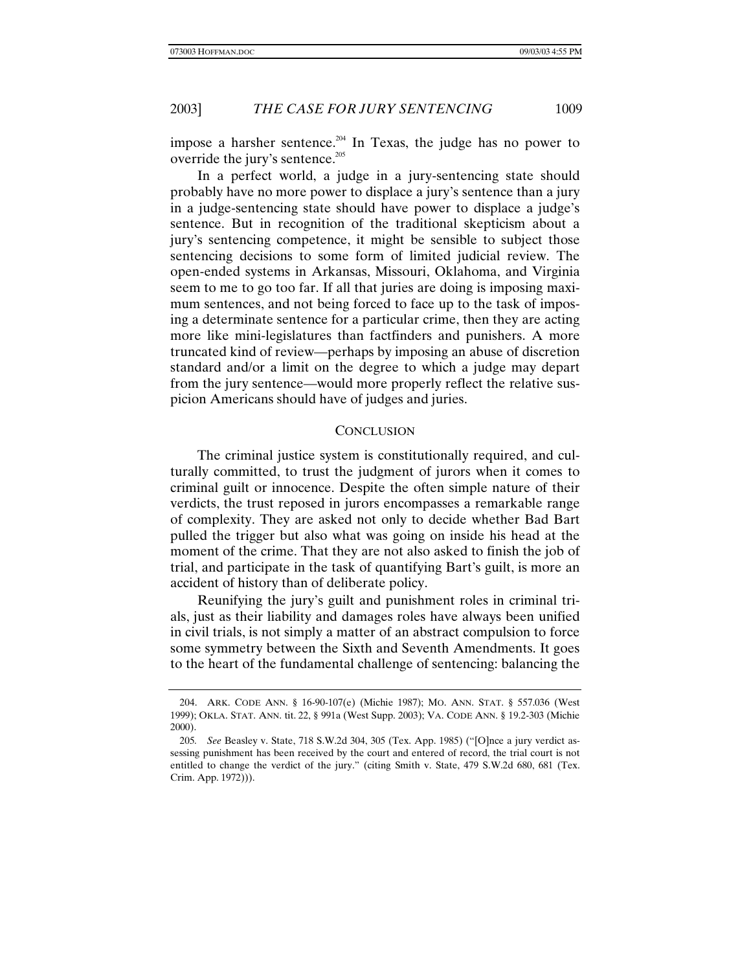impose a harsher sentence.<sup>204</sup> In Texas, the judge has no power to override the jury's sentence.<sup>205</sup>

In a perfect world, a judge in a jury-sentencing state should probably have no more power to displace a jury's sentence than a jury in a judge-sentencing state should have power to displace a judge's sentence. But in recognition of the traditional skepticism about a jury's sentencing competence, it might be sensible to subject those sentencing decisions to some form of limited judicial review. The open-ended systems in Arkansas, Missouri, Oklahoma, and Virginia seem to me to go too far. If all that juries are doing is imposing maximum sentences, and not being forced to face up to the task of imposing a determinate sentence for a particular crime, then they are acting more like mini-legislatures than factfinders and punishers. A more truncated kind of review—perhaps by imposing an abuse of discretion standard and/or a limit on the degree to which a judge may depart from the jury sentence—would more properly reflect the relative suspicion Americans should have of judges and juries.

# **CONCLUSION**

The criminal justice system is constitutionally required, and culturally committed, to trust the judgment of jurors when it comes to criminal guilt or innocence. Despite the often simple nature of their verdicts, the trust reposed in jurors encompasses a remarkable range of complexity. They are asked not only to decide whether Bad Bart pulled the trigger but also what was going on inside his head at the moment of the crime. That they are not also asked to finish the job of trial, and participate in the task of quantifying Bart's guilt, is more an accident of history than of deliberate policy.

Reunifying the jury's guilt and punishment roles in criminal trials, just as their liability and damages roles have always been unified in civil trials, is not simply a matter of an abstract compulsion to force some symmetry between the Sixth and Seventh Amendments. It goes to the heart of the fundamental challenge of sentencing: balancing the

<sup>204.</sup> ARK. CODE ANN. § 16-90-107(e) (Michie 1987); MO. ANN. STAT. § 557.036 (West 1999); OKLA. STAT. ANN. tit. 22, § 991a (West Supp. 2003); VA. CODE ANN. § 19.2-303 (Michie 2000).

<sup>205</sup>*. See* Beasley v. State, 718 S.W.2d 304, 305 (Tex. App. 1985) ("[O]nce a jury verdict assessing punishment has been received by the court and entered of record, the trial court is not entitled to change the verdict of the jury." (citing Smith v. State, 479 S.W.2d 680, 681 (Tex. Crim. App. 1972))).